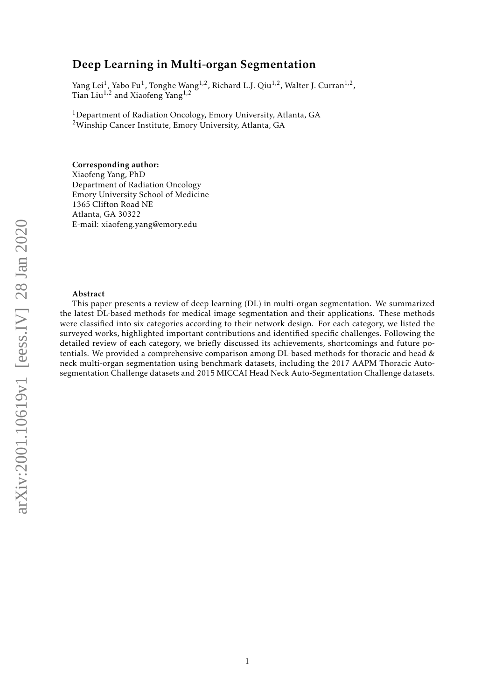## Deep Learning in Multi-organ Segmentation

Yang Lei<sup>1</sup>, Yabo Fu<sup>1</sup>, Tonghe Wang<sup>1,2</sup>, Richard L.J. Qiu<sup>1,2</sup>, Walter J. Curran<sup>1,2</sup>, Tian Liu1*,*<sup>2</sup> and Xiaofeng Yang1*,*<sup>2</sup>

<sup>1</sup>Department of Radiation Oncology, Emory University, Atlanta, GA <sup>2</sup>Winship Cancer Institute, Emory University, Atlanta, GA

### Corresponding author:

Xiaofeng Yang, PhD Department of Radiation Oncology Emory University School of Medicine 1365 Clifton Road NE Atlanta, GA 30322 E-mail: xiaofeng.yang@emory.edu

#### Abstract

This paper presents a review of deep learning (DL) in multi-organ segmentation. We summarized the latest DL-based methods for medical image segmentation and their applications. These methods were classified into six categories according to their network design. For each category, we listed the surveyed works, highlighted important contributions and identified specific challenges. Following the detailed review of each category, we briefly discussed its achievements, shortcomings and future potentials. We provided a comprehensive comparison among DL-based methods for thoracic and head & neck multi-organ segmentation using benchmark datasets, including the 2017 AAPM Thoracic Autosegmentation Challenge datasets and 2015 MICCAI Head Neck Auto-Segmentation Challenge datasets.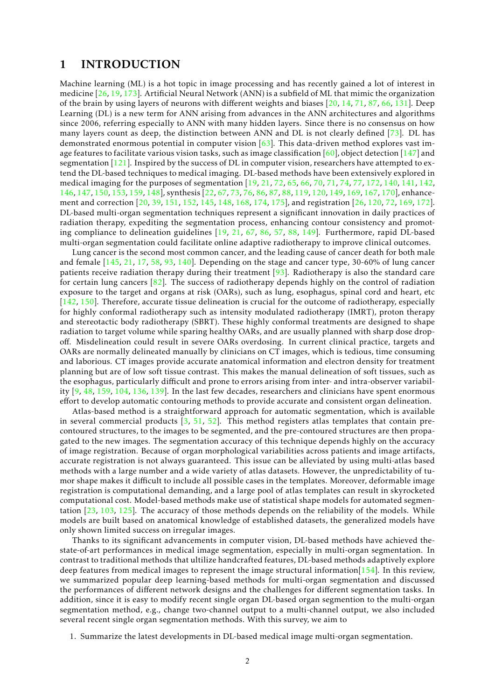## 1 INTRODUCTION

Machine learning (ML) is a hot topic in image processing and has recently gained a lot of interest in medicine [\[26,](#page-24-0) [19,](#page-23-0) [173\]](#page-35-0). Artificial Neural Network (ANN) is a subfield of ML that mimic the organization of the brain by using layers of neurons with different weights and biases [\[20,](#page-23-1) [14,](#page-23-2) [71,](#page-27-0) [87,](#page-28-0) [66,](#page-26-0) [131\]](#page-32-0). Deep Learning (DL) is a new term for ANN arising from advances in the ANN architectures and algorithms since 2006, referring especially to ANN with many hidden layers. Since there is no consensus on how many layers count as deep, the distinction between ANN and DL is not clearly defined [\[73\]](#page-27-1). DL has demonstrated enormous potential in computer vision  $[63]$ . This data-driven method explores vast image features to facilitate various vision tasks, such as image classification  $[60]$ , object detection  $[147]$  and segmentation  $[121]$ . Inspired by the success of DL in computer vision, researchers have attempted to extend the DL-based techniques to medical imaging. DL-based methods have been extensively explored in medical imaging for the purposes of segmentation [\[19,](#page-23-0) [21,](#page-23-3) [72,](#page-27-2) [65,](#page-26-3) [66,](#page-26-0) [70,](#page-27-3) [71,](#page-27-0) [74,](#page-27-4) [77,](#page-27-5) [172,](#page-35-1) [140,](#page-32-1) [141,](#page-32-2) [142,](#page-32-3) [146,](#page-33-1) [147,](#page-33-0) [150,](#page-33-2) [153,](#page-33-3) [159,](#page-34-0) [148\]](#page-33-4), synthesis [\[22,](#page-23-4) [67,](#page-26-4) [73,](#page-27-1) [76,](#page-27-6) [86,](#page-28-1) [87,](#page-28-0) [88,](#page-28-2) [119,](#page-31-1) [120,](#page-31-2) [149,](#page-33-5) [169,](#page-35-2) [167,](#page-34-1) [170\]](#page-35-3), enhancement and correction [\[20,](#page-23-1) [39,](#page-25-0) [151,](#page-33-6) [152,](#page-33-7) [145,](#page-33-8) [148,](#page-33-4) [168,](#page-35-4) [174,](#page-35-5) [175\]](#page-35-6), and registration [\[26,](#page-24-0) [120,](#page-31-2) [72,](#page-27-2) [169,](#page-35-2) [172\]](#page-35-1). DL-based multi-organ segmentation techniques represent a significant innovation in daily practices of radiation therapy, expediting the segmentation process, enhancing contour consistency and promoting compliance to delineation guidelines [\[19,](#page-23-0) [21,](#page-23-3) [67,](#page-26-4) [86,](#page-28-1) [57,](#page-26-5) [88,](#page-28-2) [149\]](#page-33-5). Furthermore, rapid DL-based multi-organ segmentation could facilitate online adaptive radiotherapy to improve clinical outcomes.

Lung cancer is the second most common cancer, and the leading cause of cancer death for both male and female [\[145,](#page-33-8) [21,](#page-23-3) [17,](#page-23-5) [58,](#page-26-6) [93,](#page-29-0) [140\]](#page-32-1). Depending on the stage and cancer type, 30-60% of lung cancer patients receive radiation therapy during their treatment [\[93\]](#page-29-0). Radiotherapy is also the standard care for certain lung cancers [\[82\]](#page-28-3). The success of radiotherapy depends highly on the control of radiation exposure to the target and organs at risk (OARs), such as lung, esophagus, spinal cord and heart, etc [\[142,](#page-32-3) [150\]](#page-33-2). Therefore, accurate tissue delineation is crucial for the outcome of radiotherapy, especially for highly conformal radiotherapy such as intensity modulated radiotherapy (IMRT), proton therapy and stereotactic body radiotherapy (SBRT). These highly conformal treatments are designed to shape radiation to target volume while sparing healthy OARs, and are usually planned with sharp dose dropoff. Misdelineation could result in severe OARs overdosing. In current clinical practice, targets and OARs are normally delineated manually by clinicians on CT images, which is tedious, time consuming and laborious. CT images provide accurate anatomical information and electron density for treatment planning but are of low soft tissue contrast. This makes the manual delineation of soft tissues, such as the esophagus, particularly difficult and prone to errors arising from inter- and intra-observer variability  $[9, 48, 159, 104, 136, 139]$  $[9, 48, 159, 104, 136, 139]$  $[9, 48, 159, 104, 136, 139]$  $[9, 48, 159, 104, 136, 139]$  $[9, 48, 159, 104, 136, 139]$  $[9, 48, 159, 104, 136, 139]$  $[9, 48, 159, 104, 136, 139]$  $[9, 48, 159, 104, 136, 139]$  $[9, 48, 159, 104, 136, 139]$  $[9, 48, 159, 104, 136, 139]$  $[9, 48, 159, 104, 136, 139]$ . In the last few decades, researchers and clinicians have spent enormous effort to develop automatic contouring methods to provide accurate and consistent organ delineation.

Atlas-based method is a straightforward approach for automatic segmentation, which is available in several commercial products  $[3, 51, 52]$  $[3, 51, 52]$  $[3, 51, 52]$  $[3, 51, 52]$  $[3, 51, 52]$ . This method registers atlas templates that contain precontoured structures, to the images to be segmented, and the pre-contoured structures are then propagated to the new images. The segmentation accuracy of this technique depends highly on the accuracy of image registration. Because of organ morphological variabilities across patients and image artifacts, accurate registration is not always guaranteed. This issue can be alleviated by using multi-atlas based methods with a large number and a wide variety of atlas datasets. However, the unpredictability of tumor shape makes it difficult to include all possible cases in the templates. Moreover, deformable image registration is computational demanding, and a large pool of atlas templates can result in skyrocketed computational cost. Model-based methods make use of statistical shape models for automated segmentation [\[23,](#page-23-6) [103,](#page-29-1) [125\]](#page-31-3). The accuracy of those methods depends on the reliability of the models. While models are built based on anatomical knowledge of established datasets, the generalized models have only shown limited success on irregular images.

Thanks to its significant advancements in computer vision, DL-based methods have achieved thestate-of-art performances in medical image segmentation, especially in multi-organ segmentation. In contrast to traditional methods that ultilize handcrafted features, DL-based methods adaptively explore deep features from medical images to represent the image structural information  $[154]$ . In this review, we summarized popular deep learning-based methods for multi-organ segmentation and discussed the performances of different network designs and the challenges for different segmentation tasks. In addition, since it is easy to modify recent single organ DL-based organ segmention to the multi-organ segmentation method, e.g., change two-channel output to a multi-channel output, we also included several recent single organ segmentation methods. With this survey, we aim to

1. Summarize the latest developments in DL-based medical image multi-organ segmentation.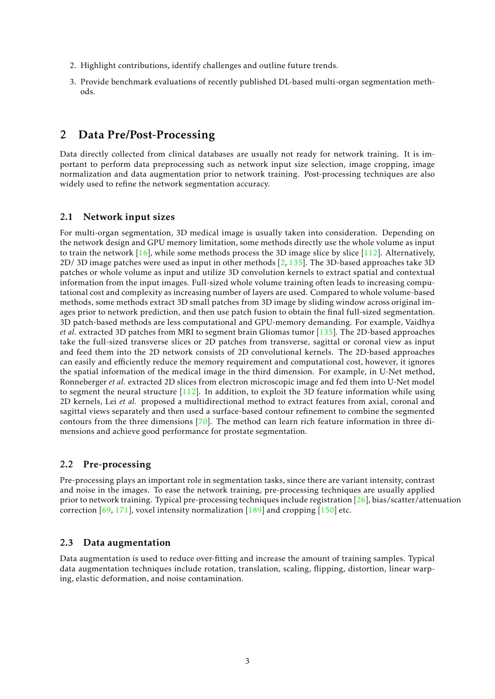- 2. Highlight contributions, identify challenges and outline future trends.
- 3. Provide benchmark evaluations of recently published DL-based multi-organ segmentation methods.

## 2 Data Pre/Post-Processing

Data directly collected from clinical databases are usually not ready for network training. It is important to perform data preprocessing such as network input size selection, image cropping, image normalization and data augmentation prior to network training. Post-processing techniques are also widely used to refine the network segmentation accuracy.

### 2.1 Network input sizes

For multi-organ segmentation, 3D medical image is usually taken into consideration. Depending on the network design and GPU memory limitation, some methods directly use the whole volume as input to train the network  $[16]$ , while some methods process the 3D image slice by slice  $[112]$ . Alternatively, 2D/ 3D image patches were used as input in other methods  $\left[2, 135\right]$  $\left[2, 135\right]$  $\left[2, 135\right]$ . The 3D-based approaches take 3D patches or whole volume as input and utilize 3D convolution kernels to extract spatial and contextual information from the input images. Full-sized whole volume training often leads to increasing computational cost and complexity as increasing number of layers are used. Compared to whole volume-based methods, some methods extract 3D small patches from 3D image by sliding window across original images prior to network prediction, and then use patch fusion to obtain the final full-sized segmentation. 3D patch-based methods are less computational and GPU-memory demanding. For example, Vaidhya *et al.* extracted 3D patches from MRI to segment brain Gliomas tumor [\[135\]](#page-32-6). The 2D-based approaches take the full-sized transverse slices or 2D patches from transverse, sagittal or coronal view as input and feed them into the 2D network consists of 2D convolutional kernels. The 2D-based approaches can easily and efficiently reduce the memory requirement and computational cost, however, it ignores the spatial information of the medical image in the third dimension. For example, in U-Net method, Ronneberger *et al.* extracted 2D slices from electron microscopic image and fed them into U-Net model to segment the neural structure  $[112]$ . In addition, to exploit the 3D feature information while using 2D kernels, Lei *et al.* proposed a multidirectional method to extract features from axial, coronal and sagittal views separately and then used a surface-based contour refinement to combine the segmented contours from the three dimensions [\[70\]](#page-27-3). The method can learn rich feature information in three dimensions and achieve good performance for prostate segmentation.

### 2.2 Pre-processing

Pre-processing plays an important role in segmentation tasks, since there are variant intensity, contrast and noise in the images. To ease the network training, pre-processing techniques are usually applied prior to network training. Typical pre-processing techniques include registration [\[26\]](#page-24-0), bias/scatter/attenuation correction  $[69, 171]$  $[69, 171]$  $[69, 171]$ , voxel intensity normalization  $[189]$  and cropping  $[150]$  etc.

### 2.3 Data augmentation

Data augmentation is used to reduce over-fitting and increase the amount of training samples. Typical data augmentation techniques include rotation, translation, scaling, flipping, distortion, linear warping, elastic deformation, and noise contamination.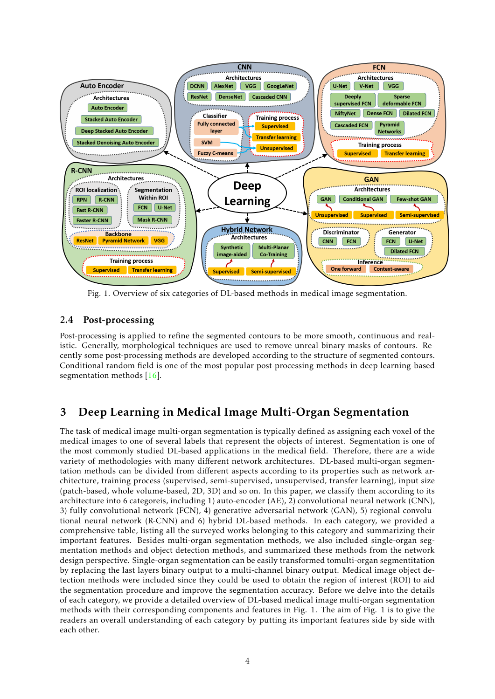

Fig. 1. Overview of six categories of DL-based methods in medical image segmentation.

## 2.4 Post-processing

Post-processing is applied to refine the segmented contours to be more smooth, continuous and realistic. Generally, morphological techniques are used to remove unreal binary masks of contours. Recently some post-processing methods are developed according to the structure of segmented contours. Conditional random field is one of the most popular post-processing methods in deep learning-based segmentation methods [\[16\]](#page-23-7).

# 3 Deep Learning in Medical Image Multi-Organ Segmentation

The task of medical image multi-organ segmentation is typically defined as assigning each voxel of the medical images to one of several labels that represent the objects of interest. Segmentation is one of the most commonly studied DL-based applications in the medical field. Therefore, there are a wide variety of methodologies with many different network architectures. DL-based multi-organ segmentation methods can be divided from different aspects according to its properties such as network architecture, training process (supervised, semi-supervised, unsupervised, transfer learning), input size (patch-based, whole volume-based, 2D, 3D) and so on. In this paper, we classify them according to its architecture into 6 categoreis, including 1) auto-encoder (AE), 2) convolutional neural network (CNN), 3) fully convolutional network (FCN), 4) generative adversarial network (GAN), 5) regional convolutional neural network (R-CNN) and 6) hybrid DL-based methods. In each category, we provided a comprehensive table, listing all the surveyed works belonging to this category and summarizing their important features. Besides multi-organ segmentation methods, we also included single-organ segmentation methods and object detection methods, and summarized these methods from the network design perspective. Single-organ segmentation can be easily transformed tomulti-organ segmentitation by replacing the last layers binary output to a multi-channel binary output. Medical image object detection methods were included since they could be used to obtain the region of interest (ROI) to aid the segmentation procedure and improve the segmentation accuracy. Before we delve into the details of each category, we provide a detailed overview of DL-based medical image multi-organ segmentation methods with their corresponding components and features in Fig. 1. The aim of Fig. 1 is to give the readers an overall understanding of each category by putting its important features side by side with each other.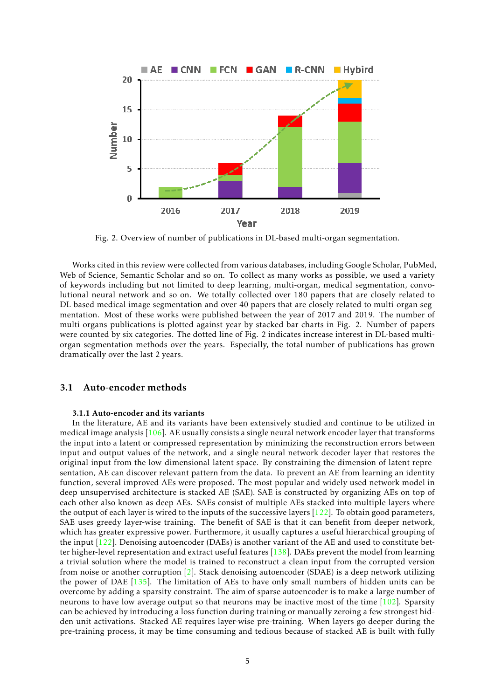

Fig. 2. Overview of number of publications in DL-based multi-organ segmentation.

Works cited in this review were collected from various databases, including Google Scholar, PubMed, Web of Science, Semantic Scholar and so on. To collect as many works as possible, we used a variety of keywords including but not limited to deep learning, multi-organ, medical segmentation, convolutional neural network and so on. We totally collected over 180 papers that are closely related to DL-based medical image segmentation and over 40 papers that are closely related to multi-organ segmentation. Most of these works were published between the year of 2017 and 2019. The number of multi-organs publications is plotted against year by stacked bar charts in Fig. 2. Number of papers were counted by six categories. The dotted line of Fig. 2 indicates increase interest in DL-based multiorgan segmentation methods over the years. Especially, the total number of publications has grown dramatically over the last 2 years.

### 3.1 Auto-encoder methods

### 3.1.1 Auto-encoder and its variants

In the literature, AE and its variants have been extensively studied and continue to be utilized in medical image analysis  $[106]$ . AE usually consists a single neural network encoder layer that transforms the input into a latent or compressed representation by minimizing the reconstruction errors between input and output values of the network, and a single neural network decoder layer that restores the original input from the low-dimensional latent space. By constraining the dimension of latent representation, AE can discover relevant pattern from the data. To prevent an AE from learning an identity function, several improved AEs were proposed. The most popular and widely used network model in deep unsupervised architecture is stacked AE (SAE). SAE is constructed by organizing AEs on top of each other also known as deep AEs. SAEs consist of multiple AEs stacked into multiple layers where the output of each layer is wired to the inputs of the successive layers  $[122]$ . To obtain good parameters, SAE uses greedy layer-wise training. The benefit of SAE is that it can benefit from deeper network, which has greater expressive power. Furthermore, it usually captures a useful hierarchical grouping of the input [\[122\]](#page-31-4). Denoising autoencoder (DAEs) is another variant of the AE and used to constitute better higher-level representation and extract useful features [\[138\]](#page-32-7). DAEs prevent the model from learning a trivial solution where the model is trained to reconstruct a clean input from the corrupted version from noise or another corruption [\[2\]](#page-22-2). Stack denoising autoencoder (SDAE) is a deep network utilizing the power of DAE [\[135\]](#page-32-6). The limitation of AEs to have only small numbers of hidden units can be overcome by adding a sparsity constraint. The aim of sparse autoencoder is to make a large number of neurons to have low average output so that neurons may be inactive most of the time  $[102]$ . Sparsity can be achieved by introducing a loss function during training or manually zeroing a few strongest hidden unit activations. Stacked AE requires layer-wise pre-training. When layers go deeper during the pre-training process, it may be time consuming and tedious because of stacked AE is built with fully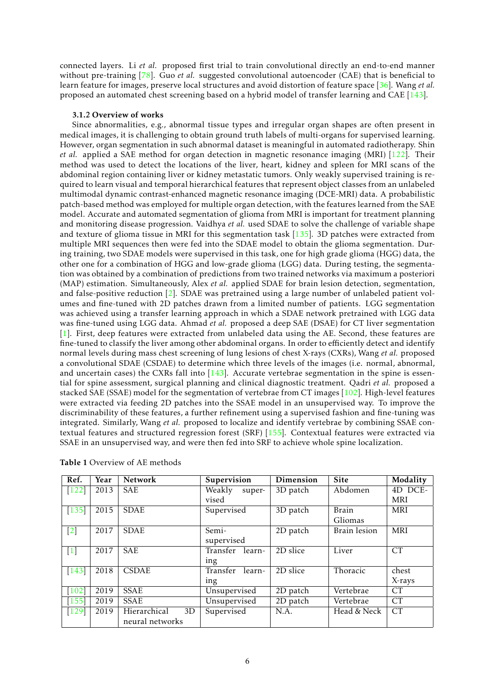connected layers. Li *et al.* proposed first trial to train convolutional directly an end-to-end manner without pre-training [\[78\]](#page-27-8). Guo *et al.* suggested convolutional autoencoder (CAE) that is beneficial to learn feature for images, preserve local structures and avoid distortion of feature space [\[36\]](#page-24-1). Wang *et al.* proposed an automated chest screening based on a hybrid model of transfer learning and CAE [\[143\]](#page-33-9).

### 3.1.2 Overview of works

Since abnormalities, e.g., abnormal tissue types and irregular organ shapes are often present in medical images, it is challenging to obtain ground truth labels of multi-organs for supervised learning. However, organ segmentation in such abnormal dataset is meaningful in automated radiotherapy. Shin *et al.* applied a SAE method for organ detection in magnetic resonance imaging (MRI) [\[122\]](#page-31-4). Their method was used to detect the locations of the liver, heart, kidney and spleen for MRI scans of the abdominal region containing liver or kidney metastatic tumors. Only weakly supervised training is required to learn visual and temporal hierarchical features that represent object classes from an unlabeled multimodal dynamic contrast-enhanced magnetic resonance imaging (DCE-MRI) data. A probabilistic patch-based method was employed for multiple organ detection, with the features learned from the SAE model. Accurate and automated segmentation of glioma from MRI is important for treatment planning and monitoring disease progression. Vaidhya *et al.* used SDAE to solve the challenge of variable shape and texture of glioma tissue in MRI for this segmentation task [\[135\]](#page-32-6). 3D patches were extracted from multiple MRI sequences then were fed into the SDAE model to obtain the glioma segmentation. During training, two SDAE models were supervised in this task, one for high grade glioma (HGG) data, the other one for a combination of HGG and low-grade glioma (LGG) data. During testing, the segmentation was obtained by a combination of predictions from two trained networks via maximum a posteriori (MAP) estimation. Simultaneously, Alex *et al.* applied SDAE for brain lesion detection, segmentation, and false-positive reduction  $[2]$ . SDAE was pretrained using a large number of unlabeled patient volumes and fine-tuned with 2D patches drawn from a limited number of patients. LGG segmentation was achieved using a transfer learning approach in which a SDAE network pretrained with LGG data was fine-tuned using LGG data. Ahmad *et al.* proposed a deep SAE (DSAE) for CT liver segmentation [\[1\]](#page-22-3). First, deep features were extracted from unlabeled data using the AE. Second, these features are fine-tuned to classify the liver among other abdominal organs. In order to efficiently detect and identify normal levels during mass chest screening of lung lesions of chest X-rays (CXRs), Wang *et al.* proposed a convolutional SDAE (CSDAE) to determine which three levels of the images (i.e. normal, abnormal, and uncertain cases) the CXRs fall into  $[143]$ . Accurate vertebrae segmentation in the spine is essential for spine assessment, surgical planning and clinical diagnostic treatment. Qadri *et al.* proposed a stacked SAE (SSAE) model for the segmentation of vertebrae from CT images [\[102\]](#page-29-2). High-level features were extracted via feeding 2D patches into the SSAE model in an unsupervised way. To improve the discriminability of these features, a further refinement using a supervised fashion and fine-tuning was integrated. Similarly, Wang *et al.* proposed to localize and identify vertebrae by combining SSAE contextual features and structured regression forest (SRF) [\[155\]](#page-34-3). Contextual features were extracted via SSAE in an unsupervised way, and were then fed into SRF to achieve whole spine localization.

| Ref.                | Year | <b>Network</b>     | Supervision        | Dimension | <b>Site</b>  | Modality   |
|---------------------|------|--------------------|--------------------|-----------|--------------|------------|
| $\left[122\right]$  | 2013 | <b>SAE</b>         | Weakly<br>super-   | 3D patch  | Abdomen      | 4D DCE-    |
|                     |      |                    | vised              |           |              | <b>MRI</b> |
| $[135]$             | 2015 | <b>SDAE</b>        | Supervised         | 3D patch  | <b>Brain</b> | <b>MRI</b> |
|                     |      |                    |                    |           | Gliomas      |            |
| $[2]$               | 2017 | <b>SDAE</b>        | Semi-              | 2D patch  | Brain lesion | <b>MRI</b> |
|                     |      |                    | supervised         |           |              |            |
| $[1]$               | 2017 | <b>SAE</b>         | Transfer learn-    | 2D slice  | Liver        | CT         |
|                     |      |                    | ing                |           |              |            |
| $[143]$             | 2018 | <b>CSDAE</b>       | Transfer<br>learn- | 2D slice  | Thoracic     | chest      |
|                     |      |                    | 1ng                |           |              | X-rays     |
| $[102]$             | 2019 | <b>SSAE</b>        | Unsupervised       | 2D patch  | Vertebrae    | CT         |
| [155]               | 2019 | <b>SSAE</b>        | Unsupervised       | 2D patch  | Vertebrae    | <b>CT</b>  |
| $\lceil 129 \rceil$ | 2019 | Hierarchical<br>3D | Supervised         | N.A.      | Head & Neck  | CT         |
|                     |      | neural networks    |                    |           |              |            |

Table 1 Overview of AE methods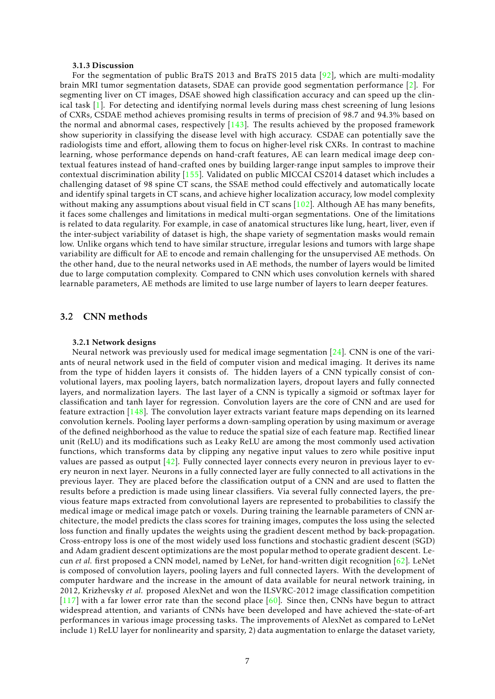#### 3.1.3 Discussion

For the segmentation of public BraTS 2013 and BraTS 2015 data [\[92\]](#page-28-4), which are multi-modality brain MRI tumor segmentation datasets, SDAE can provide good segmentation performance [\[2\]](#page-22-2). For segmenting liver on CT images, DSAE showed high classification accuracy and can speed up the clinical task [\[1\]](#page-22-3). For detecting and identifying normal levels during mass chest screening of lung lesions of CXRs, CSDAE method achieves promising results in terms of precision of 98.7 and 94.3% based on the normal and abnormal cases, respectively  $[143]$ . The results achieved by the proposed framework show superiority in classifying the disease level with high accuracy. CSDAE can potentially save the radiologists time and effort, allowing them to focus on higher-level risk CXRs. In contrast to machine learning, whose performance depends on hand-craft features, AE can learn medical image deep contextual features instead of hand-crafted ones by building larger-range input samples to improve their contextual discrimination ability [\[155\]](#page-34-3). Validated on public MICCAI CS2014 dataset which includes a challenging dataset of 98 spine CT scans, the SSAE method could effectively and automatically locate and identify spinal targets in CT scans, and achieve higher localization accuracy, low model complexity without making any assumptions about visual field in CT scans [\[102\]](#page-29-2). Although AE has many benefits, it faces some challenges and limitations in medical multi-organ segmentations. One of the limitations is related to data regularity. For example, in case of anatomical structures like lung, heart, liver, even if the inter-subject variability of dataset is high, the shape variety of segmentation masks would remain low. Unlike organs which tend to have similar structure, irregular lesions and tumors with large shape variability are difficult for AE to encode and remain challenging for the unsupervised AE methods. On the other hand, due to the neural networks used in AE methods, the number of layers would be limited due to large computation complexity. Compared to CNN which uses convolution kernels with shared learnable parameters, AE methods are limited to use large number of layers to learn deeper features.

### 3.2 CNN methods

#### 3.2.1 Network designs

Neural network was previously used for medical image segmentation [\[24\]](#page-24-2). CNN is one of the variants of neural network used in the field of computer vision and medical imaging. It derives its name from the type of hidden layers it consists of. The hidden layers of a CNN typically consist of convolutional layers, max pooling layers, batch normalization layers, dropout layers and fully connected layers, and normalization layers. The last layer of a CNN is typically a sigmoid or softmax layer for classification and tanh layer for regression. Convolution layers are the core of CNN and are used for feature extraction [\[148\]](#page-33-4). The convolution layer extracts variant feature maps depending on its learned convolution kernels. Pooling layer performs a down-sampling operation by using maximum or average of the defined neighborhood as the value to reduce the spatial size of each feature map. Rectified linear unit (ReLU) and its modifications such as Leaky ReLU are among the most commonly used activation functions, which transforms data by clipping any negative input values to zero while positive input values are passed as output  $[42]$ . Fully connected layer connects every neuron in previous layer to every neuron in next layer. Neurons in a fully connected layer are fully connected to all activations in the previous layer. They are placed before the classification output of a CNN and are used to flatten the results before a prediction is made using linear classifiers. Via several fully connected layers, the previous feature maps extracted from convolutional layers are represented to probabilities to classify the medical image or medical image patch or voxels. During training the learnable parameters of CNN architecture, the model predicts the class scores for training images, computes the loss using the selected loss function and finally updates the weights using the gradient descent method by back-propagation. Cross-entropy loss is one of the most widely used loss functions and stochastic gradient descent (SGD) and Adam gradient descent optimizations are the most popular method to operate gradient descent. Lecun *et al.* first proposed a CNN model, named by LeNet, for hand-written digit recognition [\[62\]](#page-26-7). LeNet is composed of convolution layers, pooling layers and full connected layers. With the development of computer hardware and the increase in the amount of data available for neural network training, in 2012, Krizhevsky *et al.* proposed AlexNet and won the ILSVRC-2012 image classification competition  $[117]$  with a far lower error rate than the second place  $[60]$ . Since then, CNNs have begun to attract widespread attention, and variants of CNNs have been developed and have achieved the-state-of-art performances in various image processing tasks. The improvements of AlexNet as compared to LeNet include 1) ReLU layer for nonlinearity and sparsity, 2) data augmentation to enlarge the dataset variety,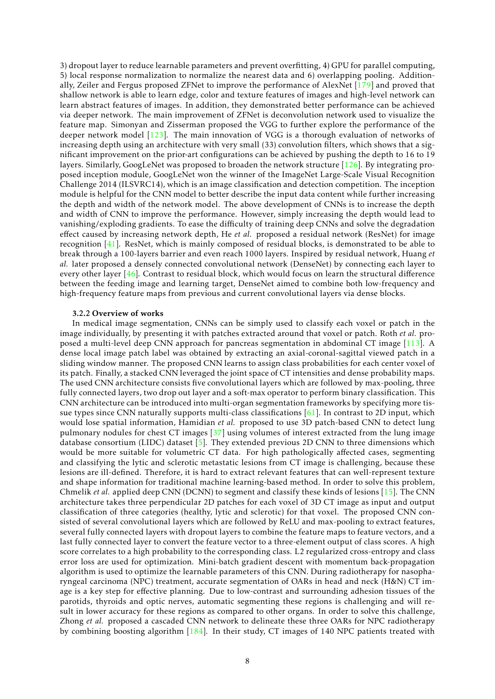3) dropout layer to reduce learnable parameters and prevent overfitting, 4) GPU for parallel computing, 5) local response normalization to normalize the nearest data and 6) overlapping pooling. Additionally, Zeiler and Fergus proposed ZFNet to improve the performance of AlexNet [\[179\]](#page-35-8) and proved that shallow network is able to learn edge, color and texture features of images and high-level network can learn abstract features of images. In addition, they demonstrated better performance can be achieved via deeper network. The main improvement of ZFNet is deconvolution network used to visualize the feature map. Simonyan and Zisserman proposed the VGG to further explore the performance of the deeper network model [\[123\]](#page-31-7). The main innovation of VGG is a thorough evaluation of networks of increasing depth using an architecture with very small (33) convolution filters, which shows that a significant improvement on the prior-art configurations can be achieved by pushing the depth to 16 to 19 layers. Similarly, GoogLeNet was proposed to broaden the network structure [\[126\]](#page-31-8). By integrating proposed inception module, GoogLeNet won the winner of the ImageNet Large-Scale Visual Recognition Challenge 2014 (ILSVRC14), which is an image classification and detection competition. The inception module is helpful for the CNN model to better describe the input data content while further increasing the depth and width of the network model. The above development of CNNs is to increase the depth and width of CNN to improve the performance. However, simply increasing the depth would lead to vanishing/exploding gradients. To ease the difficulty of training deep CNNs and solve the degradation effect caused by increasing network depth, He *et al.* proposed a residual network (ResNet) for image recognition [\[41\]](#page-25-5). ResNet, which is mainly composed of residual blocks, is demonstrated to be able to break through a 100-layers barrier and even reach 1000 layers. Inspired by residual network, Huang *et al.* later proposed a densely connected convolutional network (DenseNet) by connecting each layer to every other layer [\[46\]](#page-25-6). Contrast to residual block, which would focus on learn the structural difference between the feeding image and learning target, DenseNet aimed to combine both low-frequency and high-frequency feature maps from previous and current convolutional layers via dense blocks.

### 3.2.2 Overview of works

In medical image segmentation, CNNs can be simply used to classify each voxel or patch in the image individually, by presenting it with patches extracted around that voxel or patch. Roth *et al.* proposed a multi-level deep CNN approach for pancreas segmentation in abdominal CT image [\[113\]](#page-30-3). A dense local image patch label was obtained by extracting an axial-coronal-sagittal viewed patch in a sliding window manner. The proposed CNN learns to assign class probabilities for each center voxel of its patch. Finally, a stacked CNN leveraged the joint space of CT intensities and dense probability maps. The used CNN architecture consists five convolutional layers which are followed by max-pooling, three fully connected layers, two drop out layer and a soft-max operator to perform binary classification. This CNN architecture can be introduced into multi-organ segmentation frameworks by specifying more tissue types since CNN naturally supports multi-class classifications [\[61\]](#page-26-8). In contrast to 2D input, which would lose spatial information, Hamidian *et al.* proposed to use 3D patch-based CNN to detect lung pulmonary nodules for chest CT images  $[37]$  using volumes of interest extracted from the lung image database consortium (LIDC) dataset  $[5]$ . They extended previous 2D CNN to three dimensions which would be more suitable for volumetric CT data. For high pathologically affected cases, segmenting and classifying the lytic and sclerotic metastatic lesions from CT image is challenging, because these lesions are ill-defined. Therefore, it is hard to extract relevant features that can well-represent texture and shape information for traditional machine learning-based method. In order to solve this problem, Chmelik *et al.* applied deep CNN (DCNN) to segment and classify these kinds of lesions [\[15\]](#page-23-8). The CNN architecture takes three perpendicular 2D patches for each voxel of 3D CT image as input and output classification of three categories (healthy, lytic and sclerotic) for that voxel. The proposed CNN consisted of several convolutional layers which are followed by ReLU and max-pooling to extract features, several fully connected layers with dropout layers to combine the feature maps to feature vectors, and a last fully connected layer to convert the feature vector to a three-element output of class scores. A high score correlates to a high probability to the corresponding class. L2 regularized cross-entropy and class error loss are used for optimization. Mini-batch gradient descent with momentum back-propagation algorithm is used to optimize the learnable parameters of this CNN. During radiotherapy for nasopharyngeal carcinoma (NPC) treatment, accurate segmentation of OARs in head and neck (H&N) CT image is a key step for effective planning. Due to low-contrast and surrounding adhesion tissues of the parotids, thyroids and optic nerves, automatic segmenting these regions is challenging and will result in lower accuracy for these regions as compared to other organs. In order to solve this challenge, Zhong *et al.* proposed a cascaded CNN network to delineate these three OARs for NPC radiotherapy by combining boosting algorithm  $[184]$ . In their study, CT images of 140 NPC patients treated with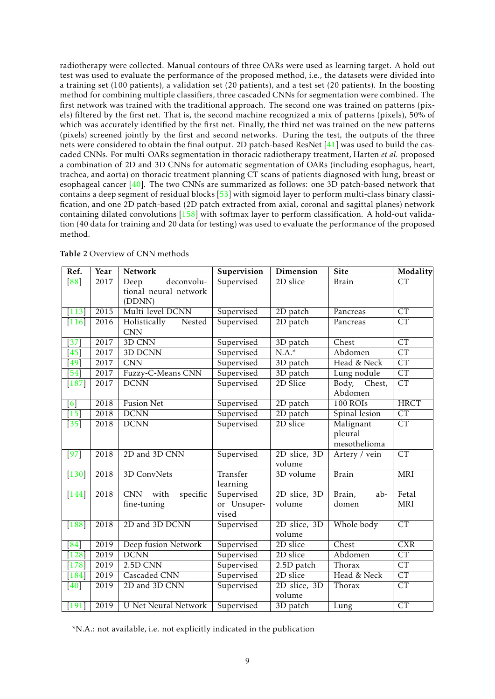radiotherapy were collected. Manual contours of three OARs were used as learning target. A hold-out test was used to evaluate the performance of the proposed method, i.e., the datasets were divided into a training set (100 patients), a validation set (20 patients), and a test set (20 patients). In the boosting method for combining multiple classifiers, three cascaded CNNs for segmentation were combined. The first network was trained with the traditional approach. The second one was trained on patterns (pixels) filtered by the first net. That is, the second machine recognized a mix of patterns (pixels), 50% of which was accurately identified by the first net. Finally, the third net was trained on the new patterns (pixels) screened jointly by the first and second networks. During the test, the outputs of the three nets were considered to obtain the final output. 2D patch-based ResNet [\[41\]](#page-25-5) was used to build the cascaded CNNs. For multi-OARs segmentation in thoracic radiotherapy treatment, Harten *et al.* proposed a combination of 2D and 3D CNNs for automatic segmentation of OARs (including esophagus, heart, trachea, and aorta) on thoracic treatment planning CT scans of patients diagnosed with lung, breast or esophageal cancer [\[40\]](#page-25-7). The two CNNs are summarized as follows: one 3D patch-based network that contains a deep segment of residual blocks [\[53\]](#page-26-9) with sigmoid layer to perform multi-class binary classification, and one 2D patch-based (2D patch extracted from axial, coronal and sagittal planes) network containing dilated convolutions [\[158\]](#page-34-4) with softmax layer to perform classification. A hold-out validation (40 data for training and 20 data for testing) was used to evaluate the performance of the proposed method.

| Ref.               | Year | Network                                     | Dimension<br>Supervision |                        | Site                    | Modality                |
|--------------------|------|---------------------------------------------|--------------------------|------------------------|-------------------------|-------------------------|
| $\overline{88}$    | 2017 | deconvolu-<br>Deep<br>tional neural network | Supervised               | 2D slice               | <b>Brain</b>            | <b>CT</b>               |
|                    |      | (DDNN)                                      |                          |                        |                         |                         |
| $\overline{113}$   | 2015 | Multi-level DCNN                            | Supervised               | 2D patch               | Pancreas                | CT                      |
| $[116]$            | 2016 | Holistically<br>Nested<br><b>CNN</b>        | Supervised               | 2D patch               | Pancreas                | $\overline{\text{CT}}$  |
| $\left[37\right]$  | 2017 | 3D CNN                                      | Supervised               | 3D patch               | Chest                   | CT                      |
| $\sqrt{45}$        | 2017 | 3D DCNN                                     | Supervised               | $N.A.*$                | Abdomen                 | CT                      |
| 49                 | 2017 | $\overline{\text{CNN}}$                     | Supervised               | 3D patch               | Head & Neck             | $\overline{\text{CT}}$  |
| $\sqrt{54}$        | 2017 | Fuzzy-C-Means CNN                           | Supervised               | 3D patch               | Lung nodule             | $\overline{\text{CT}}$  |
| $[187]$            | 2017 | <b>DCNN</b>                                 | Supervised               | 2D Slice               | Body, Chest,<br>Abdomen | $\overline{\text{CT}}$  |
| [6]                | 2018 | <b>Fusion Net</b>                           | Supervised               | 2D patch               | $100$ ROIs              | <b>HRCT</b>             |
| $\overline{15}$    | 2018 | <b>DCNN</b>                                 | Supervised               | 2D patch               | Spinal lesion           | $\overline{\text{CT}}$  |
| $\overline{35}$    | 2018 | <b>DCNN</b>                                 | Supervised               | 2D slice               | Malignant               | $\overline{\text{CT}}$  |
|                    |      |                                             |                          |                        | pleural<br>mesothelioma |                         |
| $[97]$             | 2018 | 2D and 3D CNN                               | Supervised               | 2D slice, 3D<br>volume | Artery / vein           | CT                      |
| $[130]$            | 2018 | 3D ConvNets                                 | Transfer<br>learning     | 3D volume              | <b>Brain</b>            | <b>MRI</b>              |
| $[144]$            | 2018 | specific<br>CNN with                        | Supervised               | $2D$ slice, $3D$       | $ab -$<br>Brain,        | Fetal                   |
|                    |      | fine-tuning                                 | or Unsuper-<br>vised     | volume                 | domen                   | <b>MRI</b>              |
| $[188]$            | 2018 | 2D and 3D DCNN                              | Supervised               | 2D slice, 3D<br>volume | Whole body              | $\overline{\text{CT}}$  |
| $\left[ 84\right]$ | 2019 | Deep fusion Network                         | Supervised               | 2D slice               | Chest                   | $\overline{\text{CXR}}$ |
| $\boxed{128}$      | 2019 | <b>DCNN</b>                                 | Supervised               | 2D slice               | Abdomen                 | $\overline{\text{CT}}$  |
| $\boxed{178}$      | 2019 | $2.5D$ CNN                                  | Supervised               | 2.5D patch             | Thorax                  | $\overline{\text{CT}}$  |
| $[184]$            | 2019 | Cascaded CNN                                | Supervised               | 2D slice               | Head & Neck             | CT                      |
| [40]               | 2019 | 2D and 3D CNN                               | Supervised               | 2D slice, 3D<br>volume | Thorax                  | CT                      |
| $[191]$            | 2019 | <b>U-Net Neural Network</b>                 | Supervised               | 3D patch               | Lung                    | CT                      |

Table 2 Overview of CNN methods

\*N.A.: not available, i.e. not explicitly indicated in the publication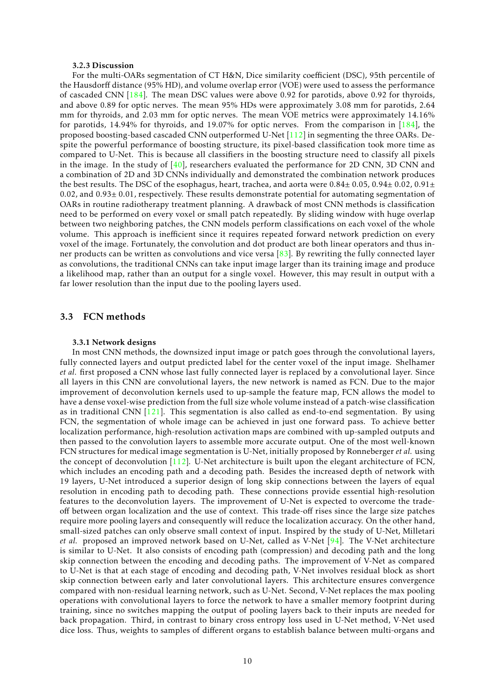#### 3.2.3 Discussion

For the multi-OARs segmentation of CT H&N, Dice similarity coefficient (DSC), 95th percentile of the Hausdorff distance (95% HD), and volume overlap error (VOE) were used to assess the performance of cascaded CNN [\[184\]](#page-36-1). The mean DSC values were above 0.92 for parotids, above 0.92 for thyroids, and above 0.89 for optic nerves. The mean 95% HDs were approximately 3.08 mm for parotids, 2.64 mm for thyroids, and 2.03 mm for optic nerves. The mean VOE metrics were approximately 14.16% for parotids, 14.94% for thyroids, and 19.07% for optic nerves. From the comparison in [\[184\]](#page-36-1), the proposed boosting-based cascaded CNN outperformed U-Net [\[112\]](#page-30-1) in segmenting the three OARs. Despite the powerful performance of boosting structure, its pixel-based classification took more time as compared to U-Net. This is because all classifiers in the boosting structure need to classify all pixels in the image. In the study of  $[40]$ , researchers evaluated the performance for 2D CNN, 3D CNN and a combination of 2D and 3D CNNs individually and demonstrated the combination network produces the best results. The DSC of the esophagus, heart, trachea, and aorta were  $0.84 \pm 0.05$ ,  $0.94 \pm 0.02$ ,  $0.91 \pm 0.02$ 0.02, and  $0.93\pm0.01$ , respectively. These results demonstrate potential for automating segmentation of OARs in routine radiotherapy treatment planning. A drawback of most CNN methods is classification need to be performed on every voxel or small patch repeatedly. By sliding window with huge overlap between two neighboring patches, the CNN models perform classifications on each voxel of the whole volume. This approach is inefficient since it requires repeated forward network prediction on every voxel of the image. Fortunately, the convolution and dot product are both linear operators and thus inner products can be written as convolutions and vice versa  $[83]$ . By rewriting the fully connected layer as convolutions, the traditional CNNs can take input image larger than its training image and produce a likelihood map, rather than an output for a single voxel. However, this may result in output with a far lower resolution than the input due to the pooling layers used.

### 3.3 FCN methods

#### 3.3.1 Network designs

In most CNN methods, the downsized input image or patch goes through the convolutional layers, fully connected layers and output predicted label for the center voxel of the input image. Shelhamer *et al.* first proposed a CNN whose last fully connected layer is replaced by a convolutional layer. Since all layers in this CNN are convolutional layers, the new network is named as FCN. Due to the major improvement of deconvolution kernels used to up-sample the feature map, FCN allows the model to have a dense voxel-wise prediction from the full size whole volume instead of a patch-wise classification as in traditional CNN [\[121\]](#page-31-0). This segmentation is also called as end-to-end segmentation. By using FCN, the segmentation of whole image can be achieved in just one forward pass. To achieve better localization performance, high-resolution activation maps are combined with up-sampled outputs and then passed to the convolution layers to assemble more accurate output. One of the most well-known FCN structures for medical image segmentation is U-Net, initially proposed by Ronneberger *et al.* using the concept of deconvolution [\[112\]](#page-30-1). U-Net architecture is built upon the elegant architecture of FCN, which includes an encoding path and a decoding path. Besides the increased depth of network with 19 layers, U-Net introduced a superior design of long skip connections between the layers of equal resolution in encoding path to decoding path. These connections provide essential high-resolution features to the deconvolution layers. The improvement of U-Net is expected to overcome the tradeoff between organ localization and the use of context. This trade-off rises since the large size patches require more pooling layers and consequently will reduce the localization accuracy. On the other hand, small-sized patches can only observe small context of input. Inspired by the study of U-Net, Milletari *et al.* proposed an improved network based on U-Net, called as V-Net [\[94\]](#page-29-4). The V-Net architecture is similar to U-Net. It also consists of encoding path (compression) and decoding path and the long skip connection between the encoding and decoding paths. The improvement of V-Net as compared to U-Net is that at each stage of encoding and decoding path, V-Net involves residual block as short skip connection between early and later convolutional layers. This architecture ensures convergence compared with non-residual learning network, such as U-Net. Second, V-Net replaces the max pooling operations with convolutional layers to force the network to have a smaller memory footprint during training, since no switches mapping the output of pooling layers back to their inputs are needed for back propagation. Third, in contrast to binary cross entropy loss used in U-Net method, V-Net used dice loss. Thus, weights to samples of different organs to establish balance between multi-organs and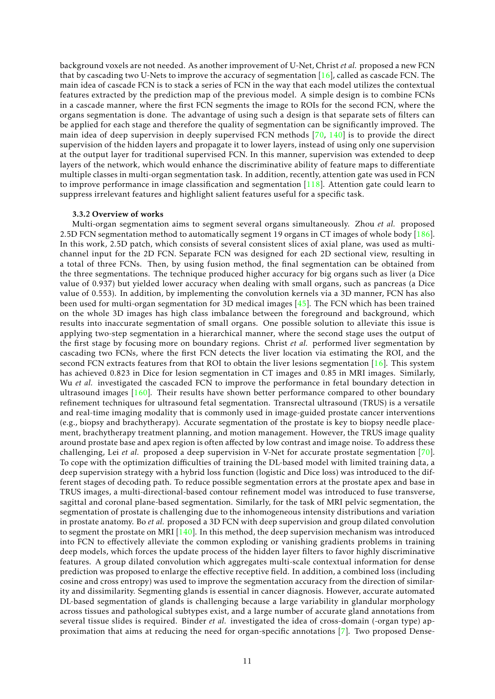background voxels are not needed. As another improvement of U-Net, Christ *et al.* proposed a new FCN that by cascading two U-Nets to improve the accuracy of segmentation [\[16\]](#page-23-7), called as cascade FCN. The main idea of cascade FCN is to stack a series of FCN in the way that each model utilizes the contextual features extracted by the prediction map of the previous model. A simple design is to combine FCNs in a cascade manner, where the first FCN segments the image to ROIs for the second FCN, where the organs segmentation is done. The advantage of using such a design is that separate sets of filters can be applied for each stage and therefore the quality of segmentation can be significantly improved. The main idea of deep supervision in deeply supervised FCN methods [\[70,](#page-27-3) [140\]](#page-32-1) is to provide the direct supervision of the hidden layers and propagate it to lower layers, instead of using only one supervision at the output layer for traditional supervised FCN. In this manner, supervision was extended to deep layers of the network, which would enhance the discriminative ability of feature maps to differentiate multiple classes in multi-organ segmentation task. In addition, recently, attention gate was used in FCN to improve performance in image classification and segmentation [\[118\]](#page-31-10). Attention gate could learn to suppress irrelevant features and highlight salient features useful for a specific task.

### 3.3.2 Overview of works

Multi-organ segmentation aims to segment several organs simultaneously. Zhou *et al.* proposed 2.5D FCN segmentation method to automatically segment 19 organs in CT images of whole body  $\frac{186}{186}$ . In this work, 2.5D patch, which consists of several consistent slices of axial plane, was used as multichannel input for the 2D FCN. Separate FCN was designed for each 2D sectional view, resulting in a total of three FCNs. Then, by using fusion method, the final segmentation can be obtained from the three segmentations. The technique produced higher accuracy for big organs such as liver (a Dice value of 0.937) but yielded lower accuracy when dealing with small organs, such as pancreas (a Dice value of 0.553). In addition, by implementing the convolution kernels via a 3D manner, FCN has also been used for multi-organ segmentation for 3D medical images [\[45\]](#page-25-8). The FCN which has been trained on the whole 3D images has high class imbalance between the foreground and background, which results into inaccurate segmentation of small organs. One possible solution to alleviate this issue is applying two-step segmentation in a hierarchical manner, where the second stage uses the output of the first stage by focusing more on boundary regions. Christ *et al.* performed liver segmentation by cascading two FCNs, where the first FCN detects the liver location via estimating the ROI, and the second FCN extracts features from that ROI to obtain the liver lesions segmentation [\[16\]](#page-23-7). This system has achieved 0.823 in Dice for lesion segmentation in CT images and 0.85 in MRI images. Similarly, Wu *et al.* investigated the cascaded FCN to improve the performance in fetal boundary detection in ultrasound images [\[160\]](#page-34-5). Their results have shown better performance compared to other boundary refinement techniques for ultrasound fetal segmentation. Transrectal ultrasound (TRUS) is a versatile and real-time imaging modality that is commonly used in image-guided prostate cancer interventions (e.g., biopsy and brachytherapy). Accurate segmentation of the prostate is key to biopsy needle placement, brachytherapy treatment planning, and motion management. However, the TRUS image quality around prostate base and apex region is often affected by low contrast and image noise. To address these challenging, Lei *et al.* proposed a deep supervision in V-Net for accurate prostate segmentation [\[70\]](#page-27-3). To cope with the optimization difficulties of training the DL-based model with limited training data, a deep supervision strategy with a hybrid loss function (logistic and Dice loss) was introduced to the different stages of decoding path. To reduce possible segmentation errors at the prostate apex and base in TRUS images, a multi-directional-based contour refinement model was introduced to fuse transverse, sagittal and coronal plane-based segmentation. Similarly, for the task of MRI pelvic segmentation, the segmentation of prostate is challenging due to the inhomogeneous intensity distributions and variation in prostate anatomy. Bo *et al.* proposed a 3D FCN with deep supervision and group dilated convolution to segment the prostate on MRI  $[140]$ . In this method, the deep supervision mechanism was introduced into FCN to effectively alleviate the common exploding or vanishing gradients problems in training deep models, which forces the update process of the hidden layer filters to favor highly discriminative features. A group dilated convolution which aggregates multi-scale contextual information for dense prediction was proposed to enlarge the effective receptive field. In addition, a combined loss (including cosine and cross entropy) was used to improve the segmentation accuracy from the direction of similarity and dissimilarity. Segmenting glands is essential in cancer diagnosis. However, accurate automated DL-based segmentation of glands is challenging because a large variability in glandular morphology across tissues and pathological subtypes exist, and a large number of accurate gland annotations from several tissue slides is required. Binder *et al.* investigated the idea of cross-domain (-organ type) approximation that aims at reducing the need for organ-specific annotations [\[7\]](#page-22-6). Two proposed Dense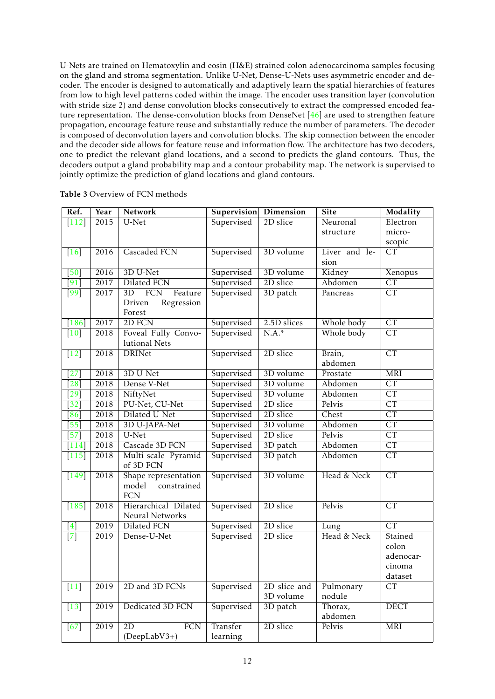U-Nets are trained on Hematoxylin and eosin (H&E) strained colon adenocarcinoma samples focusing on the gland and stroma segmentation. Unlike U-Net, Dense-U-Nets uses asymmetric encoder and decoder. The encoder is designed to automatically and adaptively learn the spatial hierarchies of features from low to high level patterns coded within the image. The encoder uses transition layer (convolution with stride size 2) and dense convolution blocks consecutively to extract the compressed encoded feature representation. The dense-convolution blocks from DenseNet [\[46\]](#page-25-6) are used to strengthen feature propagation, encourage feature reuse and substantially reduce the number of parameters. The decoder is composed of deconvolution layers and convolution blocks. The skip connection between the encoder and the decoder side allows for feature reuse and information flow. The architecture has two decoders, one to predict the relevant gland locations, and a second to predicts the gland contours. Thus, the decoders output a gland probability map and a contour probability map. The network is supervised to jointly optimize the prediction of gland locations and gland contours.

| Ref.                      | Year | Network                          | Supervision Dimension |              | <b>Site</b>         | Modality               |
|---------------------------|------|----------------------------------|-----------------------|--------------|---------------------|------------------------|
| $[112]$                   | 2015 | U-Net                            | Supervised            | 2D slice     | Neuronal            | Electron               |
|                           |      |                                  |                       |              | structure           | micro-                 |
|                           |      |                                  |                       |              |                     | scopic                 |
| $[16]$                    | 2016 | Cascaded FCN                     | Supervised            | 3D volume    | Liver and le-       | $\overline{\text{CT}}$ |
|                           |      |                                  |                       |              | sion                |                        |
| [50]                      | 2016 | 3D U-Net                         | Supervised            | 3D volume    | Kidney              | Xenopus                |
| $\left[91\right]$         | 2017 | Dilated FCN                      | Supervised            | 2D slice     | Abdomen             | $\overline{\text{CT}}$ |
| [99]                      | 2017 | <b>FCN</b><br>Feature<br>3D      | Supervised            | 3D patch     | Pancreas            | $\overline{\text{CT}}$ |
|                           |      | Regression<br>Driven             |                       |              |                     |                        |
|                           |      | Forest                           |                       |              |                     |                        |
| $[186]$                   | 2017 | 2D FCN                           | Supervised            | 2.5D slices  | Whole body          | CT                     |
| $[10]$                    | 2018 | Foveal Fully Convo-              | Supervised            | $N.A.*$      | Whole body          | CT                     |
|                           |      | lutional Nets                    |                       |              |                     |                        |
| $[12]$                    | 2018 | <b>DRINet</b>                    | Supervised            | 2D slice     | Brain,              | $\overline{\text{CT}}$ |
|                           |      |                                  |                       |              | abdomen             |                        |
| 27                        | 2018 | 3D U-Net                         | Supervised            | 3D volume    | Prostate            | <b>MRI</b>             |
| 28                        | 2018 | Dense V-Net                      | Supervised            | 3D volume    | Abdomen             | CT                     |
| 29]                       | 2018 | NiftyNet                         | Supervised            | 3D volume    | Abdomen             | $\overline{\text{CT}}$ |
| 32                        | 2018 | PU-Net, CU-Net                   | Supervised            | 2D slice     | Pelvis              | $\overline{\text{CT}}$ |
| 86                        | 2018 | Dilated U-Net                    | Supervised            | 2D slice     | Chest               | $\overline{\text{CT}}$ |
| [55]                      | 2018 | 3D U-JAPA-Net                    | Supervised            | 3D volume    | Abdomen             | $\overline{\text{CT}}$ |
| [57]                      | 2018 | U-Net                            | Supervised            | 2D slice     | Pelvis              | $\overline{\text{CT}}$ |
| [114]                     | 2018 | Cascade 3D FCN                   | Supervised            | 3D patch     | Abdomen             | $\overline{\text{CT}}$ |
| $[115]$                   | 2018 | Multi-scale Pyramid<br>of 3D FCN | Supervised            | 3D patch     | Abdomen             | $\overline{\text{CT}}$ |
| $[149]$                   | 2018 | Shape representation             | Supervised            | 3D volume    | Head & Neck         | CT                     |
|                           |      | constrained<br>model             |                       |              |                     |                        |
|                           |      | <b>FCN</b>                       |                       |              |                     |                        |
| $[185]$                   | 2018 | Hierarchical Dilated             | Supervised            | 2D slice     | Pelvis              | CT                     |
|                           |      | Neural Networks                  |                       | 2D slice     |                     | CT                     |
| $[4]$<br>$\overline{[7]}$ | 2019 | Dilated FCN                      | Supervised            |              | Lung<br>Head & Neck | Stained                |
|                           | 2019 | Dense-U-Net                      | Supervised            | 2D slice     |                     | colon                  |
|                           |      |                                  |                       |              |                     | adenocar-              |
|                           |      |                                  |                       |              |                     | cinoma                 |
|                           |      |                                  |                       |              |                     | dataset                |
| $[11]$                    | 2019 | 2D and 3D FCNs                   | Supervised            | 2D slice and | Pulmonary           | CT                     |
|                           |      |                                  |                       | 3D volume    | nodule              |                        |
| $[13]$                    | 2019 | Dedicated 3D FCN                 | Supervised            | 3D patch     | Thorax,             | <b>DECT</b>            |
|                           |      |                                  |                       |              | abdomen             |                        |
| [67]                      | 2019 | 2D<br><b>FCN</b>                 | Transfer              | 2D slice     | Pelvis              | MRI                    |
|                           |      | (DeepLabV3+)                     | learning              |              |                     |                        |

Table 3 Overview of FCN methods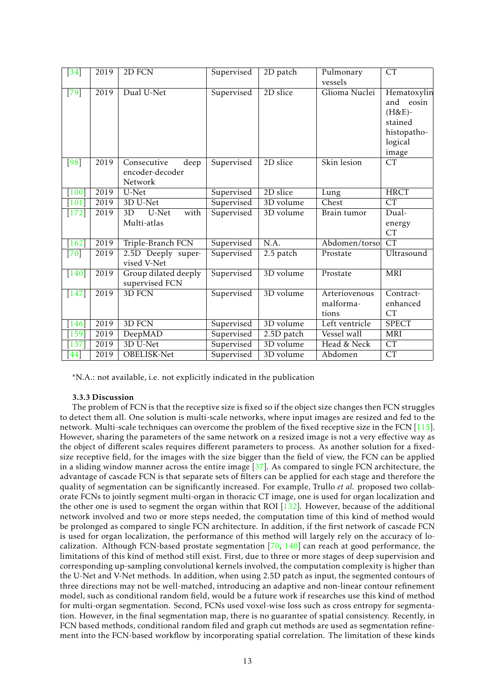| $\left[34\right]$   | 2019 | 2D FCN                                            | Supervised | 2D patch               | Pulmonary<br>vessels                | CT                                                                                    |
|---------------------|------|---------------------------------------------------|------------|------------------------|-------------------------------------|---------------------------------------------------------------------------------------|
| $\overline{[79]}$   | 2019 | Dual U-Net                                        | Supervised | 2D slice               | Glioma Nuclei                       | Hematoxylin<br>and<br>eosin<br>$(H&E)-$<br>stained<br>histopatho-<br>logical<br>image |
| [98]                | 2019 | Consecutive<br>deep<br>encoder-decoder<br>Network | Supervised | 2D slice               | Skin lesion                         | CT                                                                                    |
| $[100]$             | 2019 | U-Net                                             | Supervised | 2D slice               | Lung                                | <b>HRCT</b>                                                                           |
| $\lceil 101 \rceil$ | 2019 | 3D U-Net                                          | Supervised | 3D volume              | Chest                               | $\overline{\text{CT}}$                                                                |
| $[172]$             | 2019 | U-Net<br>with<br>3D<br>Multi-atlas                | Supervised | 3D volume              | Brain tumor                         | Dual-<br>energy<br><b>CT</b>                                                          |
| $[162]$             | 2019 | Triple-Branch FCN                                 | Supervised | N.A.                   | Abdomen/torso                       | CT                                                                                    |
| $[70]$              | 2019 | 2.5D Deeply super-<br>vised V-Net                 | Supervised | 2.5 patch              | Prostate                            | Ultrasound                                                                            |
| $[140]$             | 2019 | Group dilated deeply<br>supervised FCN            | Supervised | 3D volume              | Prostate                            | MRI                                                                                   |
| $[147]$             | 2019 | 3D FCN                                            | Supervised | $\overline{3D}$ volume | Arteriovenous<br>malforma-<br>tions | Contract-<br>enhanced<br><b>CT</b>                                                    |
| $[146]$             | 2019 | 3D FCN                                            | Supervised | 3D volume              | Left ventricle                      | <b>SPECT</b>                                                                          |
| 159                 | 2019 | DeepMAD                                           | Supervised | 2.5D patch             | Vessel wall                         | <b>MRI</b>                                                                            |
| 137                 | 2019 | 3D U-Net                                          | Supervised | 3D volume              | Head & Neck                         | CT                                                                                    |
| [44]                | 2019 | OBELISK-Net                                       | Supervised | 3D volume              | Abdomen                             | <b>CT</b>                                                                             |

\*N.A.: not available, i.e. not explicitly indicated in the publication

### 3.3.3 Discussion

The problem of FCN is that the receptive size is fixed so if the object size changes then FCN struggles to detect them all. One solution is multi-scale networks, where input images are resized and fed to the network. Multi-scale techniques can overcome the problem of the fixed receptive size in the FCN [\[115\]](#page-30-6). However, sharing the parameters of the same network on a resized image is not a very effective way as the object of different scales requires different parameters to process. As another solution for a fixedsize receptive field, for the images with the size bigger than the field of view, the FCN can be applied in a sliding window manner across the entire image [\[37\]](#page-24-3). As compared to single FCN architecture, the advantage of cascade FCN is that separate sets of filters can be applied for each stage and therefore the quality of segmentation can be significantly increased. For example, Trullo *et al.* proposed two collaborate FCNs to jointly segment multi-organ in thoracic CT image, one is used for organ localization and the other one is used to segment the organ within that ROI  $[132]$ . However, because of the additional network involved and two or more steps needed, the computation time of this kind of method would be prolonged as compared to single FCN architecture. In addition, if the first network of cascade FCN is used for organ localization, the performance of this method will largely rely on the accuracy of localization. Although FCN-based prostate segmentation [\[70,](#page-27-3) [140\]](#page-32-1) can reach at good performance, the limitations of this kind of method still exist. First, due to three or more stages of deep supervision and corresponding up-sampling convolutional kernels involved, the computation complexity is higher than the U-Net and V-Net methods. In addition, when using 2.5D patch as input, the segmented contours of three directions may not be well-matched, introducing an adaptive and non-linear contour refinement model, such as conditional random field, would be a future work if researches use this kind of method for multi-organ segmentation. Second, FCNs used voxel-wise loss such as cross entropy for segmentation. However, in the final segmentation map, there is no guarantee of spatial consistency. Recently, in FCN based methods, conditional random filed and graph cut methods are used as segmentation refinement into the FCN-based workflow by incorporating spatial correlation. The limitation of these kinds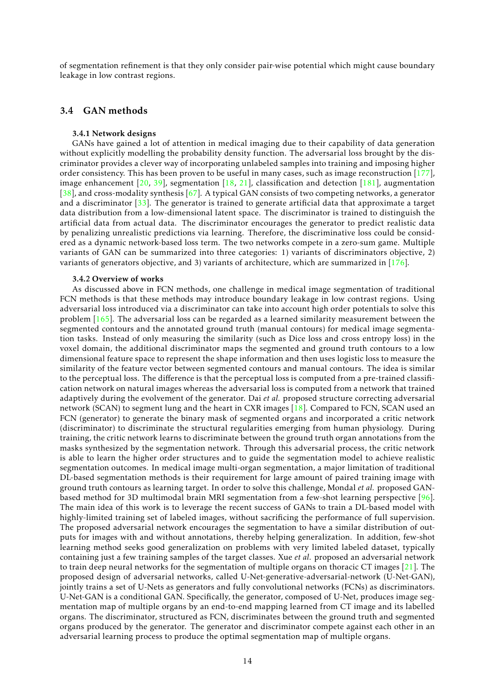of segmentation refinement is that they only consider pair-wise potential which might cause boundary leakage in low contrast regions.

### 3.4 GAN methods

### 3.4.1 Network designs

GANs have gained a lot of attention in medical imaging due to their capability of data generation without explicitly modelling the probability density function. The adversarial loss brought by the discriminator provides a clever way of incorporating unlabeled samples into training and imposing higher order consistency. This has been proven to be useful in many cases, such as image reconstruction [\[177\]](#page-35-10), image enhancement  $[20, 39]$  $[20, 39]$  $[20, 39]$ , segmentation  $[18, 21]$  $[18, 21]$  $[18, 21]$ , classification and detection  $[181]$ , augmentation [\[38\]](#page-25-12), and cross-modality synthesis [\[67\]](#page-26-4). A typical GAN consists of two competing networks, a generator and a discriminator  $\lceil 33 \rceil$ . The generator is trained to generate artificial data that approximate a target data distribution from a low-dimensional latent space. The discriminator is trained to distinguish the artificial data from actual data. The discriminator encourages the generator to predict realistic data by penalizing unrealistic predictions via learning. Therefore, the discriminative loss could be considered as a dynamic network-based loss term. The two networks compete in a zero-sum game. Multiple variants of GAN can be summarized into three categories: 1) variants of discriminators objective, 2) variants of generators objective, and 3) variants of architecture, which are summarized in [\[176\]](#page-35-11).

#### 3.4.2 Overview of works

As discussed above in FCN methods, one challenge in medical image segmentation of traditional FCN methods is that these methods may introduce boundary leakage in low contrast regions. Using adversarial loss introduced via a discriminator can take into account high order potentials to solve this problem [\[165\]](#page-34-7). The adversarial loss can be regarded as a learned similarity measurement between the segmented contours and the annotated ground truth (manual contours) for medical image segmentation tasks. Instead of only measuring the similarity (such as Dice loss and cross entropy loss) in the voxel domain, the additional discriminator maps the segmented and ground truth contours to a low dimensional feature space to represent the shape information and then uses logistic loss to measure the similarity of the feature vector between segmented contours and manual contours. The idea is similar to the perceptual loss. The difference is that the perceptual loss is computed from a pre-trained classification network on natural images whereas the adversarial loss is computed from a network that trained adaptively during the evolvement of the generator. Dai *et al.* proposed structure correcting adversarial network (SCAN) to segment lung and the heart in CXR images [\[18\]](#page-23-12). Compared to FCN, SCAN used an FCN (generator) to generate the binary mask of segmented organs and incorporated a critic network (discriminator) to discriminate the structural regularities emerging from human physiology. During training, the critic network learns to discriminate between the ground truth organ annotations from the masks synthesized by the segmentation network. Through this adversarial process, the critic network is able to learn the higher order structures and to guide the segmentation model to achieve realistic segmentation outcomes. In medical image multi-organ segmentation, a major limitation of traditional DL-based segmentation methods is their requirement for large amount of paired training image with ground truth contours as learning target. In order to solve this challenge, Mondal *et al.* proposed GANbased method for 3D multimodal brain MRI segmentation from a few-shot learning perspective [\[96\]](#page-29-9). The main idea of this work is to leverage the recent success of GANs to train a DL-based model with highly-limited training set of labeled images, without sacrificing the performance of full supervision. The proposed adversarial network encourages the segmentation to have a similar distribution of outputs for images with and without annotations, thereby helping generalization. In addition, few-shot learning method seeks good generalization on problems with very limited labeled dataset, typically containing just a few training samples of the target classes. Xue *et al.* proposed an adversarial network to train deep neural networks for the segmentation of multiple organs on thoracic CT images [\[21\]](#page-23-3). The proposed design of adversarial networks, called U-Net-generative-adversarial-network (U-Net-GAN), jointly trains a set of U-Nets as generators and fully convolutional networks (FCNs) as discriminators. U-Net-GAN is a conditional GAN. Specifically, the generator, composed of U-Net, produces image segmentation map of multiple organs by an end-to-end mapping learned from CT image and its labelled organs. The discriminator, structured as FCN, discriminates between the ground truth and segmented organs produced by the generator. The generator and discriminator compete against each other in an adversarial learning process to produce the optimal segmentation map of multiple organs.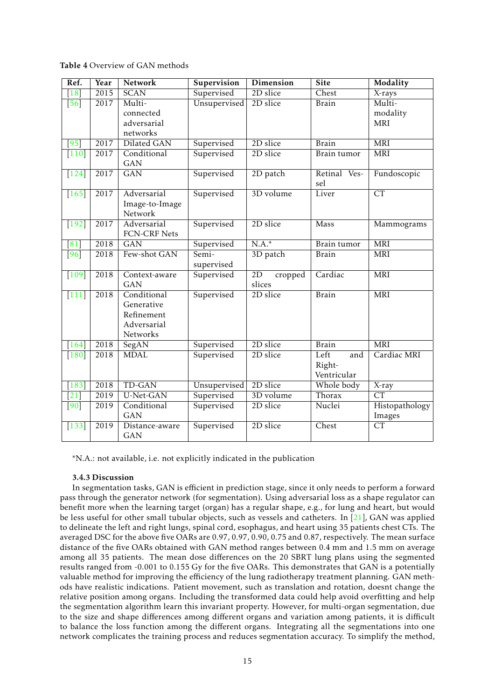Table 4 Overview of GAN methods

| Ref.               | Year | Network                     | Supervision  | <b>Dimension</b> | <b>Site</b>         | Modality               |
|--------------------|------|-----------------------------|--------------|------------------|---------------------|------------------------|
| 18                 | 2015 | <b>SCAN</b>                 | Supervised   | 2D slice         | Chest               | X-rays                 |
| $\overline{[56]}$  | 2017 | Multi-                      | Unsupervised | 2D slice         | <b>Brain</b>        | Multi-                 |
|                    |      | connected                   |              |                  |                     | modality               |
|                    |      | adversarial                 |              |                  |                     | <b>MRI</b>             |
|                    |      | networks                    |              |                  |                     |                        |
| $\sqrt{95}$        | 2017 | Dilated GAN                 | Supervised   | 2D slice         | <b>Brain</b>        | <b>MRI</b>             |
| $[110]$            | 2017 | Conditional<br><b>GAN</b>   | Supervised   | 2D slice         | Brain tumor         | <b>MRI</b>             |
| $[124]$            | 2017 | $\overline{GAN}$            | Supervised   | 2D patch         | Retinal Ves-<br>sel | Fundoscopic            |
| $[165]$            | 2017 | Adversarial                 | Supervised   | 3D volume        | Liver               | $\overline{\text{CT}}$ |
|                    |      | Image-to-Image<br>Network   |              |                  |                     |                        |
| $[192]$            | 2017 | Adversarial<br>FCN-CRF Nets | Supervised   | 2D slice         | <b>Mass</b>         | Mammograms             |
| $\lceil 81 \rceil$ | 2018 | GAN                         | Supervised   | $N.A.*$          | Brain tumor         | <b>MRI</b>             |
| [96]               | 2018 | Few-shot GAN                | Semi-        | 3D patch         | <b>Brain</b>        | <b>MRI</b>             |
|                    |      |                             | supervised   |                  |                     |                        |
| $[109]$            | 2018 | Context-aware               | Supervised   | 2D<br>cropped    | Cardiac             | <b>MRI</b>             |
|                    |      | <b>GAN</b>                  |              | slices           |                     |                        |
| $[111]$            | 2018 | Conditional                 | Supervised   | 2D slice         | <b>Brain</b>        | <b>MRI</b>             |
|                    |      | Generative                  |              |                  |                     |                        |
|                    |      | Refinement                  |              |                  |                     |                        |
|                    |      | Adversarial<br>Networks     |              |                  |                     |                        |
| 164                | 2018 | SegAN                       | Supervised   | 2D slice         | <b>Brain</b>        | <b>MRI</b>             |
| $[180]$            | 2018 | <b>MDAL</b>                 | Supervised   | 2D slice         | Left<br>and         | Cardiac MRI            |
|                    |      |                             |              |                  | Right-              |                        |
|                    |      |                             |              |                  | Ventricular         |                        |
| $[183]$            | 2018 | <b>TD-GAN</b>               | Unsupervised | 2D slice         | Whole body          | X-ray                  |
| $\lceil 21 \rceil$ | 2019 | U-Net-GAN                   | Supervised   | 3D volume        | Thorax              | <b>CT</b>              |
| [90]               | 2019 | Conditional                 | Supervised   | 2D slice         | Nuclei              | Histopathology         |
|                    |      | <b>GAN</b>                  |              |                  |                     | Images                 |
| $[133]$            | 2019 | Distance-aware              | Supervised   | 2D slice         | Chest               | CT                     |
|                    |      | <b>GAN</b>                  |              |                  |                     |                        |

\*N.A.: not available, i.e. not explicitly indicated in the publication

### 3.4.3 Discussion

In segmentation tasks, GAN is efficient in prediction stage, since it only needs to perform a forward pass through the generator network (for segmentation). Using adversarial loss as a shape regulator can benefit more when the learning target (organ) has a regular shape, e.g., for lung and heart, but would be less useful for other small tubular objects, such as vessels and catheters. In [\[21\]](#page-23-3), GAN was applied to delineate the left and right lungs, spinal cord, esophagus, and heart using 35 patients chest CTs. The averaged DSC for the above five OARs are 0.97, 0.97, 0.90, 0.75 and 0.87, respectively. The mean surface distance of the five OARs obtained with GAN method ranges between 0.4 mm and 1.5 mm on average among all 35 patients. The mean dose differences on the 20 SBRT lung plans using the segmented results ranged from -0.001 to 0.155 Gy for the five OARs. This demonstrates that GAN is a potentially valuable method for improving the efficiency of the lung radiotherapy treatment planning. GAN methods have realistic indications. Patient movement, such as translation and rotation, doesnt change the relative position among organs. Including the transformed data could help avoid overfitting and help the segmentation algorithm learn this invariant property. However, for multi-organ segmentation, due to the size and shape differences among different organs and variation among patients, it is difficult to balance the loss function among the different organs. Integrating all the segmentations into one network complicates the training process and reduces segmentation accuracy. To simplify the method,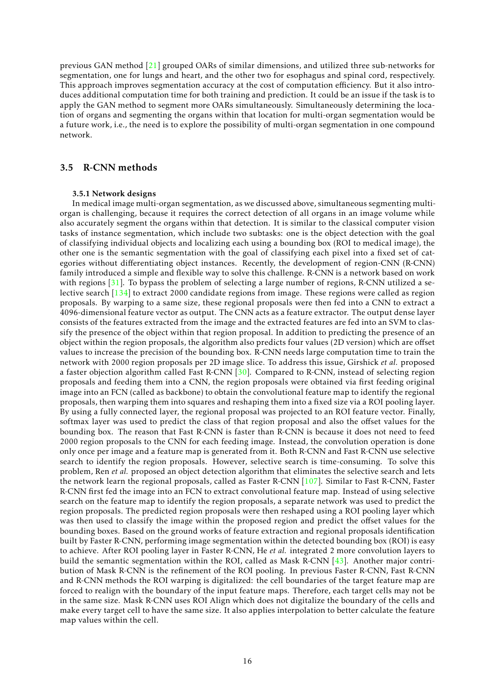previous GAN method [\[21\]](#page-23-3) grouped OARs of similar dimensions, and utilized three sub-networks for segmentation, one for lungs and heart, and the other two for esophagus and spinal cord, respectively. This approach improves segmentation accuracy at the cost of computation efficiency. But it also introduces additional computation time for both training and prediction. It could be an issue if the task is to apply the GAN method to segment more OARs simultaneously. Simultaneously determining the location of organs and segmenting the organs within that location for multi-organ segmentation would be a future work, i.e., the need is to explore the possibility of multi-organ segmentation in one compound network.

### 3.5 R-CNN methods

### 3.5.1 Network designs

In medical image multi-organ segmentation, as we discussed above, simultaneous segmenting multiorgan is challenging, because it requires the correct detection of all organs in an image volume while also accurately segment the organs within that detection. It is similar to the classical computer vision tasks of instance segmentation, which include two subtasks: one is the object detection with the goal of classifying individual objects and localizing each using a bounding box (ROI to medical image), the other one is the semantic segmentation with the goal of classifying each pixel into a fixed set of categories without differentiating object instances. Recently, the development of region-CNN (R-CNN) family introduced a simple and flexible way to solve this challenge. R-CNN is a network based on work with regions [\[31\]](#page-24-11). To bypass the problem of selecting a large number of regions, R-CNN utilized a selective search [\[134\]](#page-32-12) to extract 2000 candidate regions from image. These regions were called as region proposals. By warping to a same size, these regional proposals were then fed into a CNN to extract a 4096-dimensional feature vector as output. The CNN acts as a feature extractor. The output dense layer consists of the features extracted from the image and the extracted features are fed into an SVM to classify the presence of the object within that region proposal. In addition to predicting the presence of an object within the region proposals, the algorithm also predicts four values (2D version) which are offset values to increase the precision of the bounding box. R-CNN needs large computation time to train the network with 2000 region proposals per 2D image slice. To address this issue, Girshick *et al.* proposed a faster objection algorithm called Fast R-CNN [\[30\]](#page-24-12). Compared to R-CNN, instead of selecting region proposals and feeding them into a CNN, the region proposals were obtained via first feeding original image into an FCN (called as backbone) to obtain the convolutional feature map to identify the regional proposals, then warping them into squares and reshaping them into a fixed size via a ROI pooling layer. By using a fully connected layer, the regional proposal was projected to an ROI feature vector. Finally, softmax layer was used to predict the class of that region proposal and also the offset values for the bounding box. The reason that Fast R-CNN is faster than R-CNN is because it does not need to feed 2000 region proposals to the CNN for each feeding image. Instead, the convolution operation is done only once per image and a feature map is generated from it. Both R-CNN and Fast R-CNN use selective search to identify the region proposals. However, selective search is time-consuming. To solve this problem, Ren *et al.* proposed an object detection algorithm that eliminates the selective search and lets the network learn the regional proposals, called as Faster R-CNN [\[107\]](#page-30-10). Similar to Fast R-CNN, Faster R-CNN first fed the image into an FCN to extract convolutional feature map. Instead of using selective search on the feature map to identify the region proposals, a separate network was used to predict the region proposals. The predicted region proposals were then reshaped using a ROI pooling layer which was then used to classify the image within the proposed region and predict the offset values for the bounding boxes. Based on the ground works of feature extraction and regional proposals identification built by Faster R-CNN, performing image segmentation within the detected bounding box (ROI) is easy to achieve. After ROI pooling layer in Faster R-CNN, He *et al.* integrated 2 more convolution layers to build the semantic segmentation within the ROI, called as Mask R-CNN [\[43\]](#page-25-13). Another major contribution of Mask R-CNN is the refinement of the ROI pooling. In previous Faster R-CNN, Fast R-CNN and R-CNN methods the ROI warping is digitalized: the cell boundaries of the target feature map are forced to realign with the boundary of the input feature maps. Therefore, each target cells may not be in the same size. Mask R-CNN uses ROI Align which does not digitalize the boundary of the cells and make every target cell to have the same size. It also applies interpolation to better calculate the feature map values within the cell.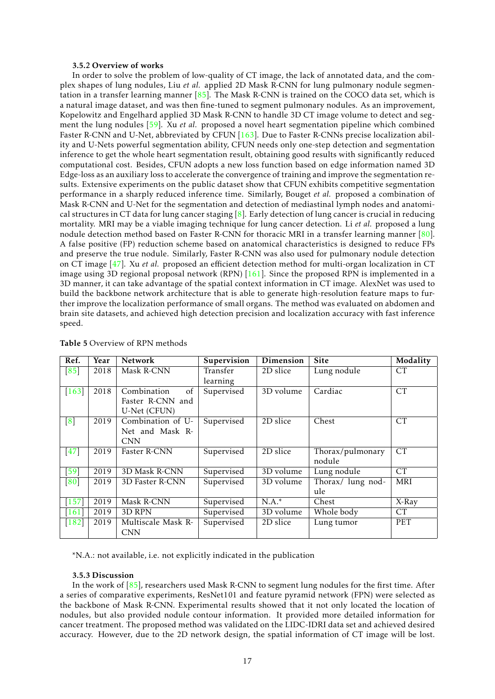#### 3.5.2 Overview of works

In order to solve the problem of low-quality of CT image, the lack of annotated data, and the complex shapes of lung nodules, Liu *et al.* applied 2D Mask R-CNN for lung pulmonary nodule segmentation in a transfer learning manner [\[85\]](#page-28-10). The Mask R-CNN is trained on the COCO data set, which is a natural image dataset, and was then fine-tuned to segment pulmonary nodules. As an improvement, Kopelowitz and Engelhard applied 3D Mask R-CNN to handle 3D CT image volume to detect and segment the lung nodules [\[59\]](#page-26-13). Xu *et al.* proposed a novel heart segmentation pipeline which combined Faster R-CNN and U-Net, abbreviated by CFUN [\[163\]](#page-34-9). Due to Faster R-CNNs precise localization ability and U-Nets powerful segmentation ability, CFUN needs only one-step detection and segmentation inference to get the whole heart segmentation result, obtaining good results with significantly reduced computational cost. Besides, CFUN adopts a new loss function based on edge information named 3D Edge-loss as an auxiliary loss to accelerate the convergence of training and improve the segmentation results. Extensive experiments on the public dataset show that CFUN exhibits competitive segmentation performance in a sharply reduced inference time. Similarly, Bouget *et al.* proposed a combination of Mask R-CNN and U-Net for the segmentation and detection of mediastinal lymph nodes and anatomical structures in CT data for lung cancer staging  $[8]$ . Early detection of lung cancer is crucial in reducing mortality. MRI may be a viable imaging technique for lung cancer detection. Li *et al.* proposed a lung nodule detection method based on Faster R-CNN for thoracic MRI in a transfer learning manner [\[80\]](#page-28-11). A false positive (FP) reduction scheme based on anatomical characteristics is designed to reduce FPs and preserve the true nodule. Similarly, Faster R-CNN was also used for pulmonary nodule detection on CT image [\[47\]](#page-25-14). Xu *et al.* proposed an efficient detection method for multi-organ localization in CT image using 3D regional proposal network (RPN) [\[161\]](#page-34-10). Since the proposed RPN is implemented in a 3D manner, it can take advantage of the spatial context information in CT image. AlexNet was used to build the backbone network architecture that is able to generate high-resolution feature maps to further improve the localization performance of small organs. The method was evaluated on abdomen and brain site datasets, and achieved high detection precision and localization accuracy with fast inference speed.

| Ref.                | Year | <b>Network</b>     | Supervision | Dimension | <b>Site</b>       | Modality  |
|---------------------|------|--------------------|-------------|-----------|-------------------|-----------|
| [85]                | 2018 | Mask R-CNN         | Transfer    | 2D slice  | Lung nodule       | <b>CT</b> |
|                     |      |                    | learning    |           |                   |           |
| $[163]$             | 2018 | Combination<br>of  | Supervised  | 3D volume | Cardiac           | <b>CT</b> |
|                     |      | Faster R-CNN and   |             |           |                   |           |
|                     |      | U-Net (CFUN)       |             |           |                   |           |
| $\left[8\right]$    | 2019 | Combination of U-  | Supervised  | 2D slice  | Chest             | <b>CT</b> |
|                     |      | Net and Mask R-    |             |           |                   |           |
|                     |      | <b>CNN</b>         |             |           |                   |           |
| $[47]$              | 2019 | Faster R-CNN       | Supervised  | 2D slice  | Thorax/pulmonary  | <b>CT</b> |
|                     |      |                    |             |           | nodule            |           |
| $[59]$              | 2019 | 3D Mask R-CNN      | Supervised  | 3D volume | Lung nodule       | <b>CT</b> |
| [80]                | 2019 | 3D Faster R-CNN    | Supervised  | 3D volume | Thorax/ lung nod- | MRI       |
|                     |      |                    |             |           | ule               |           |
| $[157]$             | 2019 | Mask R-CNN         | Supervised  | $N.A.*$   | Chest             | X-Ray     |
| $\lceil 161 \rceil$ | 2019 | 3D RPN             | Supervised  | 3D volume | Whole body        | <b>CT</b> |
| $[182]$             | 2019 | Multiscale Mask R- | Supervised  | 2D slice  | Lung tumor        | PET       |
|                     |      | <b>CNN</b>         |             |           |                   |           |

### Table 5 Overview of RPN methods

\*N.A.: not available, i.e. not explicitly indicated in the publication

#### 3.5.3 Discussion

In the work of [\[85\]](#page-28-10), researchers used Mask R-CNN to segment lung nodules for the first time. After a series of comparative experiments, ResNet101 and feature pyramid network (FPN) were selected as the backbone of Mask R-CNN. Experimental results showed that it not only located the location of nodules, but also provided nodule contour information. It provided more detailed information for cancer treatment. The proposed method was validated on the LIDC-IDRI data set and achieved desired accuracy. However, due to the 2D network design, the spatial information of CT image will be lost.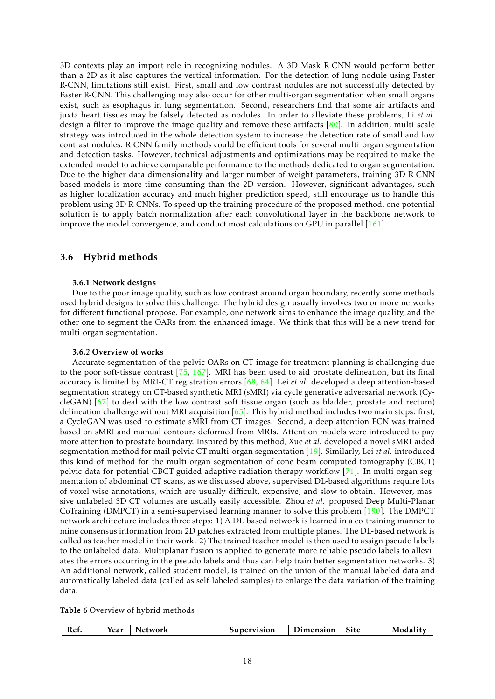3D contexts play an import role in recognizing nodules. A 3D Mask R-CNN would perform better than a 2D as it also captures the vertical information. For the detection of lung nodule using Faster R-CNN, limitations still exist. First, small and low contrast nodules are not successfully detected by Faster R-CNN. This challenging may also occur for other multi-organ segmentation when small organs exist, such as esophagus in lung segmentation. Second, researchers find that some air artifacts and juxta heart tissues may be falsely detected as nodules. In order to alleviate these problems, Li *et al.* design a filter to improve the image quality and remove these artifacts  $[80]$ . In addition, multi-scale strategy was introduced in the whole detection system to increase the detection rate of small and low contrast nodules. R-CNN family methods could be efficient tools for several multi-organ segmentation and detection tasks. However, technical adjustments and optimizations may be required to make the extended model to achieve comparable performance to the methods dedicated to organ segmentation. Due to the higher data dimensionality and larger number of weight parameters, training 3D R-CNN based models is more time-consuming than the 2D version. However, significant advantages, such as higher localization accuracy and much higher prediction speed, still encourage us to handle this problem using 3D R-CNNs. To speed up the training procedure of the proposed method, one potential solution is to apply batch normalization after each convolutional layer in the backbone network to improve the model convergence, and conduct most calculations on GPU in parallel  $[161]$ .

### 3.6 Hybrid methods

### 3.6.1 Network designs

Due to the poor image quality, such as low contrast around organ boundary, recently some methods used hybrid designs to solve this challenge. The hybrid design usually involves two or more networks for different functional propose. For example, one network aims to enhance the image quality, and the other one to segment the OARs from the enhanced image. We think that this will be a new trend for multi-organ segmentation.

### 3.6.2 Overview of works

Accurate segmentation of the pelvic OARs on CT image for treatment planning is challenging due to the poor soft-tissue contrast  $[75, 167]$  $[75, 167]$  $[75, 167]$ . MRI has been used to aid prostate delineation, but its final accuracy is limited by MRI-CT registration errors [\[68,](#page-27-11) [64\]](#page-26-14). Lei *et al.* developed a deep attention-based segmentation strategy on CT-based synthetic MRI (sMRI) via cycle generative adversarial network (CycleGAN) [\[67\]](#page-26-4) to deal with the low contrast soft tissue organ (such as bladder, prostate and rectum) delineation challenge without MRI acquisition  $[65]$ . This hybrid method includes two main steps: first, a CycleGAN was used to estimate sMRI from CT images. Second, a deep attention FCN was trained based on sMRI and manual contours deformed from MRIs. Attention models were introduced to pay more attention to prostate boundary. Inspired by this method, Xue *et al.* developed a novel sMRI-aided segmentation method for mail pelvic CT multi-organ segmentation [\[19\]](#page-23-0). Similarly, Lei *et al.* introduced this kind of method for the multi-organ segmentation of cone-beam computed tomography (CBCT) pelvic data for potential CBCT-guided adaptive radiation therapy workflow [\[71\]](#page-27-0). In multi-organ segmentation of abdominal CT scans, as we discussed above, supervised DL-based algorithms require lots of voxel-wise annotations, which are usually difficult, expensive, and slow to obtain. However, massive unlabeled 3D CT volumes are usually easily accessible. Zhou *et al.* proposed Deep Multi-Planar CoTraining (DMPCT) in a semi-supervised learning manner to solve this problem [\[190\]](#page-36-11). The DMPCT network architecture includes three steps: 1) A DL-based network is learned in a co-training manner to mine consensus information from 2D patches extracted from multiple planes. The DL-based network is called as teacher model in their work. 2) The trained teacher model is then used to assign pseudo labels to the unlabeled data. Multiplanar fusion is applied to generate more reliable pseudo labels to alleviates the errors occurring in the pseudo labels and thus can help train better segmentation networks. 3) An additional network, called student model, is trained on the union of the manual labeled data and automatically labeled data (called as self-labeled samples) to enlarge the data variation of the training data.

Table 6 Overview of hybrid methods

| --         | Supervision      |
|------------|------------------|
| Vear       | Modali           |
| Network    | <b>Jimension</b> |
| <b>Ket</b> | Site.            |
| TC U       | -----            |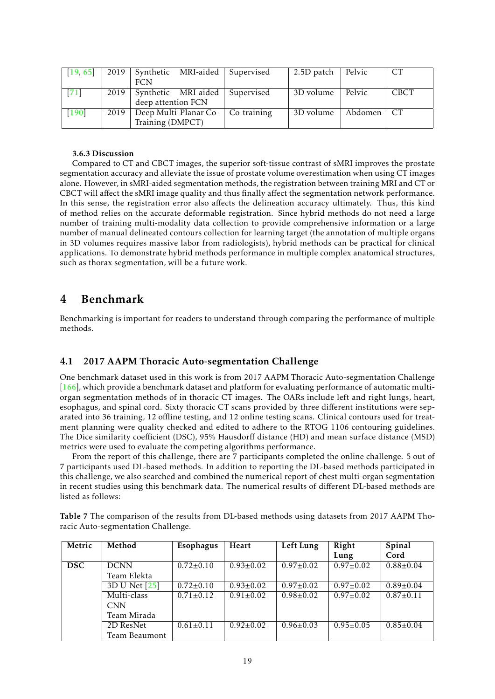| [19, 65] | 2019 | Synthetic MRI-aided Supervised |  |             | 2.5D patch | Pelvic  | <b>CT</b>   |
|----------|------|--------------------------------|--|-------------|------------|---------|-------------|
|          |      | <b>FCN</b>                     |  |             |            |         |             |
| [71]     | 2019 | Synthetic MRI-aided            |  | Supervised  | 3D volume  | Pelvic  | <b>CBCT</b> |
|          |      | deep attention FCN             |  |             |            |         |             |
| $[190]$  | 2019 | Deep Multi-Planar Co-          |  | Co-training | 3D volume  | Abdomen | <b>CT</b>   |
|          |      | Training (DMPCT)               |  |             |            |         |             |

### 3.6.3 Discussion

Compared to CT and CBCT images, the superior soft-tissue contrast of sMRI improves the prostate segmentation accuracy and alleviate the issue of prostate volume overestimation when using CT images alone. However, in sMRI-aided segmentation methods, the registration between training MRI and CT or CBCT will affect the sMRI image quality and thus finally affect the segmentation network performance. In this sense, the registration error also affects the delineation accuracy ultimately. Thus, this kind of method relies on the accurate deformable registration. Since hybrid methods do not need a large number of training multi-modality data collection to provide comprehensive information or a large number of manual delineated contours collection for learning target (the annotation of multiple organs in 3D volumes requires massive labor from radiologists), hybrid methods can be practical for clinical applications. To demonstrate hybrid methods performance in multiple complex anatomical structures, such as thorax segmentation, will be a future work.

## 4 Benchmark

Benchmarking is important for readers to understand through comparing the performance of multiple methods.

### 4.1 2017 AAPM Thoracic Auto-segmentation Challenge

One benchmark dataset used in this work is from 2017 AAPM Thoracic Auto-segmentation Challenge [\[166\]](#page-34-12), which provide a benchmark dataset and platform for evaluating performance of automatic multiorgan segmentation methods of in thoracic CT images. The OARs include left and right lungs, heart, esophagus, and spinal cord. Sixty thoracic CT scans provided by three different institutions were separated into 36 training, 12 offline testing, and 12 online testing scans. Clinical contours used for treatment planning were quality checked and edited to adhere to the RTOG 1106 contouring guidelines. The Dice similarity coefficient (DSC), 95% Hausdorff distance (HD) and mean surface distance (MSD) metrics were used to evaluate the competing algorithms performance.

From the report of this challenge, there are 7 participants completed the online challenge. 5 out of 7 participants used DL-based methods. In addition to reporting the DL-based methods participated in this challenge, we also searched and combined the numerical report of chest multi-organ segmentation in recent studies using this benchmark data. The numerical results of different DL-based methods are listed as follows:

| Metric     | Method        | Esophagus       | Heart           | Left Lung       | Right           | Spinal          |
|------------|---------------|-----------------|-----------------|-----------------|-----------------|-----------------|
|            |               |                 |                 |                 | Lung            | Cord            |
| <b>DSC</b> | <b>DCNN</b>   | $0.72 \pm 0.10$ | $0.93 + 0.02$   | $0.97+0.02$     | $0.97 \pm 0.02$ | $0.88 \pm 0.04$ |
|            | Team Elekta   |                 |                 |                 |                 |                 |
|            | 3D U-Net [25] | $0.72 \pm 0.10$ | $0.93 \pm 0.02$ | $0.97 \pm 0.02$ | $0.97 \pm 0.02$ | $0.89 \pm 0.04$ |
|            | Multi-class   | $0.71 \pm 0.12$ | $0.91 \pm 0.02$ | $0.98 \pm 0.02$ | $0.97 \pm 0.02$ | $0.87 \pm 0.11$ |
|            | <b>CNN</b>    |                 |                 |                 |                 |                 |
|            | Team Mirada   |                 |                 |                 |                 |                 |
|            | 2D ResNet     | $0.61 \pm 0.11$ | $0.92 \pm 0.02$ | $0.96 \pm 0.03$ | $0.95 \pm 0.05$ | $0.85 \pm 0.04$ |
|            | Team Beaumont |                 |                 |                 |                 |                 |

Table 7 The comparison of the results from DL-based methods using datasets from 2017 AAPM Thoracic Auto-segmentation Challenge.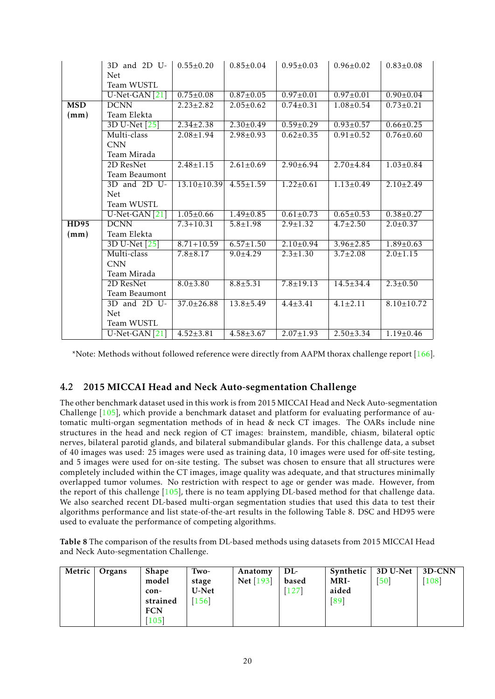|             | 3D and 2D U-              | $0.55 \pm 0.20$   | $0.85 \pm 0.04$ | $0.95 \pm 0.03$ | $0.96 \pm 0.02$ | $0.83 \pm 0.08$  |
|-------------|---------------------------|-------------------|-----------------|-----------------|-----------------|------------------|
|             | <b>Net</b>                |                   |                 |                 |                 |                  |
|             | Team WUSTL                |                   |                 |                 |                 |                  |
|             | U-Net-GAN <sup>[21]</sup> | $0.75 \pm 0.08$   | $0.87 \pm 0.05$ | $0.97 \pm 0.01$ | $0.97 \pm 0.01$ | $0.90 \pm 0.04$  |
| <b>MSD</b>  | <b>DCNN</b>               | $2.23 \pm 2.82$   | $2.05 \pm 0.62$ | $0.74 \pm 0.31$ | $1.08 \pm 0.54$ | $0.73 \pm 0.21$  |
| (mm)        | Team Elekta               |                   |                 |                 |                 |                  |
|             | 3D U-Net [25]             | $2.34 \pm 2.38$   | $2.30 \pm 0.49$ | $0.59 \pm 0.29$ | $0.93 \pm 0.57$ | $0.66 \pm 0.25$  |
|             | Multi-class               | $2.08 \pm 1.94$   | $2.98 \pm 0.93$ | $0.62 \pm 0.35$ | $0.91 \pm 0.52$ | $0.76 \pm 0.60$  |
|             | <b>CNN</b>                |                   |                 |                 |                 |                  |
|             | Team Mirada               |                   |                 |                 |                 |                  |
|             | 2D ResNet                 | $2.48 \pm 1.15$   | $2.61 \pm 0.69$ | $2.90 \pm 6.94$ | $2.70 \pm 4.84$ | $1.03 \pm 0.84$  |
|             | Team Beaumont             |                   |                 |                 |                 |                  |
|             | 3D and 2D U-              | $13.10 \pm 10.39$ | $4.55 \pm 1.59$ | $1.22 \pm 0.61$ | $1.13 \pm 0.49$ | $2.10 \pm 2.49$  |
|             | <b>Net</b>                |                   |                 |                 |                 |                  |
|             | Team WUSTL                |                   |                 |                 |                 |                  |
|             | $U$ -Net-GAN $[21]$       | $1.05 \pm 0.66$   | $1.49 \pm 0.85$ | $0.61 \pm 0.73$ | $0.65 \pm 0.53$ | $0.38 \pm 0.27$  |
| <b>HD95</b> | <b>DCNN</b>               | $7.3 + 10.31$     | $5.8 \pm 1.98$  | $2.9 \pm 1.32$  | $4.7 \pm 2.50$  | $2.0 \pm 0.37$   |
| (mm)        | Team Elekta               |                   |                 |                 |                 |                  |
|             | 3D U-Net [25]             | $8.71 + 10.59$    | $6.57 \pm 1.50$ | $2.10 \pm 0.94$ | $3.96 \pm 2.85$ | $1.89 \pm 0.63$  |
|             | Multi-class               | $7.8 + 8.17$      | $9.0 \pm 4.29$  | $2.3 \pm 1.30$  | $3.7 \pm 2.08$  | $2.0 \pm 1.15$   |
|             | <b>CNN</b>                |                   |                 |                 |                 |                  |
|             | Team Mirada               |                   |                 |                 |                 |                  |
|             | 2D ResNet                 | $8.0 + 3.80$      | $8.8 + 5.31$    | $7.8 \pm 19.13$ | $14.5 \pm 34.4$ | $2.3 \pm 0.50$   |
|             | Team Beaumont             |                   |                 |                 |                 |                  |
|             | 3D and 2D U-              | $37.0 \pm 26.88$  | $13.8 \pm 5.49$ | $4.4 \pm 3.41$  | $4.1 \pm 2.11$  | $8.10 \pm 10.72$ |
|             | <b>Net</b>                |                   |                 |                 |                 |                  |
|             | Team WUSTL                |                   |                 |                 |                 |                  |
|             | $U$ -Net-GAN $[21]$       | $4.52 \pm 3.81$   | $4.58 \pm 3.67$ | $2.07 \pm 1.93$ | $2.50 \pm 3.34$ | $1.19 \pm 0.46$  |

\*Note: Methods without followed reference were directly from AAPM thorax challenge report [\[166\]](#page-34-12).

## 4.2 2015 MICCAI Head and Neck Auto-segmentation Challenge

The other benchmark dataset used in this work is from 2015 MICCAI Head and Neck Auto-segmentation Challenge [\[105\]](#page-30-11), which provide a benchmark dataset and platform for evaluating performance of automatic multi-organ segmentation methods of in head & neck CT images. The OARs include nine structures in the head and neck region of CT images: brainstem, mandible, chiasm, bilateral optic nerves, bilateral parotid glands, and bilateral submandibular glands. For this challenge data, a subset of 40 images was used: 25 images were used as training data, 10 images were used for off-site testing, and 5 images were used for on-site testing. The subset was chosen to ensure that all structures were completely included within the CT images, image quality was adequate, and that structures minimally overlapped tumor volumes. No restriction with respect to age or gender was made. However, from the report of this challenge [\[105\]](#page-30-11), there is no team applying DL-based method for that challenge data. We also searched recent DL-based multi-organ segmentation studies that used this data to test their algorithms performance and list state-of-the-art results in the following Table 8. DSC and HD95 were used to evaluate the performance of competing algorithms.

Table 8 The comparison of the results from DL-based methods using datasets from 2015 MICCAI Head and Neck Auto-segmentation Challenge.

| Metric | Organs | <b>Shape</b><br>model<br>con-<br>strained<br><b>FCN</b><br>$[105]$ | Two-<br>stage<br>U-Net<br>$[156]$ | Anatomy<br><b>Net</b> [193] | DL-<br>based<br>$[127]$ | MRI-<br>aided<br>[89] | Synthetic $\vert$ 3D U-Net $\vert$<br>[50] | $\mid$ 3D-CNN<br>$[108]$ |
|--------|--------|--------------------------------------------------------------------|-----------------------------------|-----------------------------|-------------------------|-----------------------|--------------------------------------------|--------------------------|
|--------|--------|--------------------------------------------------------------------|-----------------------------------|-----------------------------|-------------------------|-----------------------|--------------------------------------------|--------------------------|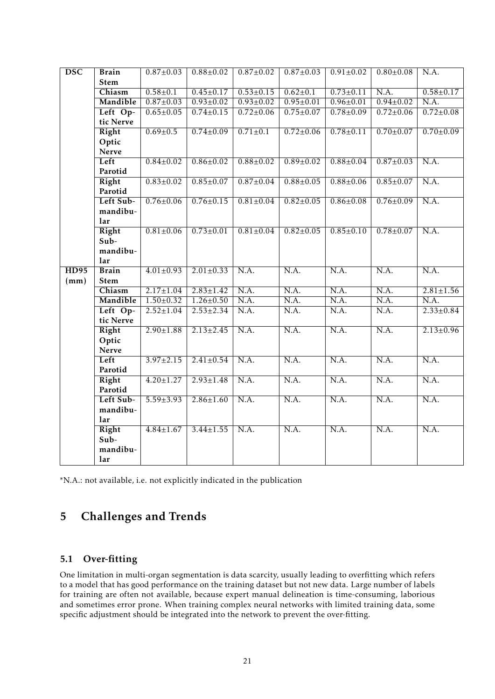| $\overline{\text{DSC}}$ | <b>Brain</b>  | $0.87 \pm 0.03$ | $0.88 \pm 0.02$ | $0.87 \pm 0.02$   | $0.87 \pm 0.03$          | $0.91 \pm 0.02$   | $0.80 \pm 0.08$   | N.A.                     |
|-------------------------|---------------|-----------------|-----------------|-------------------|--------------------------|-------------------|-------------------|--------------------------|
|                         | <b>Stem</b>   |                 |                 |                   |                          |                   |                   |                          |
|                         | Chiasm        | $0.58 \pm 0.1$  | $0.45 \pm 0.17$ | $0.53 \pm 0.15$   | $0.62 \pm 0.1$           | $0.73 \pm 0.11$   | N.A.              | $0.58 \pm 0.17$          |
|                         | Mandible      | $0.87 \pm 0.03$ | $0.93 \pm 0.02$ | $0.93 \pm 0.02$   | $0.95 \pm 0.01$          | $0.96 \pm 0.01$   | $0.94 \pm 0.02$   | N.A.                     |
|                         | Left Op-      | $0.65 \pm 0.05$ | $0.74 \pm 0.15$ | $0.72 \pm 0.06$   | $0.75 \pm 0.07$          | $0.78 \pm 0.09$   | $0.72 \pm 0.06$   | $0.72 \pm 0.08$          |
|                         | tic Nerve     |                 |                 |                   |                          |                   |                   |                          |
|                         | Right         | $0.69 \pm 0.5$  | $0.74 \pm 0.09$ | $0.71 \pm 0.1$    | $0.72 \pm 0.06$          | $0.78 \pm 0.11$   | $0.70 \pm 0.07$   | $0.70 \pm 0.09$          |
|                         | Optic         |                 |                 |                   |                          |                   |                   |                          |
|                         | <b>Nerve</b>  |                 |                 |                   |                          |                   |                   |                          |
|                         | Left          | $0.84 \pm 0.02$ | $0.86 \pm 0.02$ | $0.88 \pm 0.02$   | $0.89 \pm 0.02$          | $0.88 \pm 0.04$   | $0.87 \pm 0.03$   | N.A.                     |
|                         | Parotid       |                 |                 |                   |                          |                   |                   |                          |
|                         | Right         | $0.83 \pm 0.02$ | $0.85 \pm 0.07$ | $0.87 \pm 0.04$   | $0.88 \pm 0.05$          | $0.88 \pm 0.06$   | $0.85 \pm 0.07$   | N.A.                     |
|                         | Parotid       |                 |                 |                   |                          |                   |                   |                          |
|                         | Left Sub-     | $0.76 \pm 0.06$ | $0.76 \pm 0.15$ | $0.81 \pm 0.04$   | $0.82 \pm 0.05$          | $0.86 \pm 0.08$   | $0.76 \pm 0.09$   | N.A.                     |
|                         | mandibu-      |                 |                 |                   |                          |                   |                   |                          |
|                         | lar           | $0.81 \pm 0.06$ |                 |                   |                          |                   |                   | N.A.                     |
|                         | Right<br>Sub- |                 | $0.73 \pm 0.01$ | $0.81 \pm 0.04$   | $0.82 \pm 0.05$          | $0.85 \pm 0.10$   | $0.78 + 0.07$     |                          |
|                         | mandibu-      |                 |                 |                   |                          |                   |                   |                          |
|                         | lar           |                 |                 |                   |                          |                   |                   |                          |
| <b>HD95</b>             | <b>Brain</b>  | $4.01 \pm 0.93$ | $2.01 \pm 0.33$ | N.A.              | $\overline{\text{N.A.}}$ | N.A.              | N.A.              | N.A.                     |
| (mm)                    | <b>Stem</b>   |                 |                 |                   |                          |                   |                   |                          |
|                         | Chiasm        | $2.17 \pm 1.04$ | $2.83 \pm 1.42$ | N.A.              | N.A.                     | N.A.              | N.A.              | $2.81 \pm 1.56$          |
|                         | Mandible      | $1.50 \pm 0.32$ | $1.26 \pm 0.50$ | $\overline{NA}$ . | N.A.                     | N.A.              | N.A.              | N.A.                     |
|                         | Left Op-      | $2.52 \pm 1.04$ | $2.53 \pm 2.34$ | N.A.              | N.A.                     | N.A.              | N.A.              | $2.33 \pm 0.84$          |
|                         | tic Nerve     |                 |                 |                   |                          |                   |                   |                          |
|                         | Right         | $2.90 \pm 1.88$ | $2.13 \pm 2.45$ | N.A.              | N.A.                     | N.A.              | N.A.              | $2.13 \pm 0.96$          |
|                         | Optic         |                 |                 |                   |                          |                   |                   |                          |
|                         | Nerve         |                 |                 |                   |                          |                   |                   |                          |
|                         | Left          | $3.97 \pm 2.15$ | $2.41 \pm 0.54$ | N.A.              | N.A.                     | N.A.              | $\overline{NA}$ . | $\overline{\text{N.A.}}$ |
|                         | Parotid       |                 |                 |                   |                          |                   |                   |                          |
|                         | Right         | $4.20 \pm 1.27$ | $2.93 \pm 1.48$ | N.A.              | N.A.                     | $\overline{NA}$ . | N.A.              | N.A.                     |
|                         | Parotid       |                 |                 |                   |                          |                   |                   |                          |
|                         | Left Sub-     | $5.59 \pm 3.93$ | $2.86 \pm 1.60$ | N.A.              | N.A.                     | N.A.              | N.A.              | N.A.                     |
|                         | mandibu-      |                 |                 |                   |                          |                   |                   |                          |
|                         | lar           |                 |                 |                   |                          |                   |                   |                          |
|                         | <b>Right</b>  | $4.84 \pm 1.67$ | $3.44 \pm 1.55$ | N.A.              | N.A.                     | N.A.              | N.A.              | N.A.                     |
|                         | Sub-          |                 |                 |                   |                          |                   |                   |                          |
|                         | mandibu-      |                 |                 |                   |                          |                   |                   |                          |
|                         | lar           |                 |                 |                   |                          |                   |                   |                          |

\*N.A.: not available, i.e. not explicitly indicated in the publication

# 5 Challenges and Trends

## 5.1 Over-fitting

One limitation in multi-organ segmentation is data scarcity, usually leading to overfitting which refers to a model that has good performance on the training dataset but not new data. Large number of labels for training are often not available, because expert manual delineation is time-consuming, laborious and sometimes error prone. When training complex neural networks with limited training data, some specific adjustment should be integrated into the network to prevent the over-fitting.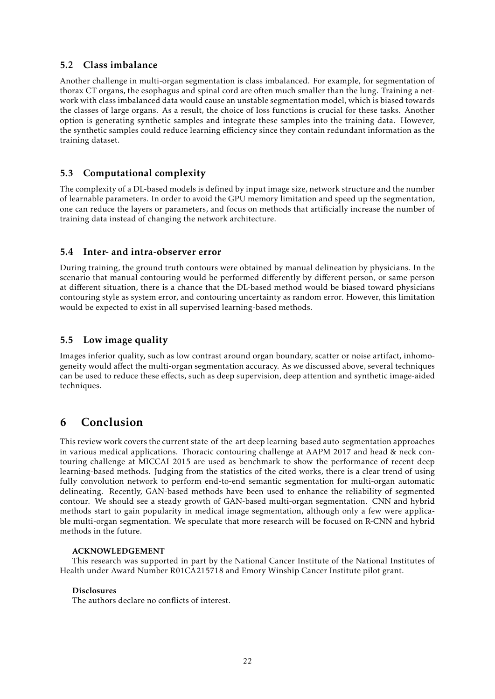## 5.2 Class imbalance

Another challenge in multi-organ segmentation is class imbalanced. For example, for segmentation of thorax CT organs, the esophagus and spinal cord are often much smaller than the lung. Training a network with class imbalanced data would cause an unstable segmentation model, which is biased towards the classes of large organs. As a result, the choice of loss functions is crucial for these tasks. Another option is generating synthetic samples and integrate these samples into the training data. However, the synthetic samples could reduce learning efficiency since they contain redundant information as the training dataset.

## 5.3 Computational complexity

The complexity of a DL-based models is defined by input image size, network structure and the number of learnable parameters. In order to avoid the GPU memory limitation and speed up the segmentation, one can reduce the layers or parameters, and focus on methods that artificially increase the number of training data instead of changing the network architecture.

### 5.4 Inter- and intra-observer error

During training, the ground truth contours were obtained by manual delineation by physicians. In the scenario that manual contouring would be performed differently by different person, or same person at different situation, there is a chance that the DL-based method would be biased toward physicians contouring style as system error, and contouring uncertainty as random error. However, this limitation would be expected to exist in all supervised learning-based methods.

## 5.5 Low image quality

Images inferior quality, such as low contrast around organ boundary, scatter or noise artifact, inhomogeneity would affect the multi-organ segmentation accuracy. As we discussed above, several techniques can be used to reduce these effects, such as deep supervision, deep attention and synthetic image-aided techniques.

## 6 Conclusion

This review work covers the current state-of-the-art deep learning-based auto-segmentation approaches in various medical applications. Thoracic contouring challenge at AAPM 2017 and head & neck contouring challenge at MICCAI 2015 are used as benchmark to show the performance of recent deep learning-based methods. Judging from the statistics of the cited works, there is a clear trend of using fully convolution network to perform end-to-end semantic segmentation for multi-organ automatic delineating. Recently, GAN-based methods have been used to enhance the reliability of segmented contour. We should see a steady growth of GAN-based multi-organ segmentation. CNN and hybrid methods start to gain popularity in medical image segmentation, although only a few were applicable multi-organ segmentation. We speculate that more research will be focused on R-CNN and hybrid methods in the future.

### ACKNOWLEDGEMENT

This research was supported in part by the National Cancer Institute of the National Institutes of Health under Award Number R01CA215718 and Emory Winship Cancer Institute pilot grant.

### Disclosures

The authors declare no conflicts of interest.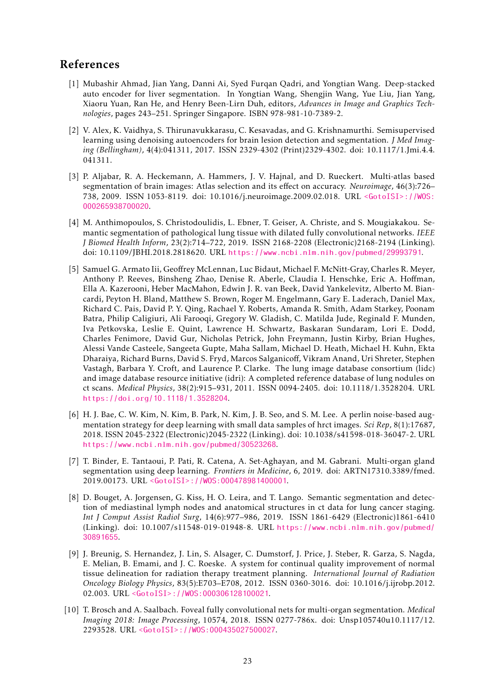## References

- <span id="page-22-3"></span>[1] Mubashir Ahmad, Jian Yang, Danni Ai, Syed Furqan Qadri, and Yongtian Wang. Deep-stacked auto encoder for liver segmentation. In Yongtian Wang, Shengjin Wang, Yue Liu, Jian Yang, Xiaoru Yuan, Ran He, and Henry Been-Lirn Duh, editors, *Advances in Image and Graphics Technologies*, pages 243–251. Springer Singapore. ISBN 978-981-10-7389-2.
- <span id="page-22-2"></span>[2] V. Alex, K. Vaidhya, S. Thirunavukkarasu, C. Kesavadas, and G. Krishnamurthi. Semisupervised learning using denoising autoencoders for brain lesion detection and segmentation. *J Med Imaging (Bellingham)*, 4(4):041311, 2017. ISSN 2329-4302 (Print)2329-4302. doi: 10.1117/1.Jmi.4.4. 041311.
- <span id="page-22-1"></span>[3] P. Aljabar, R. A. Heckemann, A. Hammers, J. V. Hajnal, and D. Rueckert. Multi-atlas based segmentation of brain images: Atlas selection and its effect on accuracy. *Neuroimage*, 46(3):726– 738, 2009. ISSN 1053-8119. doi: 10.1016/j.neuroimage.2009.02.018. URL [<GotoISI>://WOS:](<Go to ISI>://WOS:000265938700020) [000265938700020](<Go to ISI>://WOS:000265938700020).
- <span id="page-22-8"></span>[4] M. Anthimopoulos, S. Christodoulidis, L. Ebner, T. Geiser, A. Christe, and S. Mougiakakou. Semantic segmentation of pathological lung tissue with dilated fully convolutional networks. *IEEE J Biomed Health Inform*, 23(2):714–722, 2019. ISSN 2168-2208 (Electronic)2168-2194 (Linking). doi: 10.1109/JBHI.2018.2818620. URL <https://www.ncbi.nlm.nih.gov/pubmed/29993791>.
- <span id="page-22-4"></span>[5] Samuel G. Armato Iii, Geoffrey McLennan, Luc Bidaut, Michael F. McNitt-Gray, Charles R. Meyer, Anthony P. Reeves, Binsheng Zhao, Denise R. Aberle, Claudia I. Henschke, Eric A. Hoffman, Ella A. Kazerooni, Heber MacMahon, Edwin J. R. van Beek, David Yankelevitz, Alberto M. Biancardi, Peyton H. Bland, Matthew S. Brown, Roger M. Engelmann, Gary E. Laderach, Daniel Max, Richard C. Pais, David P. Y. Qing, Rachael Y. Roberts, Amanda R. Smith, Adam Starkey, Poonam Batra, Philip Caligiuri, Ali Farooqi, Gregory W. Gladish, C. Matilda Jude, Reginald F. Munden, Iva Petkovska, Leslie E. Quint, Lawrence H. Schwartz, Baskaran Sundaram, Lori E. Dodd, Charles Fenimore, David Gur, Nicholas Petrick, John Freymann, Justin Kirby, Brian Hughes, Alessi Vande Casteele, Sangeeta Gupte, Maha Sallam, Michael D. Heath, Michael H. Kuhn, Ekta Dharaiya, Richard Burns, David S. Fryd, Marcos Salganicoff, Vikram Anand, Uri Shreter, Stephen Vastagh, Barbara Y. Croft, and Laurence P. Clarke. The lung image database consortium (lidc) and image database resource initiative (idri): A completed reference database of lung nodules on ct scans. *Medical Physics*, 38(2):915–931, 2011. ISSN 0094-2405. doi: 10.1118/1.3528204. URL <https://doi.org/10.1118/1.3528204>.
- <span id="page-22-5"></span>[6] H. J. Bae, C. W. Kim, N. Kim, B. Park, N. Kim, J. B. Seo, and S. M. Lee. A perlin noise-based augmentation strategy for deep learning with small data samples of hrct images. *Sci Rep*, 8(1):17687, 2018. ISSN 2045-2322 (Electronic)2045-2322 (Linking). doi: 10.1038/s41598-018-36047-2. URL <https://www.ncbi.nlm.nih.gov/pubmed/30523268>.
- <span id="page-22-6"></span>[7] T. Binder, E. Tantaoui, P. Pati, R. Catena, A. Set-Aghayan, and M. Gabrani. Multi-organ gland segmentation using deep learning. *Frontiers in Medicine*, 6, 2019. doi: ARTN17310.3389/fmed. 2019.00173. URL [<GotoISI>://WOS:000478981400001](<Go to ISI>://WOS:000478981400001).
- <span id="page-22-9"></span>[8] D. Bouget, A. Jorgensen, G. Kiss, H. O. Leira, and T. Lango. Semantic segmentation and detection of mediastinal lymph nodes and anatomical structures in ct data for lung cancer staging. *Int J Comput Assist Radiol Surg*, 14(6):977–986, 2019. ISSN 1861-6429 (Electronic)1861-6410 (Linking). doi: 10.1007/s11548-019-01948-8. URL [https://www.ncbi.nlm.nih.gov/pubmed/](https://www.ncbi.nlm.nih.gov/pubmed/30891655) [30891655](https://www.ncbi.nlm.nih.gov/pubmed/30891655).
- <span id="page-22-0"></span>[9] J. Breunig, S. Hernandez, J. Lin, S. Alsager, C. Dumstorf, J. Price, J. Steber, R. Garza, S. Nagda, E. Melian, B. Emami, and J. C. Roeske. A system for continual quality improvement of normal tissue delineation for radiation therapy treatment planning. *International Journal of Radiation Oncology Biology Physics*, 83(5):E703–E708, 2012. ISSN 0360-3016. doi: 10.1016/j.ijrobp.2012. 02.003. URL [<GotoISI>://WOS:000306128100021](<Go to ISI>://WOS:000306128100021).
- <span id="page-22-7"></span>[10] T. Brosch and A. Saalbach. Foveal fully convolutional nets for multi-organ segmentation. *Medical Imaging 2018: Image Processing*, 10574, 2018. ISSN 0277-786x. doi: Unsp105740u10.1117/12. 2293528. URL [<GotoISI>://WOS:000435027500027](<Go to ISI>://WOS:000435027500027).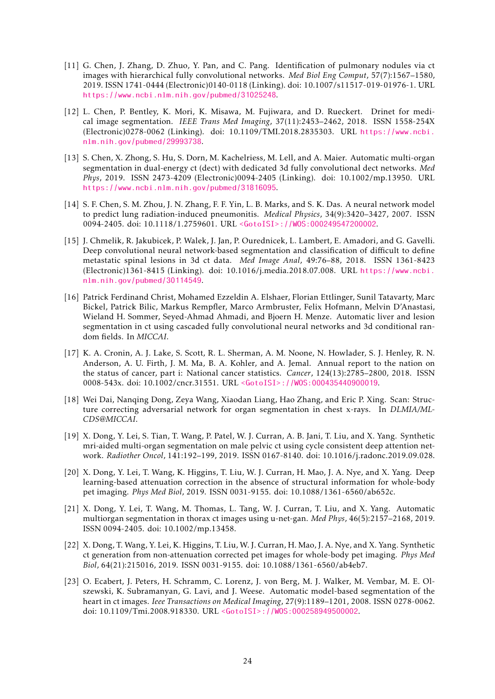- <span id="page-23-10"></span>[11] G. Chen, J. Zhang, D. Zhuo, Y. Pan, and C. Pang. Identification of pulmonary nodules via ct images with hierarchical fully convolutional networks. *Med Biol Eng Comput*, 57(7):1567–1580, 2019. ISSN 1741-0444 (Electronic)0140-0118 (Linking). doi: 10.1007/s11517-019-01976-1. URL <https://www.ncbi.nlm.nih.gov/pubmed/31025248>.
- <span id="page-23-9"></span>[12] L. Chen, P. Bentley, K. Mori, K. Misawa, M. Fujiwara, and D. Rueckert. Drinet for medical image segmentation. *IEEE Trans Med Imaging*, 37(11):2453–2462, 2018. ISSN 1558-254X (Electronic)0278-0062 (Linking). doi: 10.1109/TMI.2018.2835303. URL [https://www.ncbi.](https://www.ncbi.nlm.nih.gov/pubmed/29993738) [nlm.nih.gov/pubmed/29993738](https://www.ncbi.nlm.nih.gov/pubmed/29993738).
- <span id="page-23-11"></span>[13] S. Chen, X. Zhong, S. Hu, S. Dorn, M. Kachelriess, M. Lell, and A. Maier. Automatic multi-organ segmentation in dual-energy ct (dect) with dedicated 3d fully convolutional dect networks. *Med Phys*, 2019. ISSN 2473-4209 (Electronic)0094-2405 (Linking). doi: 10.1002/mp.13950. URL <https://www.ncbi.nlm.nih.gov/pubmed/31816095>.
- <span id="page-23-2"></span>[14] S. F. Chen, S. M. Zhou, J. N. Zhang, F. F. Yin, L. B. Marks, and S. K. Das. A neural network model to predict lung radiation-induced pneumonitis. *Medical Physics*, 34(9):3420–3427, 2007. ISSN 0094-2405. doi: 10.1118/1.2759601. URL [<GotoISI>://WOS:000249547200002](<Go to ISI>://WOS:000249547200002).
- <span id="page-23-8"></span>[15] J. Chmelik, R. Jakubicek, P. Walek, J. Jan, P. Ourednicek, L. Lambert, E. Amadori, and G. Gavelli. Deep convolutional neural network-based segmentation and classification of difficult to define metastatic spinal lesions in 3d ct data. *Med Image Anal*, 49:76–88, 2018. ISSN 1361-8423 (Electronic)1361-8415 (Linking). doi: 10.1016/j.media.2018.07.008. URL [https://www.ncbi.](https://www.ncbi.nlm.nih.gov/pubmed/30114549) [nlm.nih.gov/pubmed/30114549](https://www.ncbi.nlm.nih.gov/pubmed/30114549).
- <span id="page-23-7"></span>[16] Patrick Ferdinand Christ, Mohamed Ezzeldin A. Elshaer, Florian Ettlinger, Sunil Tatavarty, Marc Bickel, Patrick Bilic, Markus Rempfler, Marco Armbruster, Felix Hofmann, Melvin D'Anastasi, Wieland H. Sommer, Seyed-Ahmad Ahmadi, and Bjoern H. Menze. Automatic liver and lesion segmentation in ct using cascaded fully convolutional neural networks and 3d conditional random fields. In *MICCAI*.
- <span id="page-23-5"></span>[17] K. A. Cronin, A. J. Lake, S. Scott, R. L. Sherman, A. M. Noone, N. Howlader, S. J. Henley, R. N. Anderson, A. U. Firth, J. M. Ma, B. A. Kohler, and A. Jemal. Annual report to the nation on the status of cancer, part i: National cancer statistics. *Cancer*, 124(13):2785–2800, 2018. ISSN 0008-543x. doi: 10.1002/cncr.31551. URL [<GotoISI>://WOS:000435440900019](<Go to ISI>://WOS:000435440900019).
- <span id="page-23-12"></span>[18] Wei Dai, Nanqing Dong, Zeya Wang, Xiaodan Liang, Hao Zhang, and Eric P. Xing. Scan: Structure correcting adversarial network for organ segmentation in chest x-rays. In *DLMIA/ML-CDS@MICCAI*.
- <span id="page-23-0"></span>[19] X. Dong, Y. Lei, S. Tian, T. Wang, P. Patel, W. J. Curran, A. B. Jani, T. Liu, and X. Yang. Synthetic mri-aided multi-organ segmentation on male pelvic ct using cycle consistent deep attention network. *Radiother Oncol*, 141:192–199, 2019. ISSN 0167-8140. doi: 10.1016/j.radonc.2019.09.028.
- <span id="page-23-1"></span>[20] X. Dong, Y. Lei, T. Wang, K. Higgins, T. Liu, W. J. Curran, H. Mao, J. A. Nye, and X. Yang. Deep learning-based attenuation correction in the absence of structural information for whole-body pet imaging. *Phys Med Biol*, 2019. ISSN 0031-9155. doi: 10.1088/1361-6560/ab652c.
- <span id="page-23-3"></span>[21] X. Dong, Y. Lei, T. Wang, M. Thomas, L. Tang, W. J. Curran, T. Liu, and X. Yang. Automatic multiorgan segmentation in thorax ct images using u-net-gan. *Med Phys*, 46(5):2157–2168, 2019. ISSN 0094-2405. doi: 10.1002/mp.13458.
- <span id="page-23-4"></span>[22] X. Dong, T. Wang, Y. Lei, K. Higgins, T. Liu, W. J. Curran, H. Mao, J. A. Nye, and X. Yang. Synthetic ct generation from non-attenuation corrected pet images for whole-body pet imaging. *Phys Med Biol*, 64(21):215016, 2019. ISSN 0031-9155. doi: 10.1088/1361-6560/ab4eb7.
- <span id="page-23-6"></span>[23] O. Ecabert, J. Peters, H. Schramm, C. Lorenz, J. von Berg, M. J. Walker, M. Vembar, M. E. Olszewski, K. Subramanyan, G. Lavi, and J. Weese. Automatic model-based segmentation of the heart in ct images. *Ieee Transactions on Medical Imaging*, 27(9):1189–1201, 2008. ISSN 0278-0062. doi: 10.1109/Tmi.2008.918330. URL [<GotoISI>://WOS:000258949500002](<Go to ISI>://WOS:000258949500002).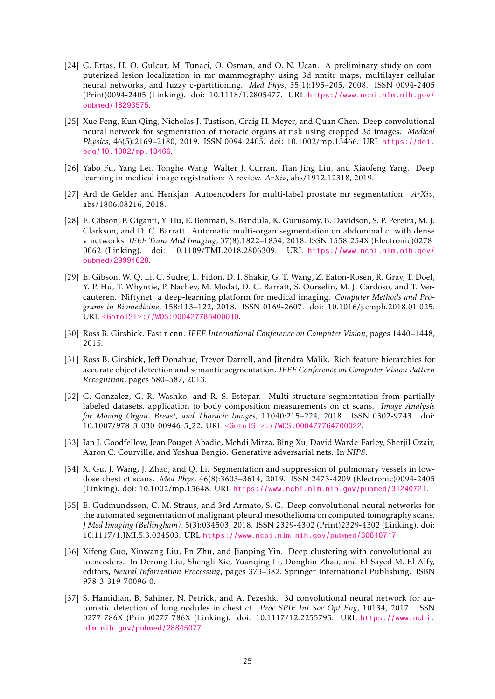- <span id="page-24-2"></span>[24] G. Ertas, H. O. Gulcur, M. Tunaci, O. Osman, and O. N. Ucan. A preliminary study on computerized lesion localization in mr mammography using 3d nmitr maps, multilayer cellular neural networks, and fuzzy c-partitioning. *Med Phys*, 35(1):195–205, 2008. ISSN 0094-2405 (Print)0094-2405 (Linking). doi: 10.1118/1.2805477. URL [https://www.ncbi.nlm.nih.gov/](https://www.ncbi.nlm.nih.gov/pubmed/18293575) [pubmed/18293575](https://www.ncbi.nlm.nih.gov/pubmed/18293575).
- <span id="page-24-13"></span>[25] Xue Feng, Kun Qing, Nicholas J. Tustison, Craig H. Meyer, and Quan Chen. Deep convolutional neural network for segmentation of thoracic organs-at-risk using cropped 3d images. *Medical Physics*, 46(5):2169–2180, 2019. ISSN 0094-2405. doi: 10.1002/mp.13466. URL [https://doi.](https://doi.org/10.1002/mp.13466) [org/10.1002/mp.13466](https://doi.org/10.1002/mp.13466).
- <span id="page-24-0"></span>[26] Yabo Fu, Yang Lei, Tonghe Wang, Walter J. Curran, Tian Jing Liu, and Xiaofeng Yang. Deep learning in medical image registration: A review. *ArXiv*, abs/1912.12318, 2019.
- <span id="page-24-5"></span>[27] Ard de Gelder and Henkjan Autoencoders for multi-label prostate mr segmentation. *ArXiv*, abs/1806.08216, 2018.
- <span id="page-24-6"></span>[28] E. Gibson, F. Giganti, Y. Hu, E. Bonmati, S. Bandula, K. Gurusamy, B. Davidson, S. P. Pereira, M. J. Clarkson, and D. C. Barratt. Automatic multi-organ segmentation on abdominal ct with dense v-networks. *IEEE Trans Med Imaging*, 37(8):1822–1834, 2018. ISSN 1558-254X (Electronic)0278- 0062 (Linking). doi: 10.1109/TMI.2018.2806309. URL [https://www.ncbi.nlm.nih.gov/](https://www.ncbi.nlm.nih.gov/pubmed/29994628) [pubmed/29994628](https://www.ncbi.nlm.nih.gov/pubmed/29994628).
- <span id="page-24-7"></span>[29] E. Gibson, W. Q. Li, C. Sudre, L. Fidon, D. I. Shakir, G. T. Wang, Z. Eaton-Rosen, R. Gray, T. Doel, Y. P. Hu, T. Whyntie, P. Nachev, M. Modat, D. C. Barratt, S. Ourselin, M. J. Cardoso, and T. Vercauteren. Niftynet: a deep-learning platform for medical imaging. *Computer Methods and Programs in Biomedicine*, 158:113–122, 2018. ISSN 0169-2607. doi: 10.1016/j.cmpb.2018.01.025. URL [<GotoISI>://WOS:000427786400010](<Go to ISI>://WOS:000427786400010).
- <span id="page-24-12"></span>[30] Ross B. Girshick. Fast r-cnn. *IEEE International Conference on Computer Vision*, pages 1440–1448, 2015.
- <span id="page-24-11"></span>[31] Ross B. Girshick, Jeff Donahue, Trevor Darrell, and Jitendra Malik. Rich feature hierarchies for accurate object detection and semantic segmentation. *IEEE Conference on Computer Vision Pattern Recognition*, pages 580–587, 2013.
- <span id="page-24-8"></span>[32] G. Gonzalez, G. R. Washko, and R. S. Estepar. Multi-structure segmentation from partially labeled datasets. application to body composition measurements on ct scans. *Image Analysis for Moving Organ, Breast, and Thoracic Images*, 11040:215–224, 2018. ISSN 0302-9743. doi: 10.1007/978-3-030-00946-5 22. URL [<GotoISI>://WOS:000477764700022](<Go to ISI>://WOS:000477764700022).
- <span id="page-24-10"></span>[33] Ian J. Goodfellow, Jean Pouget-Abadie, Mehdi Mirza, Bing Xu, David Warde-Farley, Sherjil Ozair, Aaron C. Courville, and Yoshua Bengio. Generative adversarial nets. In *NIPS*.
- <span id="page-24-9"></span>[34] X. Gu, J. Wang, J. Zhao, and Q. Li. Segmentation and suppression of pulmonary vessels in lowdose chest ct scans. *Med Phys*, 46(8):3603–3614, 2019. ISSN 2473-4209 (Electronic)0094-2405 (Linking). doi: 10.1002/mp.13648. URL <https://www.ncbi.nlm.nih.gov/pubmed/31240721>.
- <span id="page-24-4"></span>[35] E. Gudmundsson, C. M. Straus, and 3rd Armato, S. G. Deep convolutional neural networks for the automated segmentation of malignant pleural mesothelioma on computed tomography scans. *J Med Imaging (Bellingham)*, 5(3):034503, 2018. ISSN 2329-4302 (Print)2329-4302 (Linking). doi: 10.1117/1.JMI.5.3.034503. URL <https://www.ncbi.nlm.nih.gov/pubmed/30840717>.
- <span id="page-24-1"></span>[36] Xifeng Guo, Xinwang Liu, En Zhu, and Jianping Yin. Deep clustering with convolutional autoencoders. In Derong Liu, Shengli Xie, Yuanqing Li, Dongbin Zhao, and El-Sayed M. El-Alfy, editors, *Neural Information Processing*, pages 373–382. Springer International Publishing. ISBN 978-3-319-70096-0.
- <span id="page-24-3"></span>[37] S. Hamidian, B. Sahiner, N. Petrick, and A. Pezeshk. 3d convolutional neural network for automatic detection of lung nodules in chest ct. *Proc SPIE Int Soc Opt Eng*, 10134, 2017. ISSN 0277-786X (Print)0277-786X (Linking). doi: 10.1117/12.2255795. URL [https://www.ncbi.](https://www.ncbi.nlm.nih.gov/pubmed/28845077) [nlm.nih.gov/pubmed/28845077](https://www.ncbi.nlm.nih.gov/pubmed/28845077).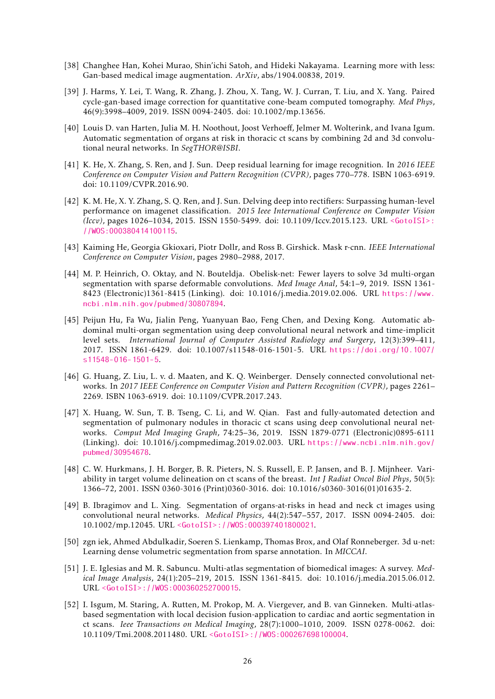- <span id="page-25-12"></span>[38] Changhee Han, Kohei Murao, Shin'ichi Satoh, and Hideki Nakayama. Learning more with less: Gan-based medical image augmentation. *ArXiv*, abs/1904.00838, 2019.
- <span id="page-25-0"></span>[39] J. Harms, Y. Lei, T. Wang, R. Zhang, J. Zhou, X. Tang, W. J. Curran, T. Liu, and X. Yang. Paired cycle-gan-based image correction for quantitative cone-beam computed tomography. *Med Phys*, 46(9):3998–4009, 2019. ISSN 0094-2405. doi: 10.1002/mp.13656.
- <span id="page-25-7"></span>[40] Louis D. van Harten, Julia M. H. Noothout, Joost Verhoeff, Jelmer M. Wolterink, and Ivana Igum. Automatic segmentation of organs at risk in thoracic ct scans by combining 2d and 3d convolutional neural networks. In *SegTHOR@ISBI*.
- <span id="page-25-5"></span>[41] K. He, X. Zhang, S. Ren, and J. Sun. Deep residual learning for image recognition. In *2016 IEEE Conference on Computer Vision and Pattern Recognition (CVPR)*, pages 770–778. ISBN 1063-6919. doi: 10.1109/CVPR.2016.90.
- <span id="page-25-4"></span>[42] K. M. He, X. Y. Zhang, S. Q. Ren, and J. Sun. Delving deep into rectifiers: Surpassing human-level performance on imagenet classification. *2015 Ieee International Conference on Computer Vision (Iccv)*, pages 1026–1034, 2015. ISSN 1550-5499. doi: 10.1109/Iccv.2015.123. URL [<GotoISI>:](<Go to ISI>://WOS:000380414100115) [//WOS:000380414100115](<Go to ISI>://WOS:000380414100115).
- <span id="page-25-13"></span>[43] Kaiming He, Georgia Gkioxari, Piotr Dollr, and Ross B. Girshick. Mask r-cnn. *IEEE International Conference on Computer Vision*, pages 2980–2988, 2017.
- <span id="page-25-11"></span>[44] M. P. Heinrich, O. Oktay, and N. Bouteldja. Obelisk-net: Fewer layers to solve 3d multi-organ segmentation with sparse deformable convolutions. *Med Image Anal*, 54:1–9, 2019. ISSN 1361- 8423 (Electronic)1361-8415 (Linking). doi: 10.1016/j.media.2019.02.006. URL [https://www.](https://www.ncbi.nlm.nih.gov/pubmed/30807894) [ncbi.nlm.nih.gov/pubmed/30807894](https://www.ncbi.nlm.nih.gov/pubmed/30807894).
- <span id="page-25-8"></span>[45] Peijun Hu, Fa Wu, Jialin Peng, Yuanyuan Bao, Feng Chen, and Dexing Kong. Automatic abdominal multi-organ segmentation using deep convolutional neural network and time-implicit level sets. *International Journal of Computer Assisted Radiology and Surgery*, 12(3):399–411, 2017. ISSN 1861-6429. doi: 10.1007/s11548-016-1501-5. URL [https://doi.org/10.1007/](https://doi.org/10.1007/s11548-016-1501-5) [s11548-016-1501-5](https://doi.org/10.1007/s11548-016-1501-5).
- <span id="page-25-6"></span>[46] G. Huang, Z. Liu, L. v. d. Maaten, and K. Q. Weinberger. Densely connected convolutional networks. In *2017 IEEE Conference on Computer Vision and Pattern Recognition (CVPR)*, pages 2261– 2269. ISBN 1063-6919. doi: 10.1109/CVPR.2017.243.
- <span id="page-25-14"></span>[47] X. Huang, W. Sun, T. B. Tseng, C. Li, and W. Qian. Fast and fully-automated detection and segmentation of pulmonary nodules in thoracic ct scans using deep convolutional neural networks. *Comput Med Imaging Graph*, 74:25–36, 2019. ISSN 1879-0771 (Electronic)0895-6111 (Linking). doi: 10.1016/j.compmedimag.2019.02.003. URL [https://www.ncbi.nlm.nih.gov/](https://www.ncbi.nlm.nih.gov/pubmed/30954678) [pubmed/30954678](https://www.ncbi.nlm.nih.gov/pubmed/30954678).
- <span id="page-25-1"></span>[48] C. W. Hurkmans, J. H. Borger, B. R. Pieters, N. S. Russell, E. P. Jansen, and B. J. Mijnheer. Variability in target volume delineation on ct scans of the breast. *Int J Radiat Oncol Biol Phys*, 50(5): 1366–72, 2001. ISSN 0360-3016 (Print)0360-3016. doi: 10.1016/s0360-3016(01)01635-2.
- <span id="page-25-9"></span>[49] B. Ibragimov and L. Xing. Segmentation of organs-at-risks in head and neck ct images using convolutional neural networks. *Medical Physics*, 44(2):547–557, 2017. ISSN 0094-2405. doi: 10.1002/mp.12045. URL [<GotoISI>://WOS:000397401800021](<Go to ISI>://WOS:000397401800021).
- <span id="page-25-10"></span>[50] zgn iek, Ahmed Abdulkadir, Soeren S. Lienkamp, Thomas Brox, and Olaf Ronneberger. 3d u-net: Learning dense volumetric segmentation from sparse annotation. In *MICCAI*.
- <span id="page-25-2"></span>[51] J. E. Iglesias and M. R. Sabuncu. Multi-atlas segmentation of biomedical images: A survey. *Medical Image Analysis*, 24(1):205–219, 2015. ISSN 1361-8415. doi: 10.1016/j.media.2015.06.012. URL [<GotoISI>://WOS:000360252700015](<Go to ISI>://WOS:000360252700015).
- <span id="page-25-3"></span>[52] I. Isgum, M. Staring, A. Rutten, M. Prokop, M. A. Viergever, and B. van Ginneken. Multi-atlasbased segmentation with local decision fusion-application to cardiac and aortic segmentation in ct scans. *Ieee Transactions on Medical Imaging*, 28(7):1000–1010, 2009. ISSN 0278-0062. doi: 10.1109/Tmi.2008.2011480. URL [<GotoISI>://WOS:000267698100004](<Go to ISI>://WOS:000267698100004).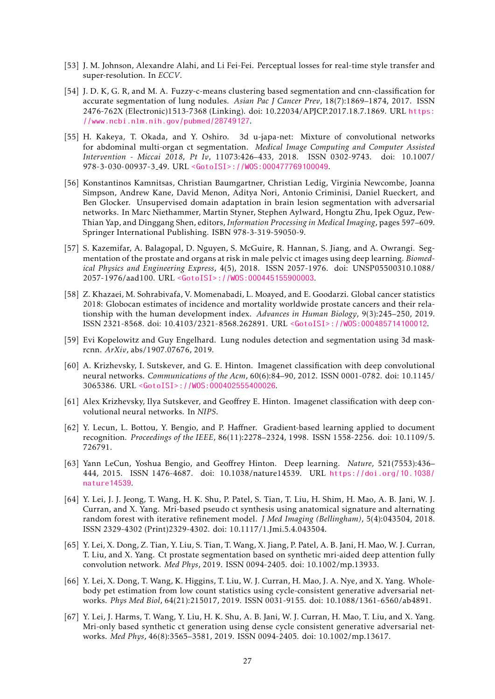- <span id="page-26-9"></span>[53] J. M. Johnson, Alexandre Alahi, and Li Fei-Fei. Perceptual losses for real-time style transfer and super-resolution. In *ECCV*.
- <span id="page-26-10"></span>[54] J. D. K, G. R, and M. A. Fuzzy-c-means clustering based segmentation and cnn-classification for accurate segmentation of lung nodules. *Asian Pac J Cancer Prev*, 18(7):1869–1874, 2017. ISSN 2476-762X (Electronic)1513-7368 (Linking). doi: 10.22034/APJCP.2017.18.7.1869. URL [https:](https://www.ncbi.nlm.nih.gov/pubmed/28749127) [//www.ncbi.nlm.nih.gov/pubmed/28749127](https://www.ncbi.nlm.nih.gov/pubmed/28749127).
- <span id="page-26-11"></span>[55] H. Kakeya, T. Okada, and Y. Oshiro. 3d u-japa-net: Mixture of convolutional networks for abdominal multi-organ ct segmentation. *Medical Image Computing and Computer Assisted Intervention - Miccai 2018, Pt Iv*, 11073:426–433, 2018. ISSN 0302-9743. doi: 10.1007/ 978-3-030-00937-3 49. URL [<GotoISI>://WOS:000477769100049](<Go to ISI>://WOS:000477769100049).
- <span id="page-26-12"></span>[56] Konstantinos Kamnitsas, Christian Baumgartner, Christian Ledig, Virginia Newcombe, Joanna Simpson, Andrew Kane, David Menon, Aditya Nori, Antonio Criminisi, Daniel Rueckert, and Ben Glocker. Unsupervised domain adaptation in brain lesion segmentation with adversarial networks. In Marc Niethammer, Martin Styner, Stephen Aylward, Hongtu Zhu, Ipek Oguz, Pew-Thian Yap, and Dinggang Shen, editors, *Information Processing in Medical Imaging*, pages 597–609. Springer International Publishing. ISBN 978-3-319-59050-9.
- <span id="page-26-5"></span>[57] S. Kazemifar, A. Balagopal, D. Nguyen, S. McGuire, R. Hannan, S. Jiang, and A. Owrangi. Segmentation of the prostate and organs at risk in male pelvic ct images using deep learning. *Biomedical Physics and Engineering Express*, 4(5), 2018. ISSN 2057-1976. doi: UNSP05500310.1088/ 2057-1976/aad100. URL [<GotoISI>://WOS:000445155900003](<Go to ISI>://WOS:000445155900003).
- <span id="page-26-6"></span>[58] Z. Khazaei, M. Sohrabivafa, V. Momenabadi, L. Moayed, and E. Goodarzi. Global cancer statistics 2018: Globocan estimates of incidence and mortality worldwide prostate cancers and their relationship with the human development index. *Advances in Human Biology*, 9(3):245–250, 2019. ISSN 2321-8568. doi: 10.4103/2321-8568.262891. URL [<GotoISI>://WOS:000485714100012](<Go to ISI>://WOS:000485714100012).
- <span id="page-26-13"></span>[59] Evi Kopelowitz and Guy Engelhard. Lung nodules detection and segmentation using 3d maskrcnn. *ArXiv*, abs/1907.07676, 2019.
- <span id="page-26-2"></span>[60] A. Krizhevsky, I. Sutskever, and G. E. Hinton. Imagenet classification with deep convolutional neural networks. *Communications of the Acm*, 60(6):84–90, 2012. ISSN 0001-0782. doi: 10.1145/ 3065386. URL [<GotoISI>://WOS:000402555400026](<Go to ISI>://WOS:000402555400026).
- <span id="page-26-8"></span>[61] Alex Krizhevsky, Ilya Sutskever, and Geoffrey E. Hinton. Imagenet classification with deep convolutional neural networks. In *NIPS*.
- <span id="page-26-7"></span>[62] Y. Lecun, L. Bottou, Y. Bengio, and P. Haffner. Gradient-based learning applied to document recognition. *Proceedings of the IEEE*, 86(11):2278–2324, 1998. ISSN 1558-2256. doi: 10.1109/5. 726791.
- <span id="page-26-1"></span>[63] Yann LeCun, Yoshua Bengio, and Geoffrey Hinton. Deep learning. *Nature*, 521(7553):436– 444, 2015. ISSN 1476-4687. doi: 10.1038/nature14539. URL [https://doi.org/10.1038/](https://doi.org/10.1038/nature14539) [nature14539](https://doi.org/10.1038/nature14539).
- <span id="page-26-14"></span>[64] Y. Lei, J. J. Jeong, T. Wang, H. K. Shu, P. Patel, S. Tian, T. Liu, H. Shim, H. Mao, A. B. Jani, W. J. Curran, and X. Yang. Mri-based pseudo ct synthesis using anatomical signature and alternating random forest with iterative refinement model. *J Med Imaging (Bellingham)*, 5(4):043504, 2018. ISSN 2329-4302 (Print)2329-4302. doi: 10.1117/1.Jmi.5.4.043504.
- <span id="page-26-3"></span>[65] Y. Lei, X. Dong, Z. Tian, Y. Liu, S. Tian, T. Wang, X. Jiang, P. Patel, A. B. Jani, H. Mao, W. J. Curran, T. Liu, and X. Yang. Ct prostate segmentation based on synthetic mri-aided deep attention fully convolution network. *Med Phys*, 2019. ISSN 0094-2405. doi: 10.1002/mp.13933.
- <span id="page-26-0"></span>[66] Y. Lei, X. Dong, T. Wang, K. Higgins, T. Liu, W. J. Curran, H. Mao, J. A. Nye, and X. Yang. Wholebody pet estimation from low count statistics using cycle-consistent generative adversarial networks. *Phys Med Biol*, 64(21):215017, 2019. ISSN 0031-9155. doi: 10.1088/1361-6560/ab4891.
- <span id="page-26-4"></span>[67] Y. Lei, J. Harms, T. Wang, Y. Liu, H. K. Shu, A. B. Jani, W. J. Curran, H. Mao, T. Liu, and X. Yang. Mri-only based synthetic ct generation using dense cycle consistent generative adversarial networks. *Med Phys*, 46(8):3565–3581, 2019. ISSN 0094-2405. doi: 10.1002/mp.13617.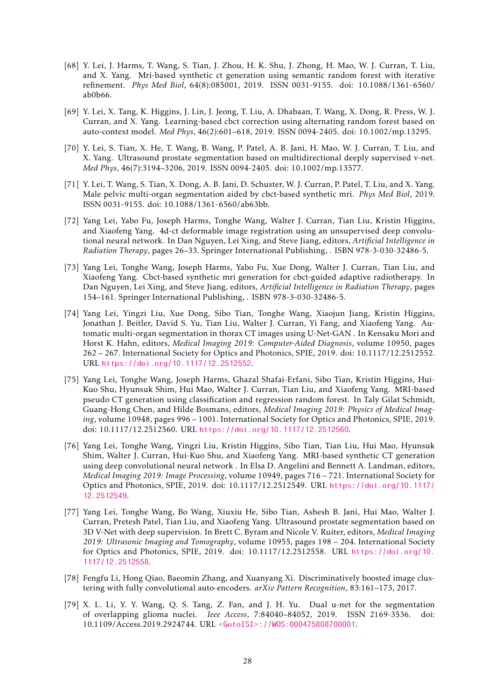- <span id="page-27-11"></span>[68] Y. Lei, J. Harms, T. Wang, S. Tian, J. Zhou, H. K. Shu, J. Zhong, H. Mao, W. J. Curran, T. Liu, and X. Yang. Mri-based synthetic ct generation using semantic random forest with iterative refinement. *Phys Med Biol*, 64(8):085001, 2019. ISSN 0031-9155. doi: 10.1088/1361-6560/ ab0b66.
- <span id="page-27-7"></span>[69] Y. Lei, X. Tang, K. Higgins, J. Lin, J. Jeong, T. Liu, A. Dhabaan, T. Wang, X. Dong, R. Press, W. J. Curran, and X. Yang. Learning-based cbct correction using alternating random forest based on auto-context model. *Med Phys*, 46(2):601–618, 2019. ISSN 0094-2405. doi: 10.1002/mp.13295.
- <span id="page-27-3"></span>[70] Y. Lei, S. Tian, X. He, T. Wang, B. Wang, P. Patel, A. B. Jani, H. Mao, W. J. Curran, T. Liu, and X. Yang. Ultrasound prostate segmentation based on multidirectional deeply supervised v-net. *Med Phys*, 46(7):3194–3206, 2019. ISSN 0094-2405. doi: 10.1002/mp.13577.
- <span id="page-27-0"></span>[71] Y. Lei, T. Wang, S. Tian, X. Dong, A. B. Jani, D. Schuster, W. J. Curran, P. Patel, T. Liu, and X. Yang. Male pelvic multi-organ segmentation aided by cbct-based synthetic mri. *Phys Med Biol*, 2019. ISSN 0031-9155. doi: 10.1088/1361-6560/ab63bb.
- <span id="page-27-2"></span>[72] Yang Lei, Yabo Fu, Joseph Harms, Tonghe Wang, Walter J. Curran, Tian Liu, Kristin Higgins, and Xiaofeng Yang. 4d-ct deformable image registration using an unsupervised deep convolutional neural network. In Dan Nguyen, Lei Xing, and Steve Jiang, editors, *Artificial Intelligence in Radiation Therapy*, pages 26–33. Springer International Publishing, . ISBN 978-3-030-32486-5.
- <span id="page-27-1"></span>[73] Yang Lei, Tonghe Wang, Joseph Harms, Yabo Fu, Xue Dong, Walter J. Curran, Tian Liu, and Xiaofeng Yang. Cbct-based synthetic mri generation for cbct-guided adaptive radiotherapy. In Dan Nguyen, Lei Xing, and Steve Jiang, editors, *Artificial Intelligence in Radiation Therapy*, pages 154–161. Springer International Publishing, . ISBN 978-3-030-32486-5.
- <span id="page-27-4"></span>[74] Yang Lei, Yingzi Liu, Xue Dong, Sibo Tian, Tonghe Wang, Xiaojun Jiang, Kristin Higgins, Jonathan J. Beitler, David S. Yu, Tian Liu, Walter J. Curran, Yi Fang, and Xiaofeng Yang. Automatic multi-organ segmentation in thorax CT images using U-Net-GAN . In Kensaku Mori and Horst K. Hahn, editors, *Medical Imaging 2019: Computer-Aided Diagnosis*, volume 10950, pages 262 – 267. International Society for Optics and Photonics, SPIE, 2019. doi: 10.1117/12.2512552. URL <https://doi.org/10.1117/12.2512552>.
- <span id="page-27-10"></span>[75] Yang Lei, Tonghe Wang, Joseph Harms, Ghazal Shafai-Erfani, Sibo Tian, Kristin Higgins, Hui-Kuo Shu, Hyunsuk Shim, Hui Mao, Walter J. Curran, Tian Liu, and Xiaofeng Yang. MRI-based pseudo CT generation using classification and regression random forest. In Taly Gilat Schmidt, Guang-Hong Chen, and Hilde Bosmans, editors, *Medical Imaging 2019: Physics of Medical Imaging*, volume 10948, pages 996 – 1001. International Society for Optics and Photonics, SPIE, 2019. doi: 10.1117/12.2512560. URL <https://doi.org/10.1117/12.2512560>.
- <span id="page-27-6"></span>[76] Yang Lei, Tonghe Wang, Yingzi Liu, Kristin Higgins, Sibo Tian, Tian Liu, Hui Mao, Hyunsuk Shim, Walter J. Curran, Hui-Kuo Shu, and Xiaofeng Yang. MRI-based synthetic CT generation using deep convolutional neural network . In Elsa D. Angelini and Bennett A. Landman, editors, *Medical Imaging 2019: Image Processing*, volume 10949, pages 716 – 721. International Society for Optics and Photonics, SPIE, 2019. doi: 10.1117/12.2512549. URL [https://doi.org/10.1117/](https://doi.org/10.1117/12.2512549) [12.2512549](https://doi.org/10.1117/12.2512549).
- <span id="page-27-5"></span>[77] Yang Lei, Tonghe Wang, Bo Wang, Xiuxiu He, Sibo Tian, Ashesh B. Jani, Hui Mao, Walter J. Curran, Pretesh Patel, Tian Liu, and Xiaofeng Yang. Ultrasound prostate segmentation based on 3D V-Net with deep supervision. In Brett C. Byram and Nicole V. Ruiter, editors, *Medical Imaging 2019: Ultrasonic Imaging and Tomography*, volume 10955, pages 198 – 204. International Society for Optics and Photonics, SPIE, 2019. doi: 10.1117/12.2512558. URL [https://doi.org/10.](https://doi.org/10.1117/12.2512558) [1117/12.2512558](https://doi.org/10.1117/12.2512558).
- <span id="page-27-8"></span>[78] Fengfu Li, Hong Qiao, Baeomin Zhang, and Xuanyang Xi. Discriminatively boosted image clustering with fully convolutional auto-encoders. *arXiv Pattern Recognition*, 83:161–173, 2017.
- <span id="page-27-9"></span>[79] X. L. Li, Y. Y. Wang, Q. S. Tang, Z. Fan, and J. H. Yu. Dual u-net for the segmentation of overlapping glioma nuclei. *Ieee Access*, 7:84040–84052, 2019. ISSN 2169-3536. doi: 10.1109/Access.2019.2924744. URL [<GotoISI>://WOS:000475808700001](<Go to ISI>://WOS:000475808700001).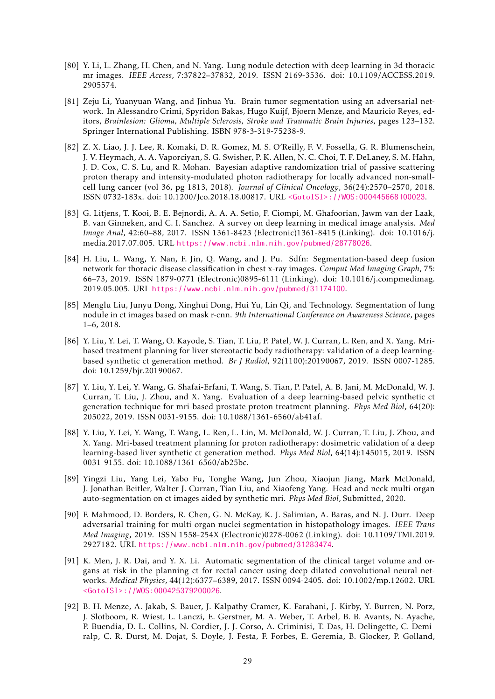- <span id="page-28-11"></span>[80] Y. Li, L. Zhang, H. Chen, and N. Yang. Lung nodule detection with deep learning in 3d thoracic mr images. *IEEE Access*, 7:37822–37832, 2019. ISSN 2169-3536. doi: 10.1109/ACCESS.2019. 2905574.
- <span id="page-28-8"></span>[81] Zeju Li, Yuanyuan Wang, and Jinhua Yu. Brain tumor segmentation using an adversarial network. In Alessandro Crimi, Spyridon Bakas, Hugo Kuijf, Bjoern Menze, and Mauricio Reyes, editors, *Brainlesion: Glioma, Multiple Sclerosis, Stroke and Traumatic Brain Injuries*, pages 123–132. Springer International Publishing. ISBN 978-3-319-75238-9.
- <span id="page-28-3"></span>[82] Z. X. Liao, J. J. Lee, R. Komaki, D. R. Gomez, M. S. O'Reilly, F. V. Fossella, G. R. Blumenschein, J. V. Heymach, A. A. Vaporciyan, S. G. Swisher, P. K. Allen, N. C. Choi, T. F. DeLaney, S. M. Hahn, J. D. Cox, C. S. Lu, and R. Mohan. Bayesian adaptive randomization trial of passive scattering proton therapy and intensity-modulated photon radiotherapy for locally advanced non-smallcell lung cancer (vol 36, pg 1813, 2018). *Journal of Clinical Oncology*, 36(24):2570–2570, 2018. ISSN 0732-183x. doi: 10.1200/Jco.2018.18.00817. URL [<GotoISI>://WOS:000445668100023](<Go to ISI>://WOS:000445668100023).
- <span id="page-28-6"></span>[83] G. Litjens, T. Kooi, B. E. Bejnordi, A. A. A. Setio, F. Ciompi, M. Ghafoorian, Jawm van der Laak, B. van Ginneken, and C. I. Sanchez. A survey on deep learning in medical image analysis. *Med Image Anal*, 42:60–88, 2017. ISSN 1361-8423 (Electronic)1361-8415 (Linking). doi: 10.1016/j. media.2017.07.005. URL <https://www.ncbi.nlm.nih.gov/pubmed/28778026>.
- <span id="page-28-5"></span>[84] H. Liu, L. Wang, Y. Nan, F. Jin, Q. Wang, and J. Pu. Sdfn: Segmentation-based deep fusion network for thoracic disease classification in chest x-ray images. *Comput Med Imaging Graph*, 75: 66–73, 2019. ISSN 1879-0771 (Electronic)0895-6111 (Linking). doi: 10.1016/j.compmedimag. 2019.05.005. URL <https://www.ncbi.nlm.nih.gov/pubmed/31174100>.
- <span id="page-28-10"></span>[85] Menglu Liu, Junyu Dong, Xinghui Dong, Hui Yu, Lin Qi, and Technology. Segmentation of lung nodule in ct images based on mask r-cnn. *9th International Conference on Awareness Science*, pages 1–6, 2018.
- <span id="page-28-1"></span>[86] Y. Liu, Y. Lei, T. Wang, O. Kayode, S. Tian, T. Liu, P. Patel, W. J. Curran, L. Ren, and X. Yang. Mribased treatment planning for liver stereotactic body radiotherapy: validation of a deep learningbased synthetic ct generation method. *Br J Radiol*, 92(1100):20190067, 2019. ISSN 0007-1285. doi: 10.1259/bjr.20190067.
- <span id="page-28-0"></span>[87] Y. Liu, Y. Lei, Y. Wang, G. Shafai-Erfani, T. Wang, S. Tian, P. Patel, A. B. Jani, M. McDonald, W. J. Curran, T. Liu, J. Zhou, and X. Yang. Evaluation of a deep learning-based pelvic synthetic ct generation technique for mri-based prostate proton treatment planning. *Phys Med Biol*, 64(20): 205022, 2019. ISSN 0031-9155. doi: 10.1088/1361-6560/ab41af.
- <span id="page-28-2"></span>[88] Y. Liu, Y. Lei, Y. Wang, T. Wang, L. Ren, L. Lin, M. McDonald, W. J. Curran, T. Liu, J. Zhou, and X. Yang. Mri-based treatment planning for proton radiotherapy: dosimetric validation of a deep learning-based liver synthetic ct generation method. *Phys Med Biol*, 64(14):145015, 2019. ISSN 0031-9155. doi: 10.1088/1361-6560/ab25bc.
- <span id="page-28-12"></span>[89] Yingzi Liu, Yang Lei, Yabo Fu, Tonghe Wang, Jun Zhou, Xiaojun Jiang, Mark McDonald, J. Jonathan Beitler, Walter J. Curran, Tian Liu, and Xiaofeng Yang. Head and neck multi-organ auto-segmentation on ct images aided by synthetic mri. *Phys Med Biol*, Submitted, 2020.
- <span id="page-28-9"></span>[90] F. Mahmood, D. Borders, R. Chen, G. N. McKay, K. J. Salimian, A. Baras, and N. J. Durr. Deep adversarial training for multi-organ nuclei segmentation in histopathology images. *IEEE Trans Med Imaging*, 2019. ISSN 1558-254X (Electronic)0278-0062 (Linking). doi: 10.1109/TMI.2019. 2927182. URL <https://www.ncbi.nlm.nih.gov/pubmed/31283474>.
- <span id="page-28-7"></span>[91] K. Men, J. R. Dai, and Y. X. Li. Automatic segmentation of the clinical target volume and organs at risk in the planning ct for rectal cancer using deep dilated convolutional neural networks. *Medical Physics*, 44(12):6377–6389, 2017. ISSN 0094-2405. doi: 10.1002/mp.12602. URL [<GotoISI>://WOS:000425379200026](<Go to ISI>://WOS:000425379200026).
- <span id="page-28-4"></span>[92] B. H. Menze, A. Jakab, S. Bauer, J. Kalpathy-Cramer, K. Farahani, J. Kirby, Y. Burren, N. Porz, J. Slotboom, R. Wiest, L. Lanczi, E. Gerstner, M. A. Weber, T. Arbel, B. B. Avants, N. Ayache, P. Buendia, D. L. Collins, N. Cordier, J. J. Corso, A. Criminisi, T. Das, H. Delingette, C. Demiralp, C. R. Durst, M. Dojat, S. Doyle, J. Festa, F. Forbes, E. Geremia, B. Glocker, P. Golland,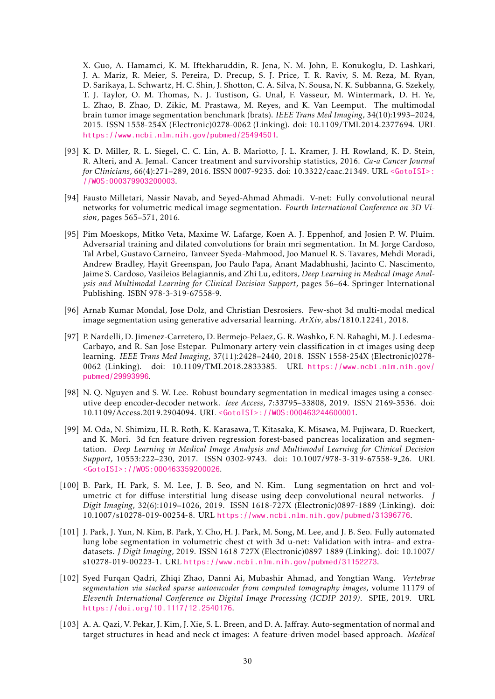X. Guo, A. Hamamci, K. M. Iftekharuddin, R. Jena, N. M. John, E. Konukoglu, D. Lashkari, J. A. Mariz, R. Meier, S. Pereira, D. Precup, S. J. Price, T. R. Raviv, S. M. Reza, M. Ryan, D. Sarikaya, L. Schwartz, H. C. Shin, J. Shotton, C. A. Silva, N. Sousa, N. K. Subbanna, G. Szekely, T. J. Taylor, O. M. Thomas, N. J. Tustison, G. Unal, F. Vasseur, M. Wintermark, D. H. Ye, L. Zhao, B. Zhao, D. Zikic, M. Prastawa, M. Reyes, and K. Van Leemput. The multimodal brain tumor image segmentation benchmark (brats). *IEEE Trans Med Imaging*, 34(10):1993–2024, 2015. ISSN 1558-254X (Electronic)0278-0062 (Linking). doi: 10.1109/TMI.2014.2377694. URL <https://www.ncbi.nlm.nih.gov/pubmed/25494501>.

- <span id="page-29-0"></span>[93] K. D. Miller, R. L. Siegel, C. C. Lin, A. B. Mariotto, J. L. Kramer, J. H. Rowland, K. D. Stein, R. Alteri, and A. Jemal. Cancer treatment and survivorship statistics, 2016. *Ca-a Cancer Journal for Clinicians*, 66(4):271–289, 2016. ISSN 0007-9235. doi: 10.3322/caac.21349. URL [<GotoISI>:](<Go to ISI>://WOS:000379903200003) [//WOS:000379903200003](<Go to ISI>://WOS:000379903200003).
- <span id="page-29-4"></span>[94] Fausto Milletari, Nassir Navab, and Seyed-Ahmad Ahmadi. V-net: Fully convolutional neural networks for volumetric medical image segmentation. *Fourth International Conference on 3D Vision*, pages 565–571, 2016.
- <span id="page-29-10"></span>[95] Pim Moeskops, Mitko Veta, Maxime W. Lafarge, Koen A. J. Eppenhof, and Josien P. W. Pluim. Adversarial training and dilated convolutions for brain mri segmentation. In M. Jorge Cardoso, Tal Arbel, Gustavo Carneiro, Tanveer Syeda-Mahmood, Joo Manuel R. S. Tavares, Mehdi Moradi, Andrew Bradley, Hayit Greenspan, Joo Paulo Papa, Anant Madabhushi, Jacinto C. Nascimento, Jaime S. Cardoso, Vasileios Belagiannis, and Zhi Lu, editors, *Deep Learning in Medical Image Analysis and Multimodal Learning for Clinical Decision Support*, pages 56–64. Springer International Publishing. ISBN 978-3-319-67558-9.
- <span id="page-29-9"></span>[96] Arnab Kumar Mondal, Jose Dolz, and Christian Desrosiers. Few-shot 3d multi-modal medical image segmentation using generative adversarial learning. *ArXiv*, abs/1810.12241, 2018.
- <span id="page-29-3"></span>[97] P. Nardelli, D. Jimenez-Carretero, D. Bermejo-Pelaez, G. R. Washko, F. N. Rahaghi, M. J. Ledesma-Carbayo, and R. San Jose Estepar. Pulmonary artery-vein classification in ct images using deep learning. *IEEE Trans Med Imaging*, 37(11):2428–2440, 2018. ISSN 1558-254X (Electronic)0278- 0062 (Linking). doi: 10.1109/TMI.2018.2833385. URL [https://www.ncbi.nlm.nih.gov/](https://www.ncbi.nlm.nih.gov/pubmed/29993996) [pubmed/29993996](https://www.ncbi.nlm.nih.gov/pubmed/29993996).
- <span id="page-29-6"></span>[98] N. Q. Nguyen and S. W. Lee. Robust boundary segmentation in medical images using a consecutive deep encoder-decoder network. *Ieee Access*, 7:33795–33808, 2019. ISSN 2169-3536. doi: 10.1109/Access.2019.2904094. URL [<GotoISI>://WOS:000463244600001](<Go to ISI>://WOS:000463244600001).
- <span id="page-29-5"></span>[99] M. Oda, N. Shimizu, H. R. Roth, K. Karasawa, T. Kitasaka, K. Misawa, M. Fujiwara, D. Rueckert, and K. Mori. 3d fcn feature driven regression forest-based pancreas localization and segmentation. *Deep Learning in Medical Image Analysis and Multimodal Learning for Clinical Decision Support*, 10553:222–230, 2017. ISSN 0302-9743. doi: 10.1007/978-3-319-67558-9 26. URL [<GotoISI>://WOS:000463359200026](<Go to ISI>://WOS:000463359200026).
- <span id="page-29-7"></span>[100] B. Park, H. Park, S. M. Lee, J. B. Seo, and N. Kim. Lung segmentation on hrct and volumetric ct for diffuse interstitial lung disease using deep convolutional neural networks. *J Digit Imaging*, 32(6):1019–1026, 2019. ISSN 1618-727X (Electronic)0897-1889 (Linking). doi: 10.1007/s10278-019-00254-8. URL <https://www.ncbi.nlm.nih.gov/pubmed/31396776>.
- <span id="page-29-8"></span>[101] J. Park, J. Yun, N. Kim, B. Park, Y. Cho, H. J. Park, M. Song, M. Lee, and J. B. Seo. Fully automated lung lobe segmentation in volumetric chest ct with 3d u-net: Validation with intra- and extradatasets. *J Digit Imaging*, 2019. ISSN 1618-727X (Electronic)0897-1889 (Linking). doi: 10.1007/ s10278-019-00223-1. URL <https://www.ncbi.nlm.nih.gov/pubmed/31152273>.
- <span id="page-29-2"></span>[102] Syed Furqan Qadri, Zhiqi Zhao, Danni Ai, Mubashir Ahmad, and Yongtian Wang. *Vertebrae segmentation via stacked sparse autoencoder from computed tomography images*, volume 11179 of *Eleventh International Conference on Digital Image Processing (ICDIP 2019)*. SPIE, 2019. URL <https://doi.org/10.1117/12.2540176>.
- <span id="page-29-1"></span>[103] A. A. Qazi, V. Pekar, J. Kim, J. Xie, S. L. Breen, and D. A. Jaffray. Auto-segmentation of normal and target structures in head and neck ct images: A feature-driven model-based approach. *Medical*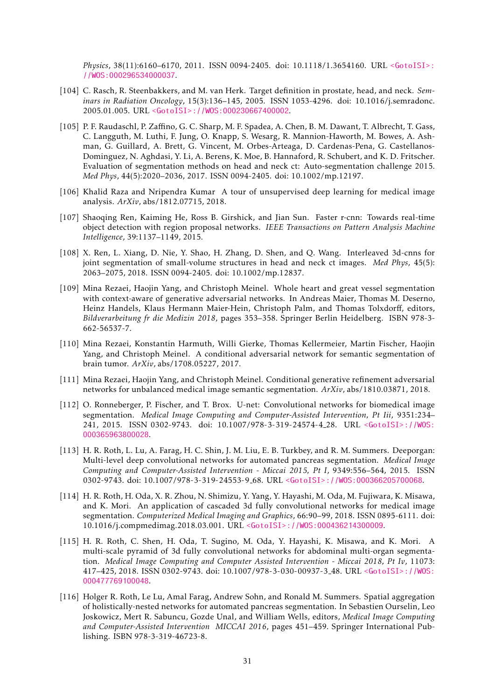*Physics*, 38(11):6160–6170, 2011. ISSN 0094-2405. doi: 10.1118/1.3654160. URL [<GotoISI>:](<Go to ISI>://WOS:000296534000037) [//WOS:000296534000037](<Go to ISI>://WOS:000296534000037).

- <span id="page-30-0"></span>[104] C. Rasch, R. Steenbakkers, and M. van Herk. Target definition in prostate, head, and neck. *Seminars in Radiation Oncology*, 15(3):136–145, 2005. ISSN 1053-4296. doi: 10.1016/j.semradonc. 2005.01.005. URL [<GotoISI>://WOS:000230667400002](<Go to ISI>://WOS:000230667400002).
- <span id="page-30-11"></span>[105] P. F. Raudaschl, P. Zaffino, G. C. Sharp, M. F. Spadea, A. Chen, B. M. Dawant, T. Albrecht, T. Gass, C. Langguth, M. Luthi, F. Jung, O. Knapp, S. Wesarg, R. Mannion-Haworth, M. Bowes, A. Ashman, G. Guillard, A. Brett, G. Vincent, M. Orbes-Arteaga, D. Cardenas-Pena, G. Castellanos-Dominguez, N. Aghdasi, Y. Li, A. Berens, K. Moe, B. Hannaford, R. Schubert, and K. D. Fritscher. Evaluation of segmentation methods on head and neck ct: Auto-segmentation challenge 2015. *Med Phys*, 44(5):2020–2036, 2017. ISSN 0094-2405. doi: 10.1002/mp.12197.
- <span id="page-30-2"></span>[106] Khalid Raza and Nripendra Kumar A tour of unsupervised deep learning for medical image analysis. *ArXiv*, abs/1812.07715, 2018.
- <span id="page-30-10"></span>[107] Shaoqing Ren, Kaiming He, Ross B. Girshick, and Jian Sun. Faster r-cnn: Towards real-time object detection with region proposal networks. *IEEE Transactions on Pattern Analysis Machine Intelligence*, 39:1137–1149, 2015.
- <span id="page-30-12"></span>[108] X. Ren, L. Xiang, D. Nie, Y. Shao, H. Zhang, D. Shen, and Q. Wang. Interleaved 3d-cnns for joint segmentation of small-volume structures in head and neck ct images. *Med Phys*, 45(5): 2063–2075, 2018. ISSN 0094-2405. doi: 10.1002/mp.12837.
- <span id="page-30-8"></span>[109] Mina Rezaei, Haojin Yang, and Christoph Meinel. Whole heart and great vessel segmentation with context-aware of generative adversarial networks. In Andreas Maier, Thomas M. Deserno, Heinz Handels, Klaus Hermann Maier-Hein, Christoph Palm, and Thomas Tolxdorff, editors, *Bildverarbeitung fr die Medizin 2018*, pages 353–358. Springer Berlin Heidelberg. ISBN 978-3- 662-56537-7.
- <span id="page-30-7"></span>[110] Mina Rezaei, Konstantin Harmuth, Willi Gierke, Thomas Kellermeier, Martin Fischer, Haojin Yang, and Christoph Meinel. A conditional adversarial network for semantic segmentation of brain tumor. *ArXiv*, abs/1708.05227, 2017.
- <span id="page-30-9"></span>[111] Mina Rezaei, Haojin Yang, and Christoph Meinel. Conditional generative refinement adversarial networks for unbalanced medical image semantic segmentation. *ArXiv*, abs/1810.03871, 2018.
- <span id="page-30-1"></span>[112] O. Ronneberger, P. Fischer, and T. Brox. U-net: Convolutional networks for biomedical image segmentation. *Medical Image Computing and Computer-Assisted Intervention, Pt Iii*, 9351:234– 241, 2015. ISSN 0302-9743. doi: 10.1007/978-3-319-24574-4 28. URL [<GotoISI>://WOS:](<Go to ISI>://WOS:000365963800028) [000365963800028](<Go to ISI>://WOS:000365963800028).
- <span id="page-30-3"></span>[113] H. R. Roth, L. Lu, A. Farag, H. C. Shin, J. M. Liu, E. B. Turkbey, and R. M. Summers. Deeporgan: Multi-level deep convolutional networks for automated pancreas segmentation. *Medical Image Computing and Computer-Assisted Intervention - Miccai 2015, Pt I*, 9349:556–564, 2015. ISSN 0302-9743. doi: 10.1007/978-3-319-24553-9 68. URL [<GotoISI>://WOS:000366205700068](<Go to ISI>://WOS:000366205700068).
- <span id="page-30-5"></span>[114] H. R. Roth, H. Oda, X. R. Zhou, N. Shimizu, Y. Yang, Y. Hayashi, M. Oda, M. Fujiwara, K. Misawa, and K. Mori. An application of cascaded 3d fully convolutional networks for medical image segmentation. *Computerized Medical Imaging and Graphics*, 66:90–99, 2018. ISSN 0895-6111. doi: 10.1016/j.compmedimag.2018.03.001. URL [<GotoISI>://WOS:000436214300009](<Go to ISI>://WOS:000436214300009).
- <span id="page-30-6"></span>[115] H. R. Roth, C. Shen, H. Oda, T. Sugino, M. Oda, Y. Hayashi, K. Misawa, and K. Mori. A multi-scale pyramid of 3d fully convolutional networks for abdominal multi-organ segmentation. *Medical Image Computing and Computer Assisted Intervention - Miccai 2018, Pt Iv*, 11073: 417–425, 2018. ISSN 0302-9743. doi: 10.1007/978-3-030-00937-3 48. URL [<GotoISI>://WOS:](<Go to ISI>://WOS:000477769100048) [000477769100048](<Go to ISI>://WOS:000477769100048).
- <span id="page-30-4"></span>[116] Holger R. Roth, Le Lu, Amal Farag, Andrew Sohn, and Ronald M. Summers. Spatial aggregation of holistically-nested networks for automated pancreas segmentation. In Sebastien Ourselin, Leo Joskowicz, Mert R. Sabuncu, Gozde Unal, and William Wells, editors, *Medical Image Computing and Computer-Assisted Intervention MICCAI 2016*, pages 451–459. Springer International Publishing. ISBN 978-3-319-46723-8.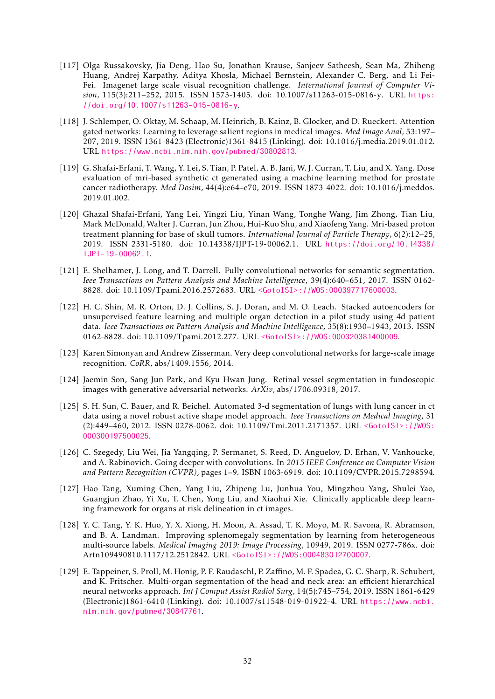- <span id="page-31-6"></span>[117] Olga Russakovsky, Jia Deng, Hao Su, Jonathan Krause, Sanjeev Satheesh, Sean Ma, Zhiheng Huang, Andrej Karpathy, Aditya Khosla, Michael Bernstein, Alexander C. Berg, and Li Fei-Fei. Imagenet large scale visual recognition challenge. *International Journal of Computer Vision*, 115(3):211–252, 2015. ISSN 1573-1405. doi: 10.1007/s11263-015-0816-y. URL [https:](https://doi.org/10.1007/s11263-015-0816-y) [//doi.org/10.1007/s11263-015-0816-y](https://doi.org/10.1007/s11263-015-0816-y).
- <span id="page-31-10"></span>[118] J. Schlemper, O. Oktay, M. Schaap, M. Heinrich, B. Kainz, B. Glocker, and D. Rueckert. Attention gated networks: Learning to leverage salient regions in medical images. *Med Image Anal*, 53:197– 207, 2019. ISSN 1361-8423 (Electronic)1361-8415 (Linking). doi: 10.1016/j.media.2019.01.012. URL <https://www.ncbi.nlm.nih.gov/pubmed/30802813>.
- <span id="page-31-1"></span>[119] G. Shafai-Erfani, T. Wang, Y. Lei, S. Tian, P. Patel, A. B. Jani, W. J. Curran, T. Liu, and X. Yang. Dose evaluation of mri-based synthetic ct generated using a machine learning method for prostate cancer radiotherapy. *Med Dosim*, 44(4):e64–e70, 2019. ISSN 1873-4022. doi: 10.1016/j.meddos. 2019.01.002.
- <span id="page-31-2"></span>[120] Ghazal Shafai-Erfani, Yang Lei, Yingzi Liu, Yinan Wang, Tonghe Wang, Jim Zhong, Tian Liu, Mark McDonald, Walter J. Curran, Jun Zhou, Hui-Kuo Shu, and Xiaofeng Yang. Mri-based proton treatment planning for base of skull tumors. *International Journal of Particle Therapy*, 6(2):12–25, 2019. ISSN 2331-5180. doi: 10.14338/IJPT-19-00062.1. URL [https://doi.org/10.14338/](https://doi.org/10.14338/IJPT-19-00062.1) [IJPT-19-00062.1](https://doi.org/10.14338/IJPT-19-00062.1).
- <span id="page-31-0"></span>[121] E. Shelhamer, J. Long, and T. Darrell. Fully convolutional networks for semantic segmentation. *Ieee Transactions on Pattern Analysis and Machine Intelligence*, 39(4):640–651, 2017. ISSN 0162- 8828. doi: 10.1109/Tpami.2016.2572683. URL [<GotoISI>://WOS:000397717600003](<Go to ISI>://WOS:000397717600003).
- <span id="page-31-4"></span>[122] H. C. Shin, M. R. Orton, D. J. Collins, S. J. Doran, and M. O. Leach. Stacked autoencoders for unsupervised feature learning and multiple organ detection in a pilot study using 4d patient data. *Ieee Transactions on Pattern Analysis and Machine Intelligence*, 35(8):1930–1943, 2013. ISSN 0162-8828. doi: 10.1109/Tpami.2012.277. URL [<GotoISI>://WOS:000320381400009](<Go to ISI>://WOS:000320381400009).
- <span id="page-31-7"></span>[123] Karen Simonyan and Andrew Zisserman. Very deep convolutional networks for large-scale image recognition. *CoRR*, abs/1409.1556, 2014.
- <span id="page-31-11"></span>[124] Jaemin Son, Sang Jun Park, and Kyu-Hwan Jung. Retinal vessel segmentation in fundoscopic images with generative adversarial networks. *ArXiv*, abs/1706.09318, 2017.
- <span id="page-31-3"></span>[125] S. H. Sun, C. Bauer, and R. Beichel. Automated 3-d segmentation of lungs with lung cancer in ct data using a novel robust active shape model approach. *Ieee Transactions on Medical Imaging*, 31 (2):449–460, 2012. ISSN 0278-0062. doi: 10.1109/Tmi.2011.2171357. URL [<GotoISI>://WOS:](<Go to ISI>://WOS:000300197500025) [000300197500025](<Go to ISI>://WOS:000300197500025).
- <span id="page-31-8"></span>[126] C. Szegedy, Liu Wei, Jia Yangqing, P. Sermanet, S. Reed, D. Anguelov, D. Erhan, V. Vanhoucke, and A. Rabinovich. Going deeper with convolutions. In *2015 IEEE Conference on Computer Vision and Pattern Recognition (CVPR)*, pages 1–9. ISBN 1063-6919. doi: 10.1109/CVPR.2015.7298594.
- <span id="page-31-12"></span>[127] Hao Tang, Xuming Chen, Yang Liu, Zhipeng Lu, Junhua You, Mingzhou Yang, Shulei Yao, Guangjun Zhao, Yi Xu, T. Chen, Yong Liu, and Xiaohui Xie. Clinically applicable deep learning framework for organs at risk delineation in ct images.
- <span id="page-31-9"></span>[128] Y. C. Tang, Y. K. Huo, Y. X. Xiong, H. Moon, A. Assad, T. K. Moyo, M. R. Savona, R. Abramson, and B. A. Landman. Improving splenomegaly segmentation by learning from heterogeneous multi-source labels. *Medical Imaging 2019: Image Processing*, 10949, 2019. ISSN 0277-786x. doi: Artn109490810.1117/12.2512842. URL [<GotoISI>://WOS:000483012700007](<Go to ISI>://WOS:000483012700007).
- <span id="page-31-5"></span>[129] E. Tappeiner, S. Proll, M. Honig, P. F. Raudaschl, P. Zaffino, M. F. Spadea, G. C. Sharp, R. Schubert, and K. Fritscher. Multi-organ segmentation of the head and neck area: an efficient hierarchical neural networks approach. *Int J Comput Assist Radiol Surg*, 14(5):745–754, 2019. ISSN 1861-6429 (Electronic)1861-6410 (Linking). doi: 10.1007/s11548-019-01922-4. URL [https://www.ncbi.](https://www.ncbi.nlm.nih.gov/pubmed/30847761) [nlm.nih.gov/pubmed/30847761](https://www.ncbi.nlm.nih.gov/pubmed/30847761).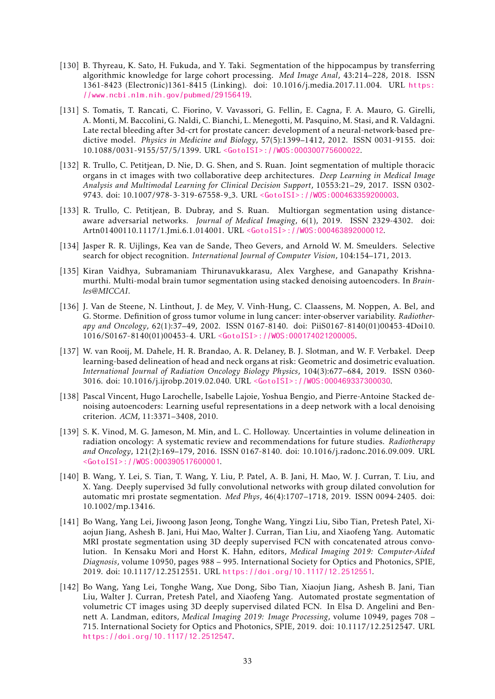- <span id="page-32-8"></span>[130] B. Thyreau, K. Sato, H. Fukuda, and Y. Taki. Segmentation of the hippocampus by transferring algorithmic knowledge for large cohort processing. *Med Image Anal*, 43:214–228, 2018. ISSN 1361-8423 (Electronic)1361-8415 (Linking). doi: 10.1016/j.media.2017.11.004. URL [https:](https://www.ncbi.nlm.nih.gov/pubmed/29156419) [//www.ncbi.nlm.nih.gov/pubmed/29156419](https://www.ncbi.nlm.nih.gov/pubmed/29156419).
- <span id="page-32-0"></span>[131] S. Tomatis, T. Rancati, C. Fiorino, V. Vavassori, G. Fellin, E. Cagna, F. A. Mauro, G. Girelli, A. Monti, M. Baccolini, G. Naldi, C. Bianchi, L. Menegotti, M. Pasquino, M. Stasi, and R. Valdagni. Late rectal bleeding after 3d-crt for prostate cancer: development of a neural-network-based predictive model. *Physics in Medicine and Biology*, 57(5):1399–1412, 2012. ISSN 0031-9155. doi: 10.1088/0031-9155/57/5/1399. URL [<GotoISI>://WOS:000300775600022](<Go to ISI>://WOS:000300775600022).
- <span id="page-32-10"></span>[132] R. Trullo, C. Petitjean, D. Nie, D. G. Shen, and S. Ruan. Joint segmentation of multiple thoracic organs in ct images with two collaborative deep architectures. *Deep Learning in Medical Image Analysis and Multimodal Learning for Clinical Decision Support*, 10553:21–29, 2017. ISSN 0302- 9743. doi: 10.1007/978-3-319-67558-9 3. URL [<GotoISI>://WOS:000463359200003](<Go to ISI>://WOS:000463359200003).
- <span id="page-32-11"></span>[133] R. Trullo, C. Petitjean, B. Dubray, and S. Ruan. Multiorgan segmentation using distanceaware adversarial networks. *Journal of Medical Imaging*, 6(1), 2019. ISSN 2329-4302. doi: Artn01400110.1117/1.Jmi.6.1.014001. URL [<GotoISI>://WOS:000463892000012](<Go to ISI>://WOS:000463892000012).
- <span id="page-32-12"></span>[134] Jasper R. R. Uijlings, Kea van de Sande, Theo Gevers, and Arnold W. M. Smeulders. Selective search for object recognition. *International Journal of Computer Vision*, 104:154–171, 2013.
- <span id="page-32-6"></span>[135] Kiran Vaidhya, Subramaniam Thirunavukkarasu, Alex Varghese, and Ganapathy Krishnamurthi. Multi-modal brain tumor segmentation using stacked denoising autoencoders. In *Brainles@MICCAI*.
- <span id="page-32-4"></span>[136] J. Van de Steene, N. Linthout, J. de Mey, V. Vinh-Hung, C. Claassens, M. Noppen, A. Bel, and G. Storme. Definition of gross tumor volume in lung cancer: inter-observer variability. *Radiotherapy and Oncology*, 62(1):37–49, 2002. ISSN 0167-8140. doi: PiiS0167-8140(01)00453-4Doi10. 1016/S0167-8140(01)00453-4. URL [<GotoISI>://WOS:000174021200005](<Go to ISI>://WOS:000174021200005).
- <span id="page-32-9"></span>[137] W. van Rooij, M. Dahele, H. R. Brandao, A. R. Delaney, B. J. Slotman, and W. F. Verbakel. Deep learning-based delineation of head and neck organs at risk: Geometric and dosimetric evaluation. *International Journal of Radiation Oncology Biology Physics*, 104(3):677–684, 2019. ISSN 0360- 3016. doi: 10.1016/j.ijrobp.2019.02.040. URL [<GotoISI>://WOS:000469337300030](<Go to ISI>://WOS:000469337300030).
- <span id="page-32-7"></span>[138] Pascal Vincent, Hugo Larochelle, Isabelle Lajoie, Yoshua Bengio, and Pierre-Antoine Stacked denoising autoencoders: Learning useful representations in a deep network with a local denoising criterion. *ACM*, 11:3371–3408, 2010.
- <span id="page-32-5"></span>[139] S. K. Vinod, M. G. Jameson, M. Min, and L. C. Holloway. Uncertainties in volume delineation in radiation oncology: A systematic review and recommendations for future studies. *Radiotherapy and Oncology*, 121(2):169–179, 2016. ISSN 0167-8140. doi: 10.1016/j.radonc.2016.09.009. URL [<GotoISI>://WOS:000390517600001](<Go to ISI>://WOS:000390517600001).
- <span id="page-32-1"></span>[140] B. Wang, Y. Lei, S. Tian, T. Wang, Y. Liu, P. Patel, A. B. Jani, H. Mao, W. J. Curran, T. Liu, and X. Yang. Deeply supervised 3d fully convolutional networks with group dilated convolution for automatic mri prostate segmentation. *Med Phys*, 46(4):1707–1718, 2019. ISSN 0094-2405. doi: 10.1002/mp.13416.
- <span id="page-32-2"></span>[141] Bo Wang, Yang Lei, Jiwoong Jason Jeong, Tonghe Wang, Yingzi Liu, Sibo Tian, Pretesh Patel, Xiaojun Jiang, Ashesh B. Jani, Hui Mao, Walter J. Curran, Tian Liu, and Xiaofeng Yang. Automatic MRI prostate segmentation using 3D deeply supervised FCN with concatenated atrous convolution. In Kensaku Mori and Horst K. Hahn, editors, *Medical Imaging 2019: Computer-Aided Diagnosis*, volume 10950, pages 988 – 995. International Society for Optics and Photonics, SPIE, 2019. doi: 10.1117/12.2512551. URL <https://doi.org/10.1117/12.2512551>.
- <span id="page-32-3"></span>[142] Bo Wang, Yang Lei, Tonghe Wang, Xue Dong, Sibo Tian, Xiaojun Jiang, Ashesh B. Jani, Tian Liu, Walter J. Curran, Pretesh Patel, and Xiaofeng Yang. Automated prostate segmentation of volumetric CT images using 3D deeply supervised dilated FCN. In Elsa D. Angelini and Bennett A. Landman, editors, *Medical Imaging 2019: Image Processing*, volume 10949, pages 708 – 715. International Society for Optics and Photonics, SPIE, 2019. doi: 10.1117/12.2512547. URL <https://doi.org/10.1117/12.2512547>.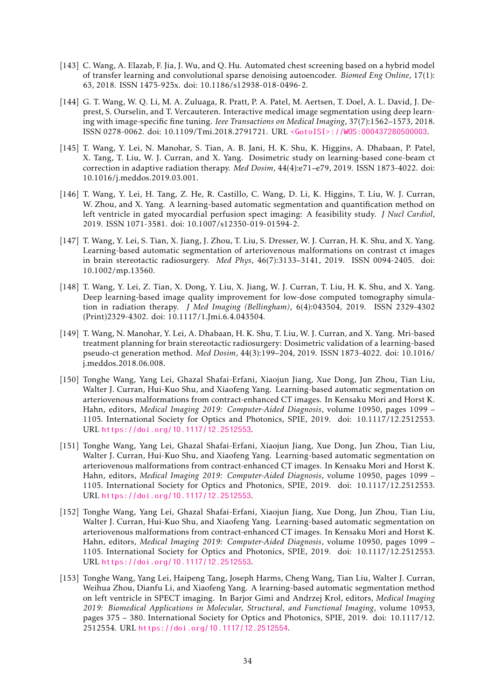- <span id="page-33-9"></span>[143] C. Wang, A. Elazab, F. Jia, J. Wu, and Q. Hu. Automated chest screening based on a hybrid model of transfer learning and convolutional sparse denoising autoencoder. *Biomed Eng Online*, 17(1): 63, 2018. ISSN 1475-925x. doi: 10.1186/s12938-018-0496-2.
- <span id="page-33-10"></span>[144] G. T. Wang, W. Q. Li, M. A. Zuluaga, R. Pratt, P. A. Patel, M. Aertsen, T. Doel, A. L. David, J. Deprest, S. Ourselin, and T. Vercauteren. Interactive medical image segmentation using deep learning with image-specific fine tuning. *Ieee Transactions on Medical Imaging*, 37(7):1562–1573, 2018. ISSN 0278-0062. doi: 10.1109/Tmi.2018.2791721. URL [<GotoISI>://WOS:000437280500003](<Go to ISI>://WOS:000437280500003).
- <span id="page-33-8"></span>[145] T. Wang, Y. Lei, N. Manohar, S. Tian, A. B. Jani, H. K. Shu, K. Higgins, A. Dhabaan, P. Patel, X. Tang, T. Liu, W. J. Curran, and X. Yang. Dosimetric study on learning-based cone-beam ct correction in adaptive radiation therapy. *Med Dosim*, 44(4):e71–e79, 2019. ISSN 1873-4022. doi: 10.1016/j.meddos.2019.03.001.
- <span id="page-33-1"></span>[146] T. Wang, Y. Lei, H. Tang, Z. He, R. Castillo, C. Wang, D. Li, K. Higgins, T. Liu, W. J. Curran, W. Zhou, and X. Yang. A learning-based automatic segmentation and quantification method on left ventricle in gated myocardial perfusion spect imaging: A feasibility study. *J Nucl Cardiol*, 2019. ISSN 1071-3581. doi: 10.1007/s12350-019-01594-2.
- <span id="page-33-0"></span>[147] T. Wang, Y. Lei, S. Tian, X. Jiang, J. Zhou, T. Liu, S. Dresser, W. J. Curran, H. K. Shu, and X. Yang. Learning-based automatic segmentation of arteriovenous malformations on contrast ct images in brain stereotactic radiosurgery. *Med Phys*, 46(7):3133–3141, 2019. ISSN 0094-2405. doi: 10.1002/mp.13560.
- <span id="page-33-4"></span>[148] T. Wang, Y. Lei, Z. Tian, X. Dong, Y. Liu, X. Jiang, W. J. Curran, T. Liu, H. K. Shu, and X. Yang. Deep learning-based image quality improvement for low-dose computed tomography simulation in radiation therapy. *J Med Imaging (Bellingham)*, 6(4):043504, 2019. ISSN 2329-4302 (Print)2329-4302. doi: 10.1117/1.Jmi.6.4.043504.
- <span id="page-33-5"></span>[149] T. Wang, N. Manohar, Y. Lei, A. Dhabaan, H. K. Shu, T. Liu, W. J. Curran, and X. Yang. Mri-based treatment planning for brain stereotactic radiosurgery: Dosimetric validation of a learning-based pseudo-ct generation method. *Med Dosim*, 44(3):199–204, 2019. ISSN 1873-4022. doi: 10.1016/ j.meddos.2018.06.008.
- <span id="page-33-2"></span>[150] Tonghe Wang, Yang Lei, Ghazal Shafai-Erfani, Xiaojun Jiang, Xue Dong, Jun Zhou, Tian Liu, Walter J. Curran, Hui-Kuo Shu, and Xiaofeng Yang. Learning-based automatic segmentation on arteriovenous malformations from contract-enhanced CT images. In Kensaku Mori and Horst K. Hahn, editors, *Medical Imaging 2019: Computer-Aided Diagnosis*, volume 10950, pages 1099 – 1105. International Society for Optics and Photonics, SPIE, 2019. doi: 10.1117/12.2512553. URL <https://doi.org/10.1117/12.2512553>.
- <span id="page-33-6"></span>[151] Tonghe Wang, Yang Lei, Ghazal Shafai-Erfani, Xiaojun Jiang, Xue Dong, Jun Zhou, Tian Liu, Walter J. Curran, Hui-Kuo Shu, and Xiaofeng Yang. Learning-based automatic segmentation on arteriovenous malformations from contract-enhanced CT images. In Kensaku Mori and Horst K. Hahn, editors, *Medical Imaging 2019: Computer-Aided Diagnosis*, volume 10950, pages 1099 – 1105. International Society for Optics and Photonics, SPIE, 2019. doi: 10.1117/12.2512553. URL <https://doi.org/10.1117/12.2512553>.
- <span id="page-33-7"></span>[152] Tonghe Wang, Yang Lei, Ghazal Shafai-Erfani, Xiaojun Jiang, Xue Dong, Jun Zhou, Tian Liu, Walter J. Curran, Hui-Kuo Shu, and Xiaofeng Yang. Learning-based automatic segmentation on arteriovenous malformations from contract-enhanced CT images. In Kensaku Mori and Horst K. Hahn, editors, *Medical Imaging 2019: Computer-Aided Diagnosis*, volume 10950, pages 1099 – 1105. International Society for Optics and Photonics, SPIE, 2019. doi: 10.1117/12.2512553. URL <https://doi.org/10.1117/12.2512553>.
- <span id="page-33-3"></span>[153] Tonghe Wang, Yang Lei, Haipeng Tang, Joseph Harms, Cheng Wang, Tian Liu, Walter J. Curran, Weihua Zhou, Dianfu Li, and Xiaofeng Yang. A learning-based automatic segmentation method on left ventricle in SPECT imaging. In Barjor Gimi and Andrzej Krol, editors, *Medical Imaging 2019: Biomedical Applications in Molecular, Structural, and Functional Imaging*, volume 10953, pages 375 – 380. International Society for Optics and Photonics, SPIE, 2019. doi: 10.1117/12. 2512554. URL <https://doi.org/10.1117/12.2512554>.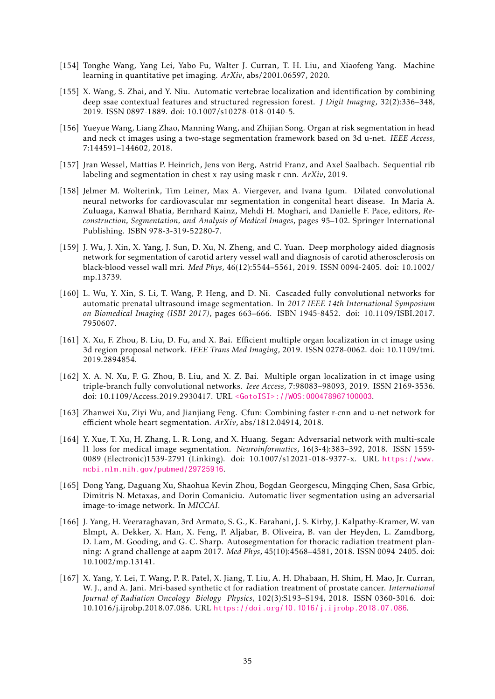- <span id="page-34-2"></span>[154] Tonghe Wang, Yang Lei, Yabo Fu, Walter J. Curran, T. H. Liu, and Xiaofeng Yang. Machine learning in quantitative pet imaging. *ArXiv*, abs/2001.06597, 2020.
- <span id="page-34-3"></span>[155] X. Wang, S. Zhai, and Y. Niu. Automatic vertebrae localization and identification by combining deep ssae contextual features and structured regression forest. *J Digit Imaging*, 32(2):336–348, 2019. ISSN 0897-1889. doi: 10.1007/s10278-018-0140-5.
- <span id="page-34-13"></span>[156] Yueyue Wang, Liang Zhao, Manning Wang, and Zhijian Song. Organ at risk segmentation in head and neck ct images using a two-stage segmentation framework based on 3d u-net. *IEEE Access*, 7:144591–144602, 2018.
- <span id="page-34-11"></span>[157] Jran Wessel, Mattias P. Heinrich, Jens von Berg, Astrid Franz, and Axel Saalbach. Sequential rib labeling and segmentation in chest x-ray using mask r-cnn. *ArXiv*, 2019.
- <span id="page-34-4"></span>[158] Jelmer M. Wolterink, Tim Leiner, Max A. Viergever, and Ivana Igum. Dilated convolutional neural networks for cardiovascular mr segmentation in congenital heart disease. In Maria A. Zuluaga, Kanwal Bhatia, Bernhard Kainz, Mehdi H. Moghari, and Danielle F. Pace, editors, *Reconstruction, Segmentation, and Analysis of Medical Images*, pages 95–102. Springer International Publishing. ISBN 978-3-319-52280-7.
- <span id="page-34-0"></span>[159] J. Wu, J. Xin, X. Yang, J. Sun, D. Xu, N. Zheng, and C. Yuan. Deep morphology aided diagnosis network for segmentation of carotid artery vessel wall and diagnosis of carotid atherosclerosis on black-blood vessel wall mri. *Med Phys*, 46(12):5544–5561, 2019. ISSN 0094-2405. doi: 10.1002/ mp.13739.
- <span id="page-34-5"></span>[160] L. Wu, Y. Xin, S. Li, T. Wang, P. Heng, and D. Ni. Cascaded fully convolutional networks for automatic prenatal ultrasound image segmentation. In *2017 IEEE 14th International Symposium on Biomedical Imaging (ISBI 2017)*, pages 663–666. ISBN 1945-8452. doi: 10.1109/ISBI.2017. 7950607.
- <span id="page-34-10"></span>[161] X. Xu, F. Zhou, B. Liu, D. Fu, and X. Bai. Efficient multiple organ localization in ct image using 3d region proposal network. *IEEE Trans Med Imaging*, 2019. ISSN 0278-0062. doi: 10.1109/tmi. 2019.2894854.
- <span id="page-34-6"></span>[162] X. A. N. Xu, F. G. Zhou, B. Liu, and X. Z. Bai. Multiple organ localization in ct image using triple-branch fully convolutional networks. *Ieee Access*, 7:98083–98093, 2019. ISSN 2169-3536. doi: 10.1109/Access.2019.2930417. URL [<GotoISI>://WOS:000478967100003](<Go to ISI>://WOS:000478967100003).
- <span id="page-34-9"></span>[163] Zhanwei Xu, Ziyi Wu, and Jianjiang Feng. Cfun: Combining faster r-cnn and u-net network for efficient whole heart segmentation. *ArXiv*, abs/1812.04914, 2018.
- <span id="page-34-8"></span>[164] Y. Xue, T. Xu, H. Zhang, L. R. Long, and X. Huang. Segan: Adversarial network with multi-scale l1 loss for medical image segmentation. *Neuroinformatics*, 16(3-4):383–392, 2018. ISSN 1559- 0089 (Electronic)1539-2791 (Linking). doi: 10.1007/s12021-018-9377-x. URL [https://www.](https://www.ncbi.nlm.nih.gov/pubmed/29725916) [ncbi.nlm.nih.gov/pubmed/29725916](https://www.ncbi.nlm.nih.gov/pubmed/29725916).
- <span id="page-34-7"></span>[165] Dong Yang, Daguang Xu, Shaohua Kevin Zhou, Bogdan Georgescu, Mingqing Chen, Sasa Grbic, Dimitris N. Metaxas, and Dorin Comaniciu. Automatic liver segmentation using an adversarial image-to-image network. In *MICCAI*.
- <span id="page-34-12"></span>[166] J. Yang, H. Veeraraghavan, 3rd Armato, S. G., K. Farahani, J. S. Kirby, J. Kalpathy-Kramer, W. van Elmpt, A. Dekker, X. Han, X. Feng, P. Aljabar, B. Oliveira, B. van der Heyden, L. Zamdborg, D. Lam, M. Gooding, and G. C. Sharp. Autosegmentation for thoracic radiation treatment planning: A grand challenge at aapm 2017. *Med Phys*, 45(10):4568–4581, 2018. ISSN 0094-2405. doi: 10.1002/mp.13141.
- <span id="page-34-1"></span>[167] X. Yang, Y. Lei, T. Wang, P. R. Patel, X. Jiang, T. Liu, A. H. Dhabaan, H. Shim, H. Mao, Jr. Curran, W. J., and A. Jani. Mri-based synthetic ct for radiation treatment of prostate cancer. *International Journal of Radiation Oncology Biology Physics*, 102(3):S193–S194, 2018. ISSN 0360-3016. doi: 10.1016/j.ijrobp.2018.07.086. URL <https://doi.org/10.1016/j.ijrobp.2018.07.086>.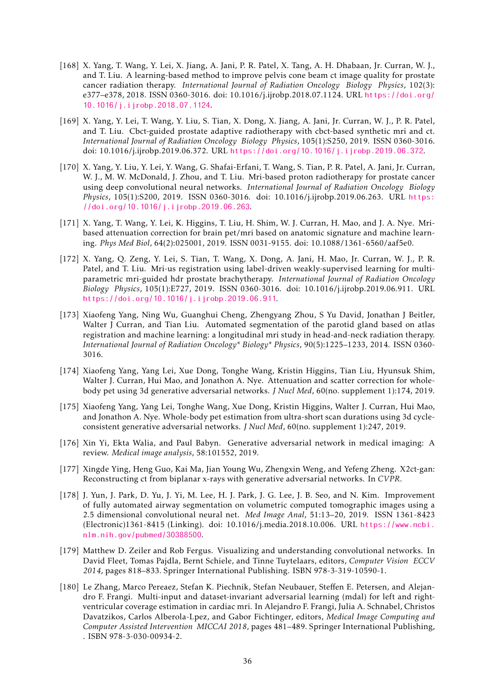- <span id="page-35-4"></span>[168] X. Yang, T. Wang, Y. Lei, X. Jiang, A. Jani, P. R. Patel, X. Tang, A. H. Dhabaan, Jr. Curran, W. J., and T. Liu. A learning-based method to improve pelvis cone beam ct image quality for prostate cancer radiation therapy. *International Journal of Radiation Oncology Biology Physics*, 102(3): e377–e378, 2018. ISSN 0360-3016. doi: 10.1016/j.ijrobp.2018.07.1124. URL [https://doi.org/](https://doi.org/10.1016/j.ijrobp.2018.07.1124) [10.1016/j.ijrobp.2018.07.1124](https://doi.org/10.1016/j.ijrobp.2018.07.1124).
- <span id="page-35-2"></span>[169] X. Yang, Y. Lei, T. Wang, Y. Liu, S. Tian, X. Dong, X. Jiang, A. Jani, Jr. Curran, W. J., P. R. Patel, and T. Liu. Cbct-guided prostate adaptive radiotherapy with cbct-based synthetic mri and ct. *International Journal of Radiation Oncology Biology Physics*, 105(1):S250, 2019. ISSN 0360-3016. doi: 10.1016/j.ijrobp.2019.06.372. URL <https://doi.org/10.1016/j.ijrobp.2019.06.372>.
- <span id="page-35-3"></span>[170] X. Yang, Y. Liu, Y. Lei, Y. Wang, G. Shafai-Erfani, T. Wang, S. Tian, P. R. Patel, A. Jani, Jr. Curran, W. J., M. W. McDonald, J. Zhou, and T. Liu. Mri-based proton radiotherapy for prostate cancer using deep convolutional neural networks. *International Journal of Radiation Oncology Biology Physics*, 105(1):S200, 2019. ISSN 0360-3016. doi: 10.1016/j.ijrobp.2019.06.263. URL [https:](https://doi.org/10.1016/j.ijrobp.2019.06.263) [//doi.org/10.1016/j.ijrobp.2019.06.263](https://doi.org/10.1016/j.ijrobp.2019.06.263).
- <span id="page-35-7"></span>[171] X. Yang, T. Wang, Y. Lei, K. Higgins, T. Liu, H. Shim, W. J. Curran, H. Mao, and J. A. Nye. Mribased attenuation correction for brain pet/mri based on anatomic signature and machine learning. *Phys Med Biol*, 64(2):025001, 2019. ISSN 0031-9155. doi: 10.1088/1361-6560/aaf5e0.
- <span id="page-35-1"></span>[172] X. Yang, Q. Zeng, Y. Lei, S. Tian, T. Wang, X. Dong, A. Jani, H. Mao, Jr. Curran, W. J., P. R. Patel, and T. Liu. Mri-us registration using label-driven weakly-supervised learning for multiparametric mri-guided hdr prostate brachytherapy. *International Journal of Radiation Oncology Biology Physics*, 105(1):E727, 2019. ISSN 0360-3016. doi: 10.1016/j.ijrobp.2019.06.911. URL <https://doi.org/10.1016/j.ijrobp.2019.06.911>.
- <span id="page-35-0"></span>[173] Xiaofeng Yang, Ning Wu, Guanghui Cheng, Zhengyang Zhou, S Yu David, Jonathan J Beitler, Walter J Curran, and Tian Liu. Automated segmentation of the parotid gland based on atlas registration and machine learning: a longitudinal mri study in head-and-neck radiation therapy. *International Journal of Radiation Oncology\* Biology\* Physics*, 90(5):1225–1233, 2014. ISSN 0360- 3016.
- <span id="page-35-5"></span>[174] Xiaofeng Yang, Yang Lei, Xue Dong, Tonghe Wang, Kristin Higgins, Tian Liu, Hyunsuk Shim, Walter J. Curran, Hui Mao, and Jonathon A. Nye. Attenuation and scatter correction for wholebody pet using 3d generative adversarial networks. *J Nucl Med*, 60(no. supplement 1):174, 2019.
- <span id="page-35-6"></span>[175] Xiaofeng Yang, Yang Lei, Tonghe Wang, Xue Dong, Kristin Higgins, Walter J. Curran, Hui Mao, and Jonathon A. Nye. Whole-body pet estimation from ultra-short scan durations using 3d cycleconsistent generative adversarial networks. *J Nucl Med*, 60(no. supplement 1):247, 2019.
- <span id="page-35-11"></span>[176] Xin Yi, Ekta Walia, and Paul Babyn. Generative adversarial network in medical imaging: A review. *Medical image analysis*, 58:101552, 2019.
- <span id="page-35-10"></span>[177] Xingde Ying, Heng Guo, Kai Ma, Jian Young Wu, Zhengxin Weng, and Yefeng Zheng. X2ct-gan: Reconstructing ct from biplanar x-rays with generative adversarial networks. In *CVPR*.
- <span id="page-35-9"></span>[178] J. Yun, J. Park, D. Yu, J. Yi, M. Lee, H. J. Park, J. G. Lee, J. B. Seo, and N. Kim. Improvement of fully automated airway segmentation on volumetric computed tomographic images using a 2.5 dimensional convolutional neural net. *Med Image Anal*, 51:13–20, 2019. ISSN 1361-8423 (Electronic)1361-8415 (Linking). doi: 10.1016/j.media.2018.10.006. URL [https://www.ncbi.](https://www.ncbi.nlm.nih.gov/pubmed/30388500) [nlm.nih.gov/pubmed/30388500](https://www.ncbi.nlm.nih.gov/pubmed/30388500).
- <span id="page-35-8"></span>[179] Matthew D. Zeiler and Rob Fergus. Visualizing and understanding convolutional networks. In David Fleet, Tomas Pajdla, Bernt Schiele, and Tinne Tuytelaars, editors, *Computer Vision ECCV 2014*, pages 818–833. Springer International Publishing. ISBN 978-3-319-10590-1.
- <span id="page-35-12"></span>[180] Le Zhang, Marco Pereaez, Stefan K. Piechnik, Stefan Neubauer, Steffen E. Petersen, and Alejandro F. Frangi. Multi-input and dataset-invariant adversarial learning (mdal) for left and rightventricular coverage estimation in cardiac mri. In Alejandro F. Frangi, Julia A. Schnabel, Christos Davatzikos, Carlos Alberola-Lpez, and Gabor Fichtinger, editors, *Medical Image Computing and Computer Assisted Intervention MICCAI 2018*, pages 481–489. Springer International Publishing, . ISBN 978-3-030-00934-2.